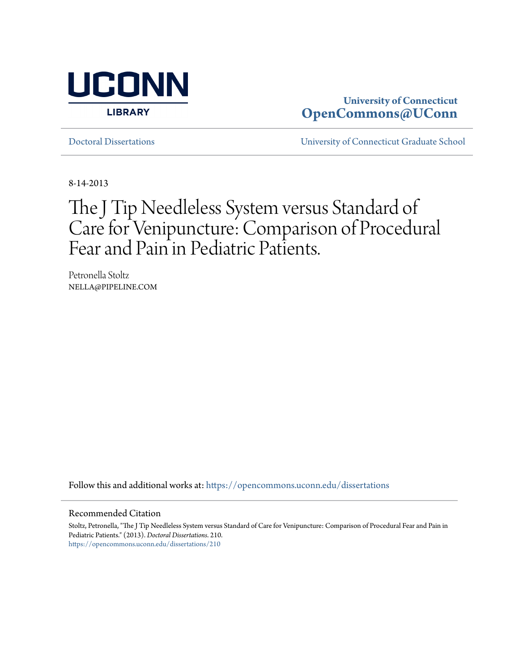

# **University of Connecticut [OpenCommons@UConn](https://opencommons.uconn.edu?utm_source=opencommons.uconn.edu%2Fdissertations%2F210&utm_medium=PDF&utm_campaign=PDFCoverPages)**

[Doctoral Dissertations](https://opencommons.uconn.edu/dissertations?utm_source=opencommons.uconn.edu%2Fdissertations%2F210&utm_medium=PDF&utm_campaign=PDFCoverPages) [University of Connecticut Graduate School](https://opencommons.uconn.edu/gs?utm_source=opencommons.uconn.edu%2Fdissertations%2F210&utm_medium=PDF&utm_campaign=PDFCoverPages)

8-14-2013

# The J Tip Needleless System versus Standard of Care for Venipuncture: Comparison of Procedural Fear and Pain in Pediatric Patients.

Petronella Stoltz NELLA@PIPELINE.COM

Follow this and additional works at: [https://opencommons.uconn.edu/dissertations](https://opencommons.uconn.edu/dissertations?utm_source=opencommons.uconn.edu%2Fdissertations%2F210&utm_medium=PDF&utm_campaign=PDFCoverPages)

#### Recommended Citation

Stoltz, Petronella, "The J Tip Needleless System versus Standard of Care for Venipuncture: Comparison of Procedural Fear and Pain in Pediatric Patients." (2013). *Doctoral Dissertations*. 210. [https://opencommons.uconn.edu/dissertations/210](https://opencommons.uconn.edu/dissertations/210?utm_source=opencommons.uconn.edu%2Fdissertations%2F210&utm_medium=PDF&utm_campaign=PDFCoverPages)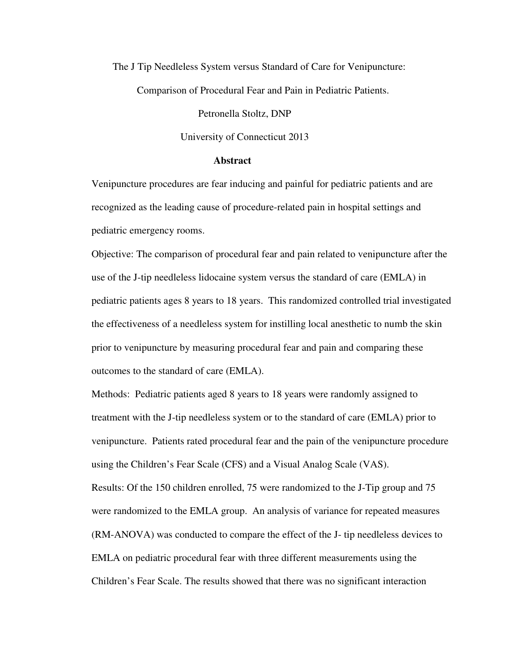The J Tip Needleless System versus Standard of Care for Venipuncture:

Comparison of Procedural Fear and Pain in Pediatric Patients.

Petronella Stoltz, DNP

University of Connecticut 2013

## **Abstract**

Venipuncture procedures are fear inducing and painful for pediatric patients and are recognized as the leading cause of procedure-related pain in hospital settings and pediatric emergency rooms.

Objective: The comparison of procedural fear and pain related to venipuncture after the use of the J-tip needleless lidocaine system versus the standard of care (EMLA) in pediatric patients ages 8 years to 18 years. This randomized controlled trial investigated the effectiveness of a needleless system for instilling local anesthetic to numb the skin prior to venipuncture by measuring procedural fear and pain and comparing these outcomes to the standard of care (EMLA).

Methods: Pediatric patients aged 8 years to 18 years were randomly assigned to treatment with the J-tip needleless system or to the standard of care (EMLA) prior to venipuncture. Patients rated procedural fear and the pain of the venipuncture procedure using the Children's Fear Scale (CFS) and a Visual Analog Scale (VAS). Results: Of the 150 children enrolled, 75 were randomized to the J-Tip group and 75 were randomized to the EMLA group. An analysis of variance for repeated measures (RM-ANOVA) was conducted to compare the effect of the J- tip needleless devices to EMLA on pediatric procedural fear with three different measurements using the Children's Fear Scale. The results showed that there was no significant interaction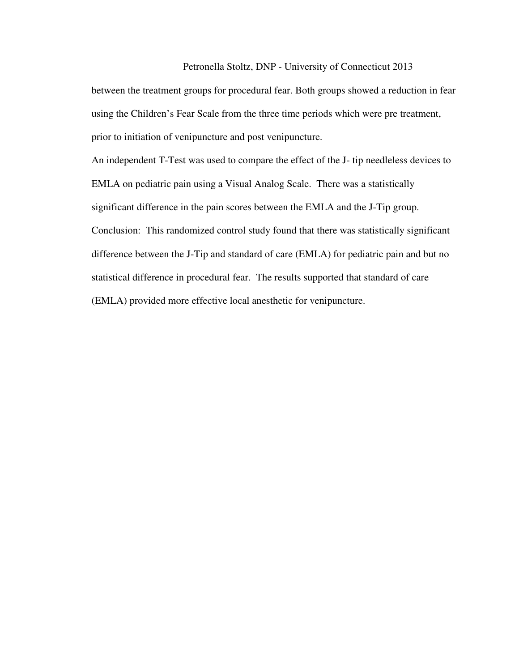#### Petronella Stoltz, DNP - University of Connecticut 2013

between the treatment groups for procedural fear. Both groups showed a reduction in fear using the Children's Fear Scale from the three time periods which were pre treatment, prior to initiation of venipuncture and post venipuncture.

An independent T-Test was used to compare the effect of the J- tip needleless devices to EMLA on pediatric pain using a Visual Analog Scale. There was a statistically significant difference in the pain scores between the EMLA and the J-Tip group. Conclusion: This randomized control study found that there was statistically significant difference between the J-Tip and standard of care (EMLA) for pediatric pain and but no statistical difference in procedural fear. The results supported that standard of care (EMLA) provided more effective local anesthetic for venipuncture.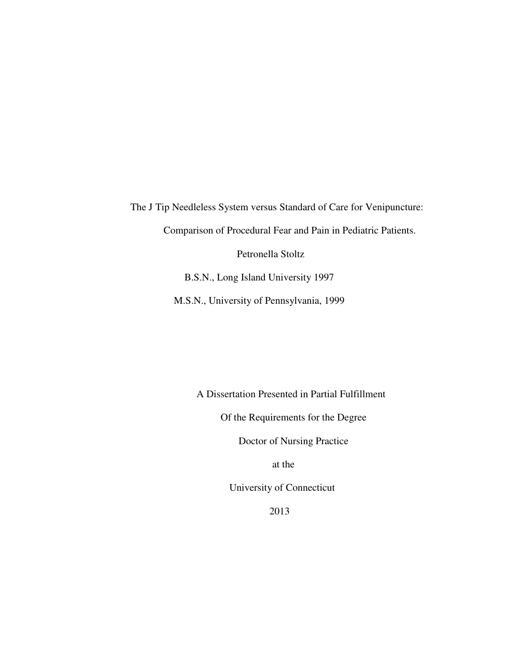The J Tip Needleless System versus Standard of Care for Venipuncture: Comparison of Procedural Fear and Pain in Pediatric Patients. Petronella Stoltz B.S.N., Long Island University 1997

M.S.N., University of Pennsylvania, 1999

A Dissertation Presented in Partial Fulfillment

Of the Requirements for the Degree

Doctor of Nursing Practice

at the

University of Connecticut

2013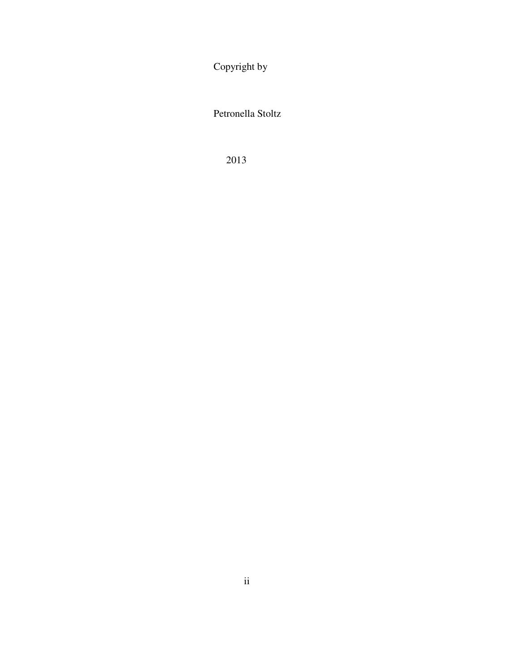Copyright by

Petronella Stoltz

2013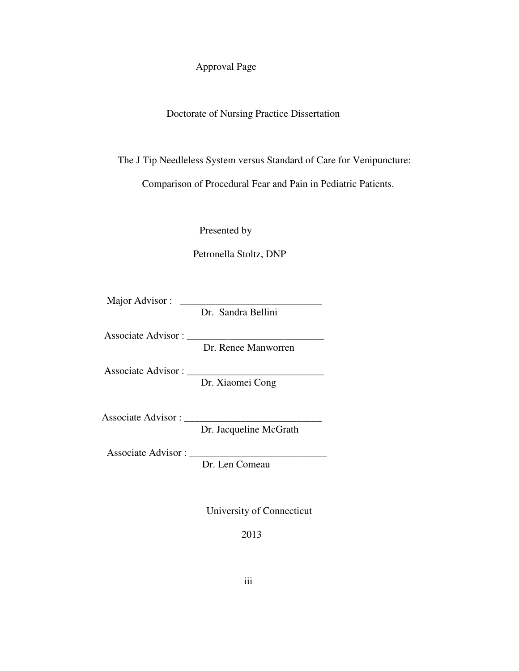# Approval Page

# Doctorate of Nursing Practice Dissertation

The J Tip Needleless System versus Standard of Care for Venipuncture:

Comparison of Procedural Fear and Pain in Pediatric Patients.

Presented by

Petronella Stoltz, DNP

Major Advisor :

Dr. Sandra Bellini

Associate Advisor : \_\_\_\_\_\_\_\_\_\_\_\_\_\_\_\_\_\_\_\_\_\_\_\_\_\_\_

Dr. Renee Manworren

Associate Advisor : \_\_\_\_\_\_\_\_\_\_\_\_\_\_\_\_\_\_\_\_\_\_\_\_\_\_\_

Dr. Xiaomei Cong

Associate Advisor : \_\_\_\_\_\_\_\_\_\_\_\_\_\_\_\_\_\_\_\_\_\_\_\_\_\_\_

Dr. Jacqueline McGrath

Associate Advisor : \_\_\_\_\_\_\_\_\_\_\_\_\_\_\_\_\_\_\_\_\_\_\_\_\_\_\_

Dr. Len Comeau

University of Connecticut

2013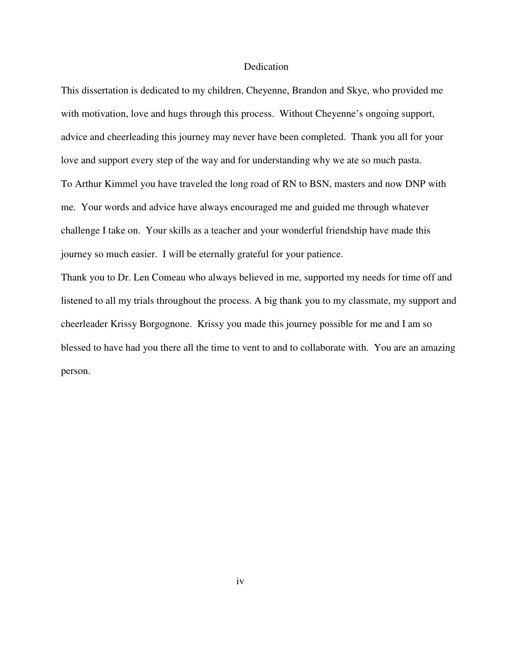## Dedication

This dissertation is dedicated to my children, Cheyenne, Brandon and Skye, who provided me with motivation, love and hugs through this process. Without Cheyenne's ongoing support, advice and cheerleading this journey may never have been completed. Thank you all for your love and support every step of the way and for understanding why we ate so much pasta. To Arthur Kimmel you have traveled the long road of RN to BSN, masters and now DNP with me. Your words and advice have always encouraged me and guided me through whatever challenge I take on. Your skills as a teacher and your wonderful friendship have made this journey so much easier. I will be eternally grateful for your patience.

Thank you to Dr. Len Comeau who always believed in me, supported my needs for time off and listened to all my trials throughout the process. A big thank you to my classmate, my support and cheerleader Krissy Borgognone. Krissy you made this journey possible for me and I am so blessed to have had you there all the time to vent to and to collaborate with. You are an amazing person.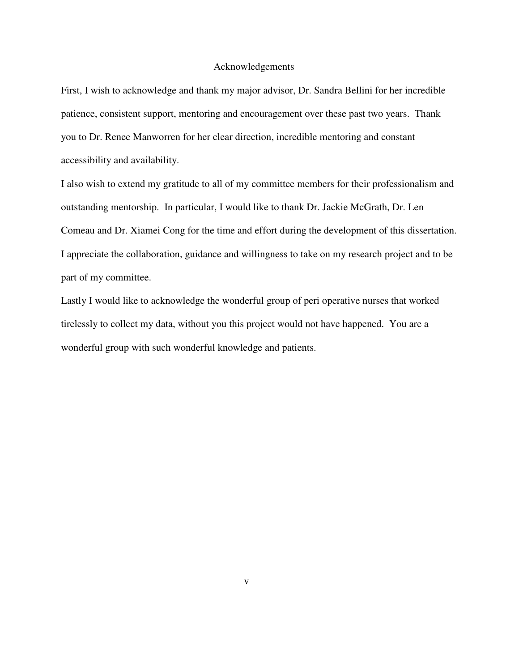### Acknowledgements

First, I wish to acknowledge and thank my major advisor, Dr. Sandra Bellini for her incredible patience, consistent support, mentoring and encouragement over these past two years. Thank you to Dr. Renee Manworren for her clear direction, incredible mentoring and constant accessibility and availability.

I also wish to extend my gratitude to all of my committee members for their professionalism and outstanding mentorship. In particular, I would like to thank Dr. Jackie McGrath, Dr. Len Comeau and Dr. Xiamei Cong for the time and effort during the development of this dissertation. I appreciate the collaboration, guidance and willingness to take on my research project and to be part of my committee.

Lastly I would like to acknowledge the wonderful group of peri operative nurses that worked tirelessly to collect my data, without you this project would not have happened. You are a wonderful group with such wonderful knowledge and patients.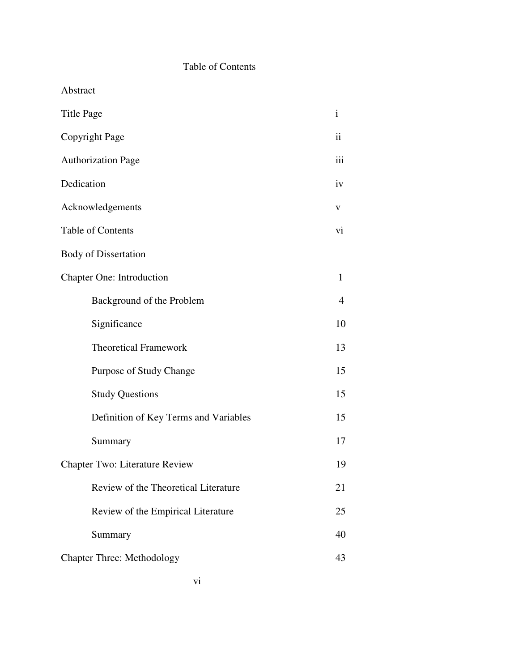# Table of Contents

Abstract

| <b>Title Page</b>                     | $\mathbf{i}$        |
|---------------------------------------|---------------------|
| Copyright Page                        | $\ddot{\mathbf{i}}$ |
| <b>Authorization Page</b>             | iii                 |
| Dedication                            | iv                  |
| Acknowledgements                      | V                   |
| Table of Contents                     | vi                  |
| <b>Body of Dissertation</b>           |                     |
| <b>Chapter One: Introduction</b>      | $\mathbf{1}$        |
| Background of the Problem             | $\overline{4}$      |
| Significance                          | 10                  |
| <b>Theoretical Framework</b>          | 13                  |
| Purpose of Study Change               | 15                  |
| <b>Study Questions</b>                | 15                  |
| Definition of Key Terms and Variables | 15                  |
| Summary                               | 17                  |
| <b>Chapter Two: Literature Review</b> | 19                  |
| Review of the Theoretical Literature  | 21                  |
| Review of the Empirical Literature    | 25                  |
| Summary                               | 40                  |
| <b>Chapter Three: Methodology</b>     | 43                  |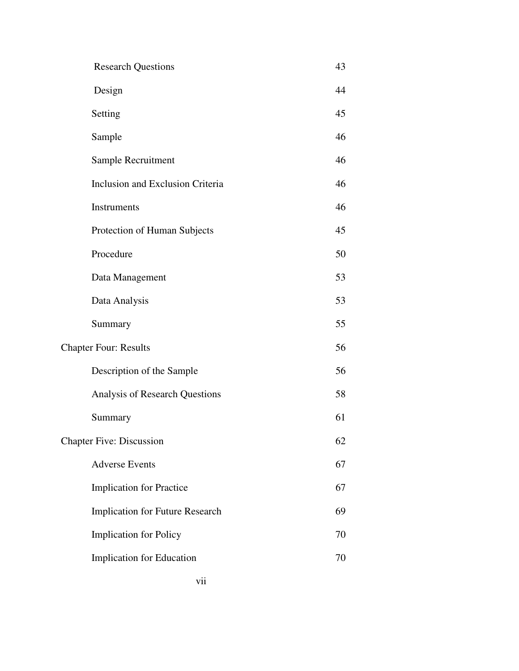- Design 44
- Setting 45
- Sample 46
- Sample Recruitment 46
- Inclusion and Exclusion Criteria 46 Instruments 46
- Protection of Human Subjects 45
- Procedure 50
- Data Management 53 Data Analysis 53
- Summary 55
- Chapter Four: Results 56
	- Description of the Sample 56
	- Analysis of Research Questions 58
	- Summary 61
- Chapter Five: Discussion 62
	- Adverse Events 67
	- Implication for Practice 67
	- Implication for Future Research 69
	- Implication for Policy 70
	- **Implication for Education** 70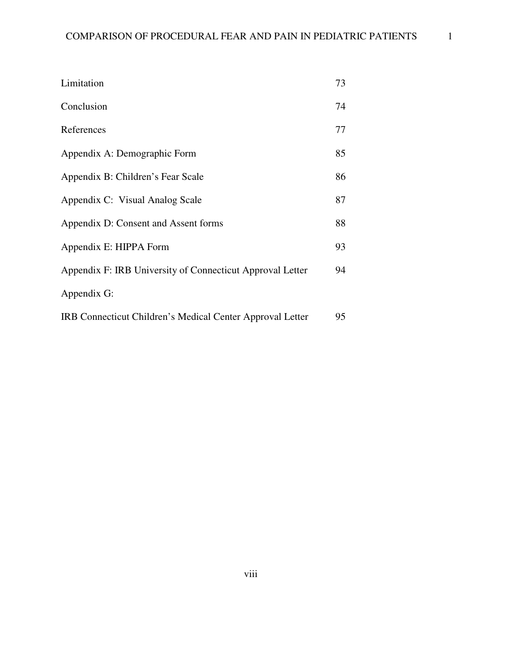| Limitation                                                | 73 |
|-----------------------------------------------------------|----|
| Conclusion                                                | 74 |
| References                                                | 77 |
| Appendix A: Demographic Form                              | 85 |
| Appendix B: Children's Fear Scale                         | 86 |
| Appendix C: Visual Analog Scale                           | 87 |
| Appendix D: Consent and Assent forms                      | 88 |
| Appendix E: HIPPA Form                                    | 93 |
| Appendix F: IRB University of Connecticut Approval Letter | 94 |
| Appendix G:                                               |    |
| IRB Connecticut Children's Medical Center Approval Letter | 95 |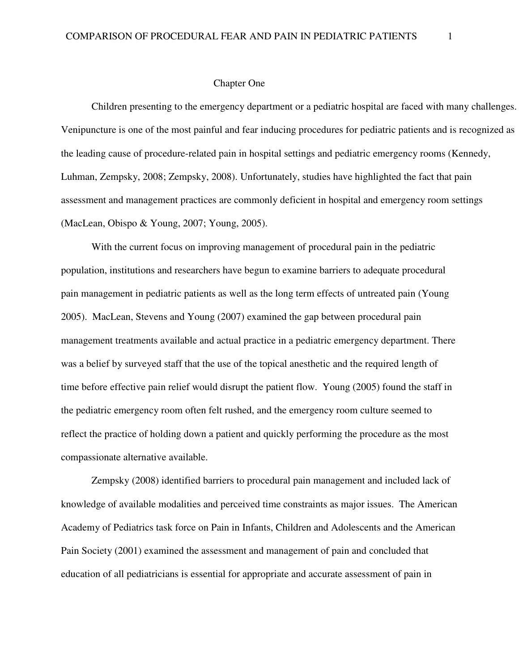#### Chapter One

Children presenting to the emergency department or a pediatric hospital are faced with many challenges. Venipuncture is one of the most painful and fear inducing procedures for pediatric patients and is recognized as the leading cause of procedure-related pain in hospital settings and pediatric emergency rooms (Kennedy, Luhman, Zempsky, 2008; Zempsky, 2008). Unfortunately, studies have highlighted the fact that pain assessment and management practices are commonly deficient in hospital and emergency room settings (MacLean, Obispo & Young, 2007; Young, 2005).

With the current focus on improving management of procedural pain in the pediatric population, institutions and researchers have begun to examine barriers to adequate procedural pain management in pediatric patients as well as the long term effects of untreated pain (Young 2005). MacLean, Stevens and Young (2007) examined the gap between procedural pain management treatments available and actual practice in a pediatric emergency department. There was a belief by surveyed staff that the use of the topical anesthetic and the required length of time before effective pain relief would disrupt the patient flow. Young (2005) found the staff in the pediatric emergency room often felt rushed, and the emergency room culture seemed to reflect the practice of holding down a patient and quickly performing the procedure as the most compassionate alternative available.

Zempsky (2008) identified barriers to procedural pain management and included lack of knowledge of available modalities and perceived time constraints as major issues. The American Academy of Pediatrics task force on Pain in Infants, Children and Adolescents and the American Pain Society (2001) examined the assessment and management of pain and concluded that education of all pediatricians is essential for appropriate and accurate assessment of pain in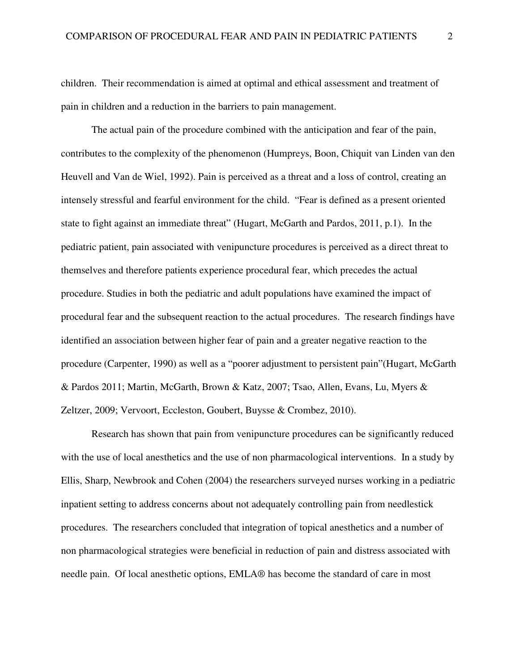children. Their recommendation is aimed at optimal and ethical assessment and treatment of pain in children and a reduction in the barriers to pain management.

 The actual pain of the procedure combined with the anticipation and fear of the pain, contributes to the complexity of the phenomenon (Humpreys, Boon, Chiquit van Linden van den Heuvell and Van de Wiel, 1992). Pain is perceived as a threat and a loss of control, creating an intensely stressful and fearful environment for the child. "Fear is defined as a present oriented state to fight against an immediate threat" (Hugart, McGarth and Pardos, 2011, p.1). In the pediatric patient, pain associated with venipuncture procedures is perceived as a direct threat to themselves and therefore patients experience procedural fear, which precedes the actual procedure. Studies in both the pediatric and adult populations have examined the impact of procedural fear and the subsequent reaction to the actual procedures. The research findings have identified an association between higher fear of pain and a greater negative reaction to the procedure (Carpenter, 1990) as well as a "poorer adjustment to persistent pain"(Hugart, McGarth & Pardos 2011; Martin, McGarth, Brown & Katz, 2007; Tsao, Allen, Evans, Lu, Myers & Zeltzer, 2009; Vervoort, Eccleston, Goubert, Buysse & Crombez, 2010).

Research has shown that pain from venipuncture procedures can be significantly reduced with the use of local anesthetics and the use of non pharmacological interventions. In a study by Ellis, Sharp, Newbrook and Cohen (2004) the researchers surveyed nurses working in a pediatric inpatient setting to address concerns about not adequately controlling pain from needlestick procedures. The researchers concluded that integration of topical anesthetics and a number of non pharmacological strategies were beneficial in reduction of pain and distress associated with needle pain. Of local anesthetic options, EMLA® has become the standard of care in most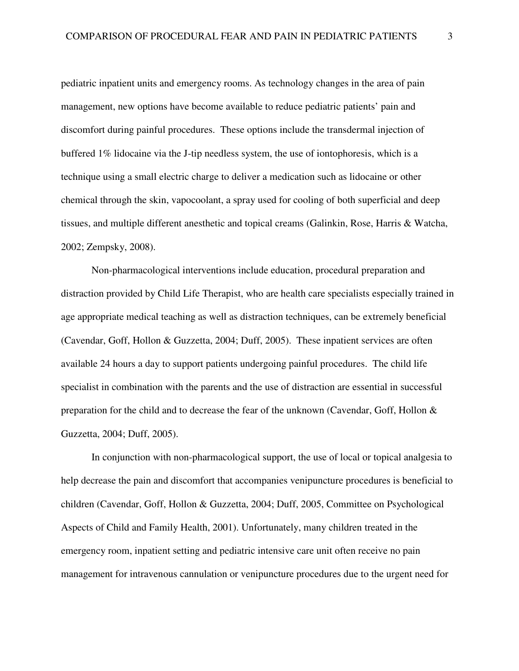pediatric inpatient units and emergency rooms. As technology changes in the area of pain management, new options have become available to reduce pediatric patients' pain and discomfort during painful procedures. These options include the transdermal injection of buffered 1% lidocaine via the J-tip needless system, the use of iontophoresis, which is a technique using a small electric charge to deliver a medication such as lidocaine or other chemical through the skin, vapocoolant, a spray used for cooling of both superficial and deep tissues, and multiple different anesthetic and topical creams (Galinkin, Rose, Harris & Watcha, 2002; Zempsky, 2008).

Non-pharmacological interventions include education, procedural preparation and distraction provided by Child Life Therapist, who are health care specialists especially trained in age appropriate medical teaching as well as distraction techniques, can be extremely beneficial (Cavendar, Goff, Hollon & Guzzetta, 2004; Duff, 2005). These inpatient services are often available 24 hours a day to support patients undergoing painful procedures. The child life specialist in combination with the parents and the use of distraction are essential in successful preparation for the child and to decrease the fear of the unknown (Cavendar, Goff, Hollon & Guzzetta, 2004; Duff, 2005).

In conjunction with non-pharmacological support, the use of local or topical analgesia to help decrease the pain and discomfort that accompanies venipuncture procedures is beneficial to children (Cavendar, Goff, Hollon & Guzzetta, 2004; Duff, 2005, Committee on Psychological Aspects of Child and Family Health, 2001). Unfortunately, many children treated in the emergency room, inpatient setting and pediatric intensive care unit often receive no pain management for intravenous cannulation or venipuncture procedures due to the urgent need for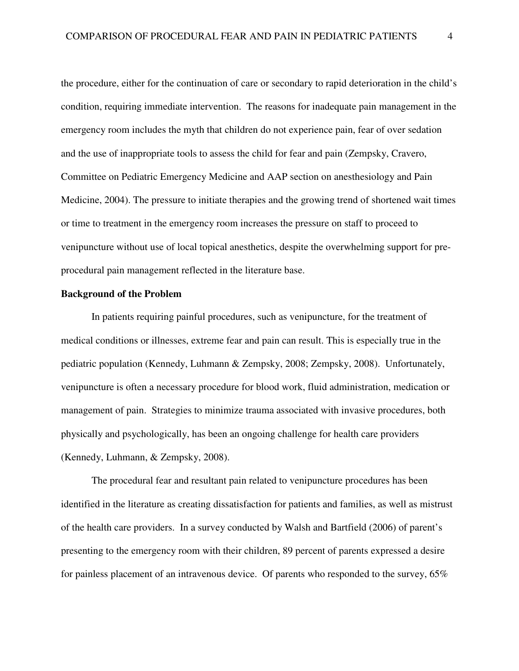the procedure, either for the continuation of care or secondary to rapid deterioration in the child's condition, requiring immediate intervention. The reasons for inadequate pain management in the emergency room includes the myth that children do not experience pain, fear of over sedation and the use of inappropriate tools to assess the child for fear and pain (Zempsky, Cravero, Committee on Pediatric Emergency Medicine and AAP section on anesthesiology and Pain Medicine, 2004). The pressure to initiate therapies and the growing trend of shortened wait times or time to treatment in the emergency room increases the pressure on staff to proceed to venipuncture without use of local topical anesthetics, despite the overwhelming support for preprocedural pain management reflected in the literature base.

## **Background of the Problem**

 In patients requiring painful procedures, such as venipuncture, for the treatment of medical conditions or illnesses, extreme fear and pain can result. This is especially true in the pediatric population (Kennedy, Luhmann & Zempsky, 2008; Zempsky, 2008). Unfortunately, venipuncture is often a necessary procedure for blood work, fluid administration, medication or management of pain. Strategies to minimize trauma associated with invasive procedures, both physically and psychologically, has been an ongoing challenge for health care providers (Kennedy, Luhmann, & Zempsky, 2008).

The procedural fear and resultant pain related to venipuncture procedures has been identified in the literature as creating dissatisfaction for patients and families, as well as mistrust of the health care providers. In a survey conducted by Walsh and Bartfield (2006) of parent's presenting to the emergency room with their children, 89 percent of parents expressed a desire for painless placement of an intravenous device. Of parents who responded to the survey, 65%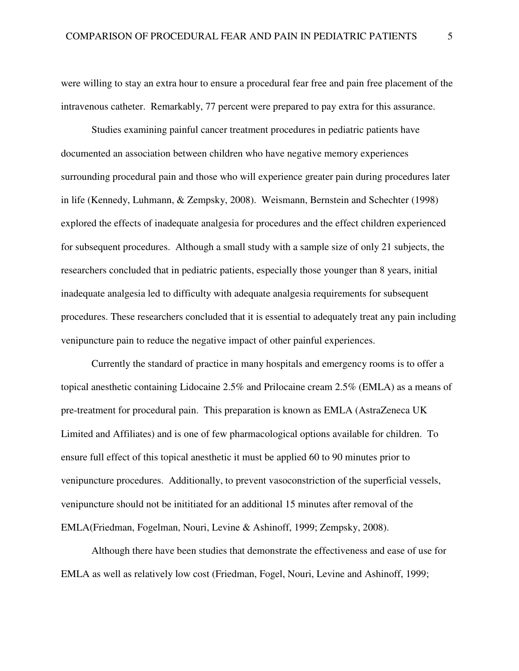were willing to stay an extra hour to ensure a procedural fear free and pain free placement of the intravenous catheter. Remarkably, 77 percent were prepared to pay extra for this assurance.

Studies examining painful cancer treatment procedures in pediatric patients have documented an association between children who have negative memory experiences surrounding procedural pain and those who will experience greater pain during procedures later in life (Kennedy, Luhmann, & Zempsky, 2008). Weismann, Bernstein and Schechter (1998) explored the effects of inadequate analgesia for procedures and the effect children experienced for subsequent procedures. Although a small study with a sample size of only 21 subjects, the researchers concluded that in pediatric patients, especially those younger than 8 years, initial inadequate analgesia led to difficulty with adequate analgesia requirements for subsequent procedures. These researchers concluded that it is essential to adequately treat any pain including venipuncture pain to reduce the negative impact of other painful experiences.

 Currently the standard of practice in many hospitals and emergency rooms is to offer a topical anesthetic containing Lidocaine 2.5% and Prilocaine cream 2.5% (EMLA) as a means of pre-treatment for procedural pain. This preparation is known as EMLA (AstraZeneca UK Limited and Affiliates) and is one of few pharmacological options available for children. To ensure full effect of this topical anesthetic it must be applied 60 to 90 minutes prior to venipuncture procedures. Additionally, to prevent vasoconstriction of the superficial vessels, venipuncture should not be inititiated for an additional 15 minutes after removal of the EMLA(Friedman, Fogelman, Nouri, Levine & Ashinoff, 1999; Zempsky, 2008).

Although there have been studies that demonstrate the effectiveness and ease of use for EMLA as well as relatively low cost (Friedman, Fogel, Nouri, Levine and Ashinoff, 1999;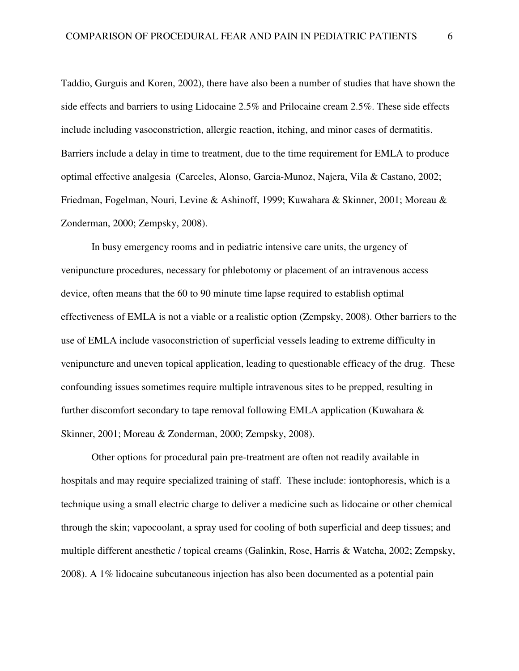Taddio, Gurguis and Koren, 2002), there have also been a number of studies that have shown the side effects and barriers to using Lidocaine 2.5% and Prilocaine cream 2.5%. These side effects include including vasoconstriction, allergic reaction, itching, and minor cases of dermatitis. Barriers include a delay in time to treatment, due to the time requirement for EMLA to produce optimal effective analgesia (Carceles, Alonso, Garcia-Munoz, Najera, Vila & Castano, 2002; Friedman, Fogelman, Nouri, Levine & Ashinoff, 1999; Kuwahara & Skinner, 2001; Moreau & Zonderman, 2000; Zempsky, 2008).

 In busy emergency rooms and in pediatric intensive care units, the urgency of venipuncture procedures, necessary for phlebotomy or placement of an intravenous access device, often means that the 60 to 90 minute time lapse required to establish optimal effectiveness of EMLA is not a viable or a realistic option (Zempsky, 2008). Other barriers to the use of EMLA include vasoconstriction of superficial vessels leading to extreme difficulty in venipuncture and uneven topical application, leading to questionable efficacy of the drug. These confounding issues sometimes require multiple intravenous sites to be prepped, resulting in further discomfort secondary to tape removal following EMLA application (Kuwahara & Skinner, 2001; Moreau & Zonderman, 2000; Zempsky, 2008).

 Other options for procedural pain pre-treatment are often not readily available in hospitals and may require specialized training of staff. These include: iontophoresis, which is a technique using a small electric charge to deliver a medicine such as lidocaine or other chemical through the skin; vapocoolant, a spray used for cooling of both superficial and deep tissues; and multiple different anesthetic / topical creams (Galinkin, Rose, Harris & Watcha, 2002; Zempsky, 2008). A 1% lidocaine subcutaneous injection has also been documented as a potential pain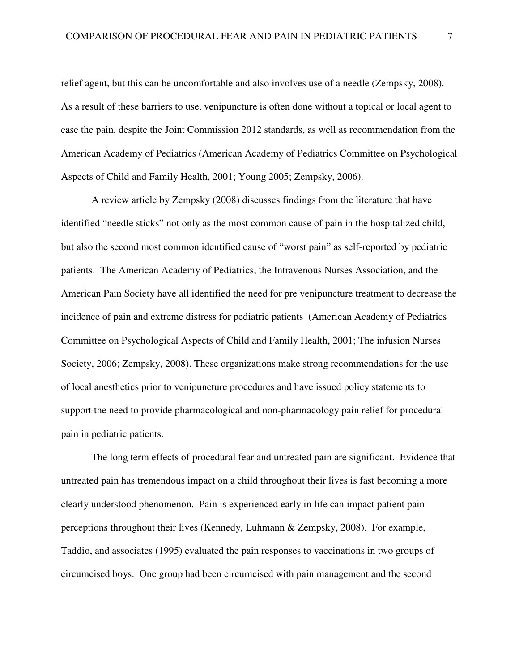relief agent, but this can be uncomfortable and also involves use of a needle (Zempsky, 2008). As a result of these barriers to use, venipuncture is often done without a topical or local agent to ease the pain, despite the Joint Commission 2012 standards, as well as recommendation from the American Academy of Pediatrics (American Academy of Pediatrics Committee on Psychological Aspects of Child and Family Health, 2001; Young 2005; Zempsky, 2006).

A review article by Zempsky (2008) discusses findings from the literature that have identified "needle sticks" not only as the most common cause of pain in the hospitalized child, but also the second most common identified cause of "worst pain" as self-reported by pediatric patients. The American Academy of Pediatrics, the Intravenous Nurses Association, and the American Pain Society have all identified the need for pre venipuncture treatment to decrease the incidence of pain and extreme distress for pediatric patients (American Academy of Pediatrics Committee on Psychological Aspects of Child and Family Health, 2001; The infusion Nurses Society, 2006; Zempsky, 2008). These organizations make strong recommendations for the use of local anesthetics prior to venipuncture procedures and have issued policy statements to support the need to provide pharmacological and non-pharmacology pain relief for procedural pain in pediatric patients.

The long term effects of procedural fear and untreated pain are significant. Evidence that untreated pain has tremendous impact on a child throughout their lives is fast becoming a more clearly understood phenomenon. Pain is experienced early in life can impact patient pain perceptions throughout their lives (Kennedy, Luhmann & Zempsky, 2008). For example, Taddio, and associates (1995) evaluated the pain responses to vaccinations in two groups of circumcised boys. One group had been circumcised with pain management and the second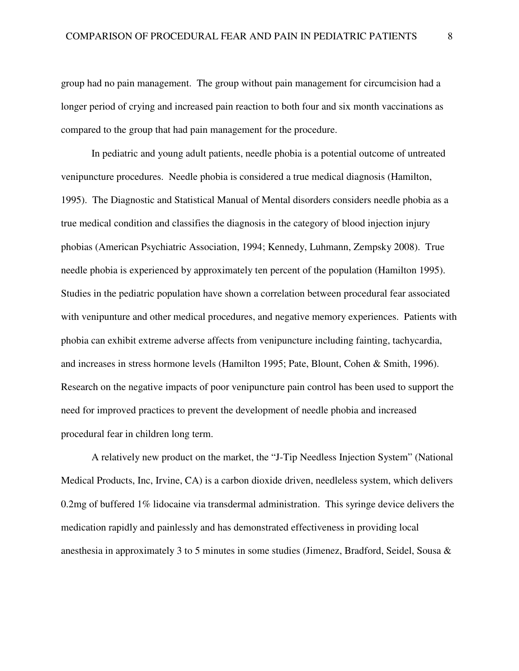group had no pain management. The group without pain management for circumcision had a longer period of crying and increased pain reaction to both four and six month vaccinations as compared to the group that had pain management for the procedure.

In pediatric and young adult patients, needle phobia is a potential outcome of untreated venipuncture procedures. Needle phobia is considered a true medical diagnosis (Hamilton, 1995). The Diagnostic and Statistical Manual of Mental disorders considers needle phobia as a true medical condition and classifies the diagnosis in the category of blood injection injury phobias (American Psychiatric Association, 1994; Kennedy, Luhmann, Zempsky 2008). True needle phobia is experienced by approximately ten percent of the population (Hamilton 1995). Studies in the pediatric population have shown a correlation between procedural fear associated with venipunture and other medical procedures, and negative memory experiences. Patients with phobia can exhibit extreme adverse affects from venipuncture including fainting, tachycardia, and increases in stress hormone levels (Hamilton 1995; Pate, Blount, Cohen & Smith, 1996). Research on the negative impacts of poor venipuncture pain control has been used to support the need for improved practices to prevent the development of needle phobia and increased procedural fear in children long term.

 A relatively new product on the market, the "J-Tip Needless Injection System" (National Medical Products, Inc, Irvine, CA) is a carbon dioxide driven, needleless system, which delivers 0.2mg of buffered 1% lidocaine via transdermal administration. This syringe device delivers the medication rapidly and painlessly and has demonstrated effectiveness in providing local anesthesia in approximately 3 to 5 minutes in some studies (Jimenez, Bradford, Seidel, Sousa &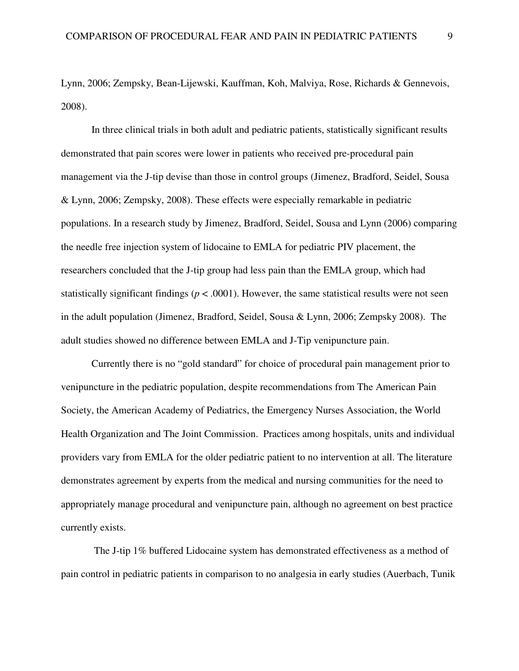Lynn, 2006; Zempsky, Bean-Lijewski, Kauffman, Koh, Malviya, Rose, Richards & Gennevois, 2008).

In three clinical trials in both adult and pediatric patients, statistically significant results demonstrated that pain scores were lower in patients who received pre-procedural pain management via the J-tip devise than those in control groups (Jimenez, Bradford, Seidel, Sousa & Lynn, 2006; Zempsky, 2008). These effects were especially remarkable in pediatric populations. In a research study by Jimenez, Bradford, Seidel, Sousa and Lynn (2006) comparing the needle free injection system of lidocaine to EMLA for pediatric PIV placement, the researchers concluded that the J-tip group had less pain than the EMLA group, which had statistically significant findings ( $p < .0001$ ). However, the same statistical results were not seen in the adult population (Jimenez, Bradford, Seidel, Sousa & Lynn, 2006; Zempsky 2008). The adult studies showed no difference between EMLA and J-Tip venipuncture pain.

 Currently there is no "gold standard" for choice of procedural pain management prior to venipuncture in the pediatric population, despite recommendations from The American Pain Society, the American Academy of Pediatrics, the Emergency Nurses Association, the World Health Organization and The Joint Commission. Practices among hospitals, units and individual providers vary from EMLA for the older pediatric patient to no intervention at all. The literature demonstrates agreement by experts from the medical and nursing communities for the need to appropriately manage procedural and venipuncture pain, although no agreement on best practice currently exists.

 The J-tip 1% buffered Lidocaine system has demonstrated effectiveness as a method of pain control in pediatric patients in comparison to no analgesia in early studies (Auerbach, Tunik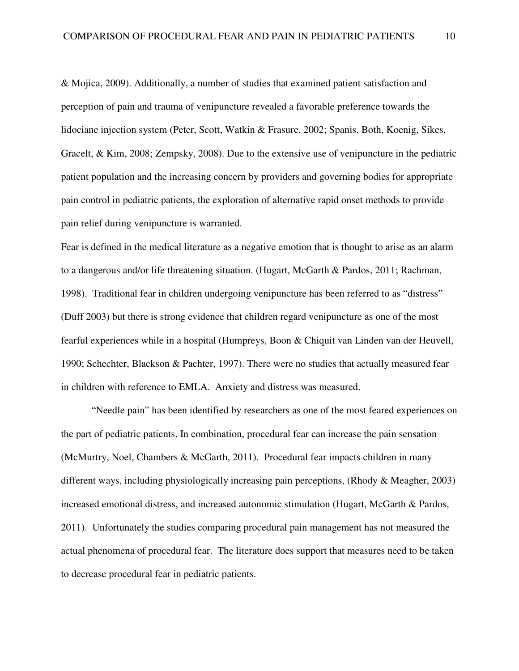& Mojica, 2009). Additionally, a number of studies that examined patient satisfaction and perception of pain and trauma of venipuncture revealed a favorable preference towards the lidociane injection system (Peter, Scott, Watkin & Frasure, 2002; Spanis, Both, Koenig, Sikes, Gracelt, & Kim, 2008; Zempsky, 2008). Due to the extensive use of venipuncture in the pediatric patient population and the increasing concern by providers and governing bodies for appropriate pain control in pediatric patients, the exploration of alternative rapid onset methods to provide pain relief during venipuncture is warranted.

Fear is defined in the medical literature as a negative emotion that is thought to arise as an alarm to a dangerous and/or life threatening situation. (Hugart, McGarth & Pardos, 2011; Rachman, 1998). Traditional fear in children undergoing venipuncture has been referred to as "distress" (Duff 2003) but there is strong evidence that children regard venipuncture as one of the most fearful experiences while in a hospital (Humpreys, Boon & Chiquit van Linden van der Heuvell, 1990; Schechter, Blackson & Pachter, 1997). There were no studies that actually measured fear in children with reference to EMLA. Anxiety and distress was measured.

"Needle pain" has been identified by researchers as one of the most feared experiences on the part of pediatric patients. In combination, procedural fear can increase the pain sensation (McMurtry, Noel, Chambers & McGarth, 2011). Procedural fear impacts children in many different ways, including physiologically increasing pain perceptions, (Rhody & Meagher, 2003) increased emotional distress, and increased autonomic stimulation (Hugart, McGarth & Pardos, 2011). Unfortunately the studies comparing procedural pain management has not measured the actual phenomena of procedural fear. The literature does support that measures need to be taken to decrease procedural fear in pediatric patients.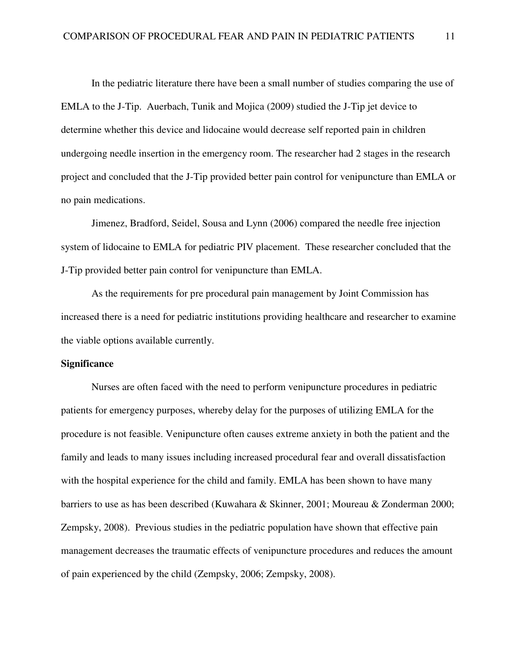In the pediatric literature there have been a small number of studies comparing the use of EMLA to the J-Tip. Auerbach, Tunik and Mojica (2009) studied the J-Tip jet device to determine whether this device and lidocaine would decrease self reported pain in children undergoing needle insertion in the emergency room. The researcher had 2 stages in the research project and concluded that the J-Tip provided better pain control for venipuncture than EMLA or no pain medications.

Jimenez, Bradford, Seidel, Sousa and Lynn (2006) compared the needle free injection system of lidocaine to EMLA for pediatric PIV placement. These researcher concluded that the J-Tip provided better pain control for venipuncture than EMLA.

As the requirements for pre procedural pain management by Joint Commission has increased there is a need for pediatric institutions providing healthcare and researcher to examine the viable options available currently.

## **Significance**

Nurses are often faced with the need to perform venipuncture procedures in pediatric patients for emergency purposes, whereby delay for the purposes of utilizing EMLA for the procedure is not feasible. Venipuncture often causes extreme anxiety in both the patient and the family and leads to many issues including increased procedural fear and overall dissatisfaction with the hospital experience for the child and family. EMLA has been shown to have many barriers to use as has been described (Kuwahara & Skinner, 2001; Moureau & Zonderman 2000; Zempsky, 2008). Previous studies in the pediatric population have shown that effective pain management decreases the traumatic effects of venipuncture procedures and reduces the amount of pain experienced by the child (Zempsky, 2006; Zempsky, 2008).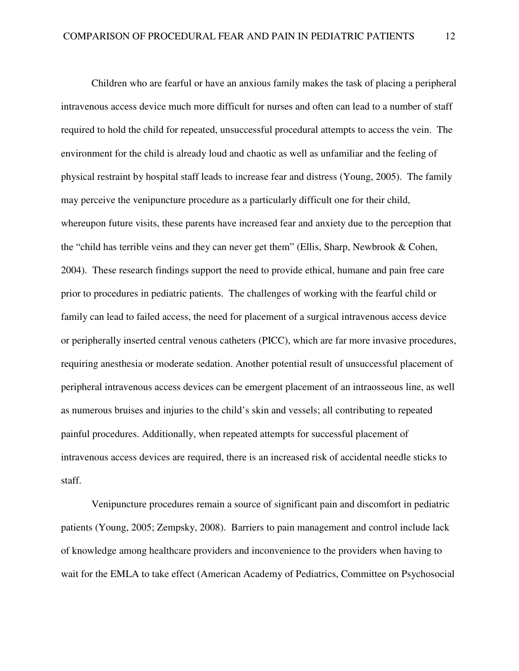Children who are fearful or have an anxious family makes the task of placing a peripheral intravenous access device much more difficult for nurses and often can lead to a number of staff required to hold the child for repeated, unsuccessful procedural attempts to access the vein. The environment for the child is already loud and chaotic as well as unfamiliar and the feeling of physical restraint by hospital staff leads to increase fear and distress (Young, 2005). The family may perceive the venipuncture procedure as a particularly difficult one for their child, whereupon future visits, these parents have increased fear and anxiety due to the perception that the "child has terrible veins and they can never get them" (Ellis, Sharp, Newbrook & Cohen, 2004). These research findings support the need to provide ethical, humane and pain free care prior to procedures in pediatric patients. The challenges of working with the fearful child or family can lead to failed access, the need for placement of a surgical intravenous access device or peripherally inserted central venous catheters (PICC), which are far more invasive procedures, requiring anesthesia or moderate sedation. Another potential result of unsuccessful placement of peripheral intravenous access devices can be emergent placement of an intraosseous line, as well as numerous bruises and injuries to the child's skin and vessels; all contributing to repeated painful procedures. Additionally, when repeated attempts for successful placement of intravenous access devices are required, there is an increased risk of accidental needle sticks to staff.

Venipuncture procedures remain a source of significant pain and discomfort in pediatric patients (Young, 2005; Zempsky, 2008). Barriers to pain management and control include lack of knowledge among healthcare providers and inconvenience to the providers when having to wait for the EMLA to take effect (American Academy of Pediatrics, Committee on Psychosocial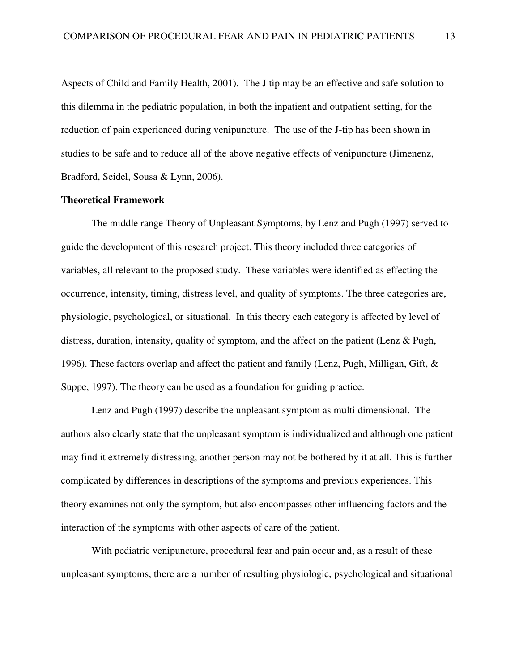Aspects of Child and Family Health, 2001). The J tip may be an effective and safe solution to this dilemma in the pediatric population, in both the inpatient and outpatient setting, for the reduction of pain experienced during venipuncture. The use of the J-tip has been shown in studies to be safe and to reduce all of the above negative effects of venipuncture (Jimenenz, Bradford, Seidel, Sousa & Lynn, 2006).

## **Theoretical Framework**

The middle range Theory of Unpleasant Symptoms, by Lenz and Pugh (1997) served to guide the development of this research project. This theory included three categories of variables, all relevant to the proposed study. These variables were identified as effecting the occurrence, intensity, timing, distress level, and quality of symptoms. The three categories are, physiologic, psychological, or situational. In this theory each category is affected by level of distress, duration, intensity, quality of symptom, and the affect on the patient (Lenz & Pugh, 1996). These factors overlap and affect the patient and family (Lenz, Pugh, Milligan, Gift, & Suppe, 1997). The theory can be used as a foundation for guiding practice.

 Lenz and Pugh (1997) describe the unpleasant symptom as multi dimensional. The authors also clearly state that the unpleasant symptom is individualized and although one patient may find it extremely distressing, another person may not be bothered by it at all. This is further complicated by differences in descriptions of the symptoms and previous experiences. This theory examines not only the symptom, but also encompasses other influencing factors and the interaction of the symptoms with other aspects of care of the patient.

With pediatric venipuncture, procedural fear and pain occur and, as a result of these unpleasant symptoms, there are a number of resulting physiologic, psychological and situational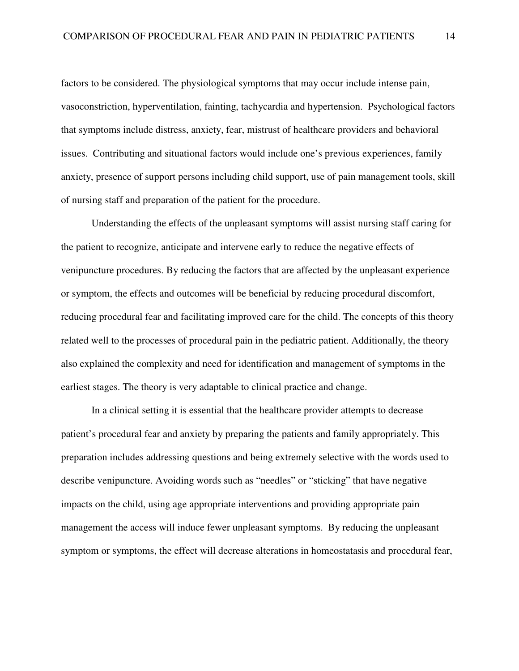factors to be considered. The physiological symptoms that may occur include intense pain, vasoconstriction, hyperventilation, fainting, tachycardia and hypertension. Psychological factors that symptoms include distress, anxiety, fear, mistrust of healthcare providers and behavioral issues. Contributing and situational factors would include one's previous experiences, family anxiety, presence of support persons including child support, use of pain management tools, skill of nursing staff and preparation of the patient for the procedure.

Understanding the effects of the unpleasant symptoms will assist nursing staff caring for the patient to recognize, anticipate and intervene early to reduce the negative effects of venipuncture procedures. By reducing the factors that are affected by the unpleasant experience or symptom, the effects and outcomes will be beneficial by reducing procedural discomfort, reducing procedural fear and facilitating improved care for the child. The concepts of this theory related well to the processes of procedural pain in the pediatric patient. Additionally, the theory also explained the complexity and need for identification and management of symptoms in the earliest stages. The theory is very adaptable to clinical practice and change.

 In a clinical setting it is essential that the healthcare provider attempts to decrease patient's procedural fear and anxiety by preparing the patients and family appropriately. This preparation includes addressing questions and being extremely selective with the words used to describe venipuncture. Avoiding words such as "needles" or "sticking" that have negative impacts on the child, using age appropriate interventions and providing appropriate pain management the access will induce fewer unpleasant symptoms. By reducing the unpleasant symptom or symptoms, the effect will decrease alterations in homeostatasis and procedural fear,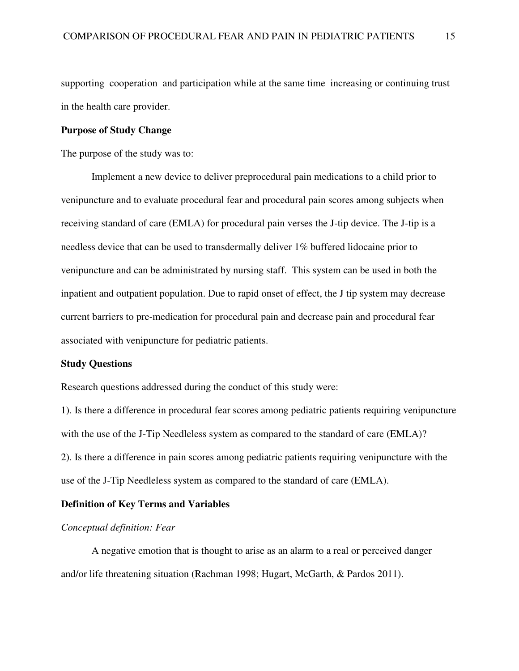supporting cooperation and participation while at the same time increasing or continuing trust in the health care provider.

## **Purpose of Study Change**

The purpose of the study was to:

 Implement a new device to deliver preprocedural pain medications to a child prior to venipuncture and to evaluate procedural fear and procedural pain scores among subjects when receiving standard of care (EMLA) for procedural pain verses the J-tip device. The J-tip is a needless device that can be used to transdermally deliver 1% buffered lidocaine prior to venipuncture and can be administrated by nursing staff. This system can be used in both the inpatient and outpatient population. Due to rapid onset of effect, the J tip system may decrease current barriers to pre-medication for procedural pain and decrease pain and procedural fear associated with venipuncture for pediatric patients.

## **Study Questions**

Research questions addressed during the conduct of this study were:

1). Is there a difference in procedural fear scores among pediatric patients requiring venipuncture with the use of the J-Tip Needleless system as compared to the standard of care (EMLA)? 2). Is there a difference in pain scores among pediatric patients requiring venipuncture with the use of the J-Tip Needleless system as compared to the standard of care (EMLA).

## **Definition of Key Terms and Variables**

## *Conceptual definition: Fear*

A negative emotion that is thought to arise as an alarm to a real or perceived danger and/or life threatening situation (Rachman 1998; Hugart, McGarth, & Pardos 2011).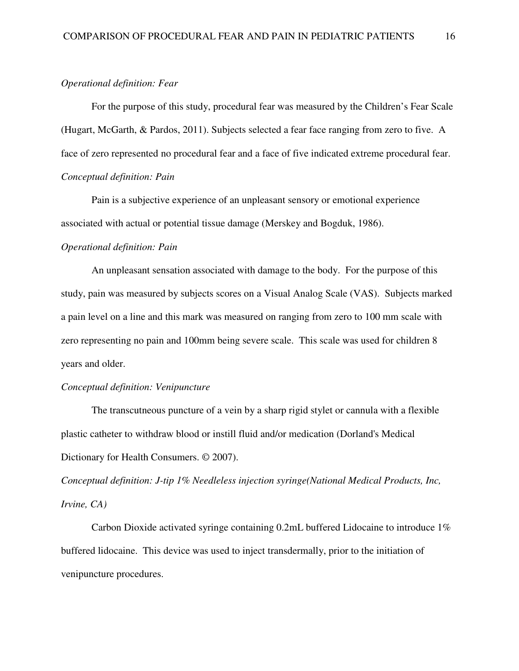## *Operational definition: Fear*

For the purpose of this study, procedural fear was measured by the Children's Fear Scale (Hugart, McGarth, & Pardos, 2011). Subjects selected a fear face ranging from zero to five. A face of zero represented no procedural fear and a face of five indicated extreme procedural fear. *Conceptual definition: Pain* 

Pain is a subjective experience of an unpleasant sensory or emotional experience associated with actual or potential tissue damage (Merskey and Bogduk, 1986).

## *Operational definition: Pain*

An unpleasant sensation associated with damage to the body. For the purpose of this study, pain was measured by subjects scores on a Visual Analog Scale (VAS). Subjects marked a pain level on a line and this mark was measured on ranging from zero to 100 mm scale with zero representing no pain and 100mm being severe scale. This scale was used for children 8 years and older.

## *Conceptual definition: Venipuncture*

The transcutneous puncture of a vein by a sharp rigid stylet or cannula with a flexible plastic catheter to withdraw blood or instill fluid and/or medication (Dorland's Medical Dictionary for Health Consumers. © 2007).

*Conceptual definition: J-tip 1% Needleless injection syringe(National Medical Products, Inc, Irvine, CA)* 

Carbon Dioxide activated syringe containing 0.2mL buffered Lidocaine to introduce 1% buffered lidocaine. This device was used to inject transdermally, prior to the initiation of venipuncture procedures.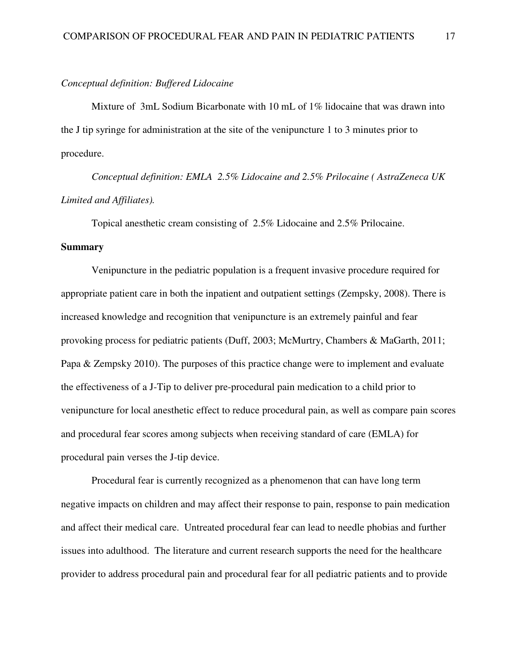#### *Conceptual definition: Buffered Lidocaine*

Mixture of 3mL Sodium Bicarbonate with 10 mL of 1% lidocaine that was drawn into the J tip syringe for administration at the site of the venipuncture 1 to 3 minutes prior to procedure.

*Conceptual definition: EMLA 2.5% Lidocaine and 2.5% Prilocaine ( AstraZeneca UK Limited and Affiliates).* 

Topical anesthetic cream consisting of 2.5% Lidocaine and 2.5% Prilocaine.

## **Summary**

Venipuncture in the pediatric population is a frequent invasive procedure required for appropriate patient care in both the inpatient and outpatient settings (Zempsky, 2008). There is increased knowledge and recognition that venipuncture is an extremely painful and fear provoking process for pediatric patients (Duff, 2003; McMurtry, Chambers & MaGarth, 2011; Papa & Zempsky 2010). The purposes of this practice change were to implement and evaluate the effectiveness of a J-Tip to deliver pre-procedural pain medication to a child prior to venipuncture for local anesthetic effect to reduce procedural pain, as well as compare pain scores and procedural fear scores among subjects when receiving standard of care (EMLA) for procedural pain verses the J-tip device.

 Procedural fear is currently recognized as a phenomenon that can have long term negative impacts on children and may affect their response to pain, response to pain medication and affect their medical care. Untreated procedural fear can lead to needle phobias and further issues into adulthood. The literature and current research supports the need for the healthcare provider to address procedural pain and procedural fear for all pediatric patients and to provide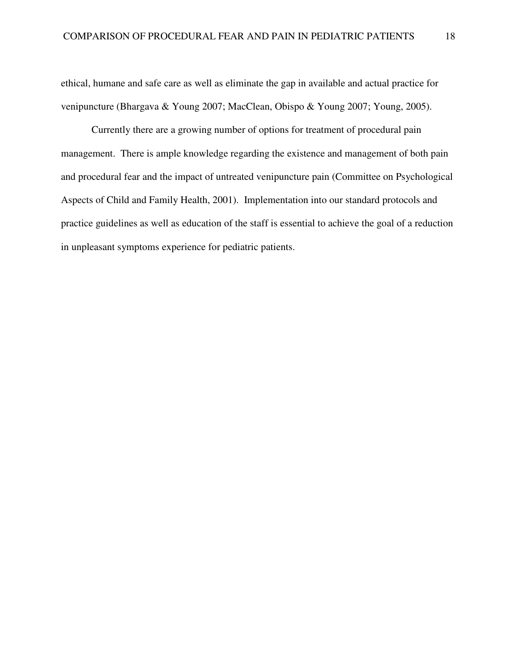ethical, humane and safe care as well as eliminate the gap in available and actual practice for venipuncture (Bhargava & Young 2007; MacClean, Obispo & Young 2007; Young, 2005).

Currently there are a growing number of options for treatment of procedural pain management. There is ample knowledge regarding the existence and management of both pain and procedural fear and the impact of untreated venipuncture pain (Committee on Psychological Aspects of Child and Family Health, 2001). Implementation into our standard protocols and practice guidelines as well as education of the staff is essential to achieve the goal of a reduction in unpleasant symptoms experience for pediatric patients.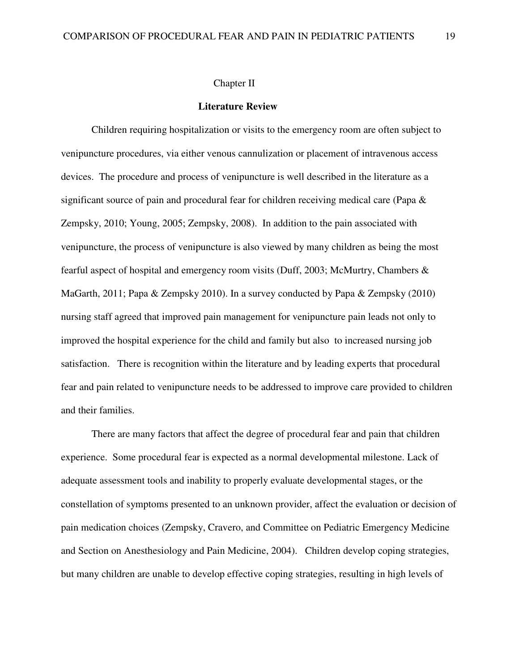#### **Literature Review**

Children requiring hospitalization or visits to the emergency room are often subject to venipuncture procedures, via either venous cannulization or placement of intravenous access devices. The procedure and process of venipuncture is well described in the literature as a significant source of pain and procedural fear for children receiving medical care (Papa & Zempsky, 2010; Young, 2005; Zempsky, 2008). In addition to the pain associated with venipuncture, the process of venipuncture is also viewed by many children as being the most fearful aspect of hospital and emergency room visits (Duff, 2003; McMurtry, Chambers & MaGarth, 2011; Papa & Zempsky 2010). In a survey conducted by Papa & Zempsky (2010) nursing staff agreed that improved pain management for venipuncture pain leads not only to improved the hospital experience for the child and family but also to increased nursing job satisfaction. There is recognition within the literature and by leading experts that procedural fear and pain related to venipuncture needs to be addressed to improve care provided to children and their families.

There are many factors that affect the degree of procedural fear and pain that children experience. Some procedural fear is expected as a normal developmental milestone. Lack of adequate assessment tools and inability to properly evaluate developmental stages, or the constellation of symptoms presented to an unknown provider, affect the evaluation or decision of pain medication choices (Zempsky, Cravero, and Committee on Pediatric Emergency Medicine and Section on Anesthesiology and Pain Medicine, 2004). Children develop coping strategies, but many children are unable to develop effective coping strategies, resulting in high levels of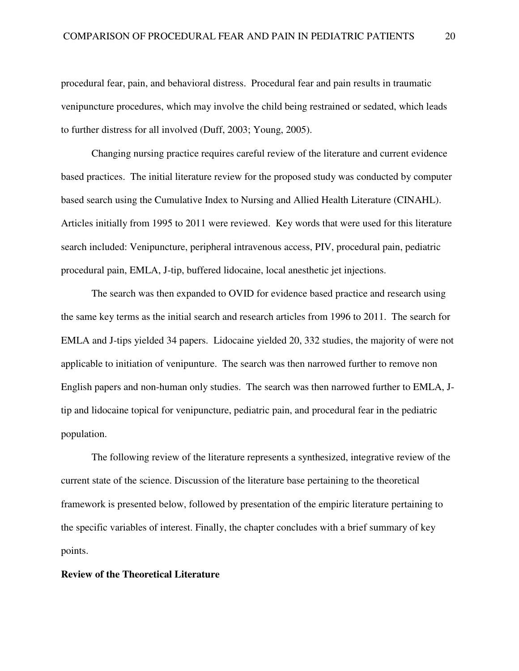procedural fear, pain, and behavioral distress. Procedural fear and pain results in traumatic venipuncture procedures, which may involve the child being restrained or sedated, which leads to further distress for all involved (Duff, 2003; Young, 2005).

Changing nursing practice requires careful review of the literature and current evidence based practices. The initial literature review for the proposed study was conducted by computer based search using the Cumulative Index to Nursing and Allied Health Literature (CINAHL). Articles initially from 1995 to 2011 were reviewed. Key words that were used for this literature search included: Venipuncture, peripheral intravenous access, PIV, procedural pain, pediatric procedural pain, EMLA, J-tip, buffered lidocaine, local anesthetic jet injections.

The search was then expanded to OVID for evidence based practice and research using the same key terms as the initial search and research articles from 1996 to 2011. The search for EMLA and J-tips yielded 34 papers. Lidocaine yielded 20, 332 studies, the majority of were not applicable to initiation of venipunture. The search was then narrowed further to remove non English papers and non-human only studies. The search was then narrowed further to EMLA, Jtip and lidocaine topical for venipuncture, pediatric pain, and procedural fear in the pediatric population.

The following review of the literature represents a synthesized, integrative review of the current state of the science. Discussion of the literature base pertaining to the theoretical framework is presented below, followed by presentation of the empiric literature pertaining to the specific variables of interest. Finally, the chapter concludes with a brief summary of key points.

## **Review of the Theoretical Literature**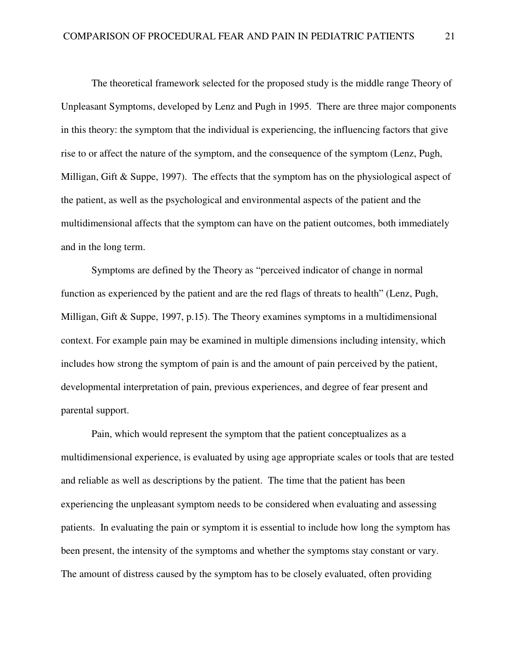The theoretical framework selected for the proposed study is the middle range Theory of Unpleasant Symptoms, developed by Lenz and Pugh in 1995. There are three major components in this theory: the symptom that the individual is experiencing, the influencing factors that give rise to or affect the nature of the symptom, and the consequence of the symptom (Lenz, Pugh, Milligan, Gift & Suppe, 1997). The effects that the symptom has on the physiological aspect of the patient, as well as the psychological and environmental aspects of the patient and the multidimensional affects that the symptom can have on the patient outcomes, both immediately and in the long term.

Symptoms are defined by the Theory as "perceived indicator of change in normal function as experienced by the patient and are the red flags of threats to health" (Lenz, Pugh, Milligan, Gift & Suppe, 1997, p.15). The Theory examines symptoms in a multidimensional context. For example pain may be examined in multiple dimensions including intensity, which includes how strong the symptom of pain is and the amount of pain perceived by the patient, developmental interpretation of pain, previous experiences, and degree of fear present and parental support.

Pain, which would represent the symptom that the patient conceptualizes as a multidimensional experience, is evaluated by using age appropriate scales or tools that are tested and reliable as well as descriptions by the patient. The time that the patient has been experiencing the unpleasant symptom needs to be considered when evaluating and assessing patients. In evaluating the pain or symptom it is essential to include how long the symptom has been present, the intensity of the symptoms and whether the symptoms stay constant or vary. The amount of distress caused by the symptom has to be closely evaluated, often providing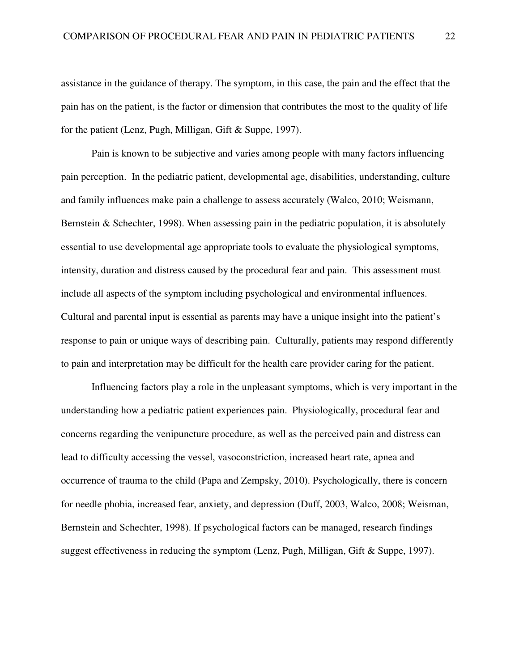assistance in the guidance of therapy. The symptom, in this case, the pain and the effect that the pain has on the patient, is the factor or dimension that contributes the most to the quality of life for the patient (Lenz, Pugh, Milligan, Gift & Suppe, 1997).

Pain is known to be subjective and varies among people with many factors influencing pain perception. In the pediatric patient, developmental age, disabilities, understanding, culture and family influences make pain a challenge to assess accurately (Walco, 2010; Weismann, Bernstein  $&$  Schechter, 1998). When assessing pain in the pediatric population, it is absolutely essential to use developmental age appropriate tools to evaluate the physiological symptoms, intensity, duration and distress caused by the procedural fear and pain. This assessment must include all aspects of the symptom including psychological and environmental influences. Cultural and parental input is essential as parents may have a unique insight into the patient's response to pain or unique ways of describing pain. Culturally, patients may respond differently to pain and interpretation may be difficult for the health care provider caring for the patient.

Influencing factors play a role in the unpleasant symptoms, which is very important in the understanding how a pediatric patient experiences pain. Physiologically, procedural fear and concerns regarding the venipuncture procedure, as well as the perceived pain and distress can lead to difficulty accessing the vessel, vasoconstriction, increased heart rate, apnea and occurrence of trauma to the child (Papa and Zempsky, 2010). Psychologically, there is concern for needle phobia, increased fear, anxiety, and depression (Duff, 2003, Walco, 2008; Weisman, Bernstein and Schechter, 1998). If psychological factors can be managed, research findings suggest effectiveness in reducing the symptom (Lenz, Pugh, Milligan, Gift & Suppe, 1997).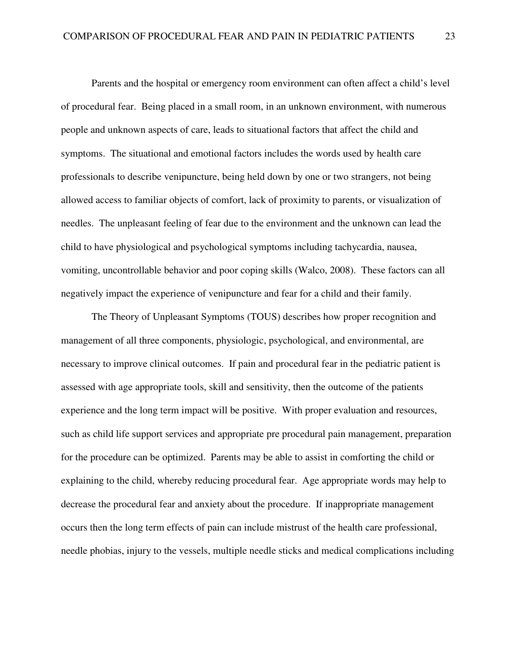Parents and the hospital or emergency room environment can often affect a child's level of procedural fear. Being placed in a small room, in an unknown environment, with numerous people and unknown aspects of care, leads to situational factors that affect the child and symptoms. The situational and emotional factors includes the words used by health care professionals to describe venipuncture, being held down by one or two strangers, not being allowed access to familiar objects of comfort, lack of proximity to parents, or visualization of needles. The unpleasant feeling of fear due to the environment and the unknown can lead the child to have physiological and psychological symptoms including tachycardia, nausea, vomiting, uncontrollable behavior and poor coping skills (Walco, 2008). These factors can all negatively impact the experience of venipuncture and fear for a child and their family.

The Theory of Unpleasant Symptoms (TOUS) describes how proper recognition and management of all three components, physiologic, psychological, and environmental, are necessary to improve clinical outcomes. If pain and procedural fear in the pediatric patient is assessed with age appropriate tools, skill and sensitivity, then the outcome of the patients experience and the long term impact will be positive. With proper evaluation and resources, such as child life support services and appropriate pre procedural pain management, preparation for the procedure can be optimized. Parents may be able to assist in comforting the child or explaining to the child, whereby reducing procedural fear. Age appropriate words may help to decrease the procedural fear and anxiety about the procedure. If inappropriate management occurs then the long term effects of pain can include mistrust of the health care professional, needle phobias, injury to the vessels, multiple needle sticks and medical complications including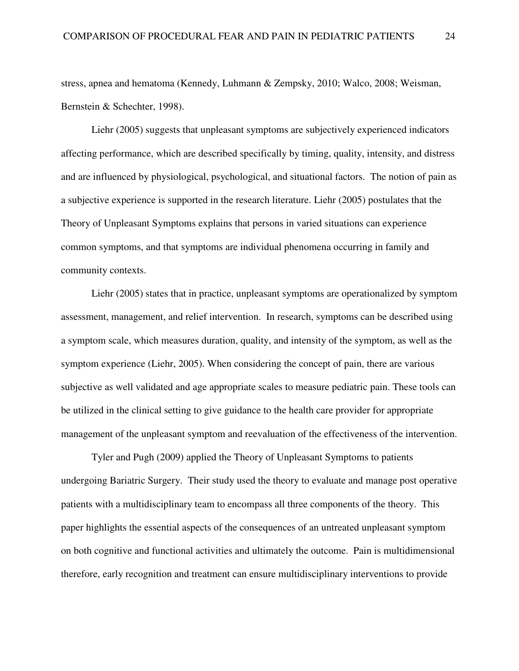stress, apnea and hematoma (Kennedy, Luhmann & Zempsky, 2010; Walco, 2008; Weisman, Bernstein & Schechter, 1998).

Liehr (2005) suggests that unpleasant symptoms are subjectively experienced indicators affecting performance, which are described specifically by timing, quality, intensity, and distress and are influenced by physiological, psychological, and situational factors. The notion of pain as a subjective experience is supported in the research literature. Liehr (2005) postulates that the Theory of Unpleasant Symptoms explains that persons in varied situations can experience common symptoms, and that symptoms are individual phenomena occurring in family and community contexts.

Liehr (2005) states that in practice, unpleasant symptoms are operationalized by symptom assessment, management, and relief intervention. In research, symptoms can be described using a symptom scale, which measures duration, quality, and intensity of the symptom, as well as the symptom experience (Liehr, 2005). When considering the concept of pain, there are various subjective as well validated and age appropriate scales to measure pediatric pain. These tools can be utilized in the clinical setting to give guidance to the health care provider for appropriate management of the unpleasant symptom and reevaluation of the effectiveness of the intervention.

 Tyler and Pugh (2009) applied the Theory of Unpleasant Symptoms to patients undergoing Bariatric Surgery. Their study used the theory to evaluate and manage post operative patients with a multidisciplinary team to encompass all three components of the theory. This paper highlights the essential aspects of the consequences of an untreated unpleasant symptom on both cognitive and functional activities and ultimately the outcome. Pain is multidimensional therefore, early recognition and treatment can ensure multidisciplinary interventions to provide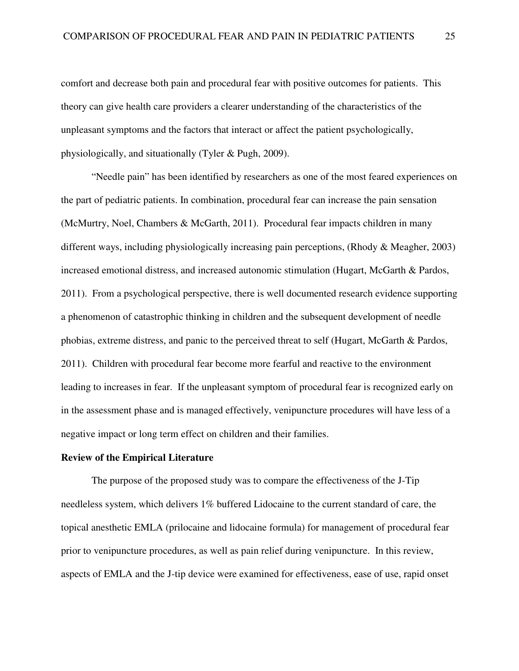comfort and decrease both pain and procedural fear with positive outcomes for patients. This theory can give health care providers a clearer understanding of the characteristics of the unpleasant symptoms and the factors that interact or affect the patient psychologically, physiologically, and situationally (Tyler & Pugh, 2009).

"Needle pain" has been identified by researchers as one of the most feared experiences on the part of pediatric patients. In combination, procedural fear can increase the pain sensation (McMurtry, Noel, Chambers & McGarth, 2011). Procedural fear impacts children in many different ways, including physiologically increasing pain perceptions, (Rhody & Meagher, 2003) increased emotional distress, and increased autonomic stimulation (Hugart, McGarth & Pardos, 2011). From a psychological perspective, there is well documented research evidence supporting a phenomenon of catastrophic thinking in children and the subsequent development of needle phobias, extreme distress, and panic to the perceived threat to self (Hugart, McGarth & Pardos, 2011). Children with procedural fear become more fearful and reactive to the environment leading to increases in fear. If the unpleasant symptom of procedural fear is recognized early on in the assessment phase and is managed effectively, venipuncture procedures will have less of a negative impact or long term effect on children and their families.

## **Review of the Empirical Literature**

The purpose of the proposed study was to compare the effectiveness of the J-Tip needleless system, which delivers 1% buffered Lidocaine to the current standard of care, the topical anesthetic EMLA (prilocaine and lidocaine formula) for management of procedural fear prior to venipuncture procedures, as well as pain relief during venipuncture. In this review, aspects of EMLA and the J-tip device were examined for effectiveness, ease of use, rapid onset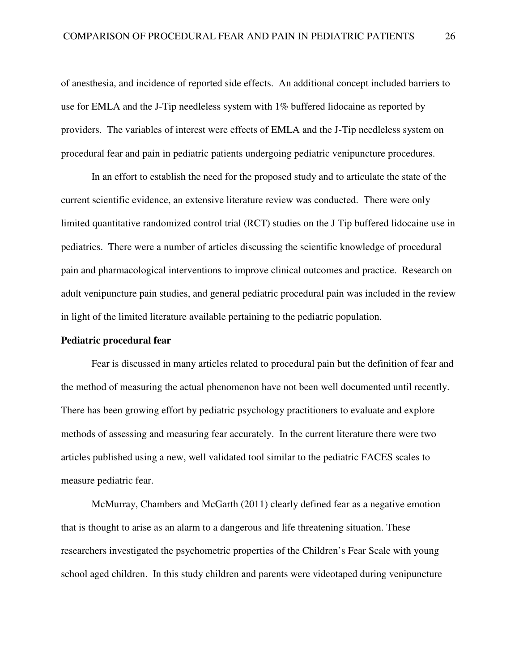of anesthesia, and incidence of reported side effects. An additional concept included barriers to use for EMLA and the J-Tip needleless system with 1% buffered lidocaine as reported by providers. The variables of interest were effects of EMLA and the J-Tip needleless system on procedural fear and pain in pediatric patients undergoing pediatric venipuncture procedures.

In an effort to establish the need for the proposed study and to articulate the state of the current scientific evidence, an extensive literature review was conducted. There were only limited quantitative randomized control trial (RCT) studies on the J Tip buffered lidocaine use in pediatrics. There were a number of articles discussing the scientific knowledge of procedural pain and pharmacological interventions to improve clinical outcomes and practice. Research on adult venipuncture pain studies, and general pediatric procedural pain was included in the review in light of the limited literature available pertaining to the pediatric population.

## **Pediatric procedural fear**

Fear is discussed in many articles related to procedural pain but the definition of fear and the method of measuring the actual phenomenon have not been well documented until recently. There has been growing effort by pediatric psychology practitioners to evaluate and explore methods of assessing and measuring fear accurately. In the current literature there were two articles published using a new, well validated tool similar to the pediatric FACES scales to measure pediatric fear.

 McMurray, Chambers and McGarth (2011) clearly defined fear as a negative emotion that is thought to arise as an alarm to a dangerous and life threatening situation. These researchers investigated the psychometric properties of the Children's Fear Scale with young school aged children. In this study children and parents were videotaped during venipuncture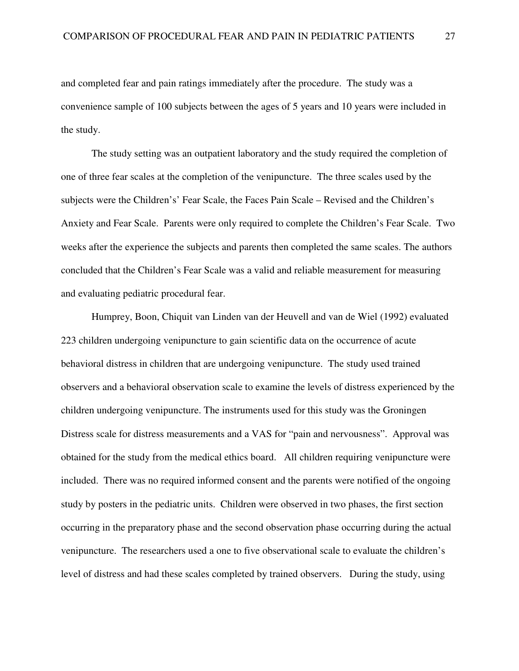and completed fear and pain ratings immediately after the procedure. The study was a convenience sample of 100 subjects between the ages of 5 years and 10 years were included in the study.

The study setting was an outpatient laboratory and the study required the completion of one of three fear scales at the completion of the venipuncture. The three scales used by the subjects were the Children's' Fear Scale, the Faces Pain Scale – Revised and the Children's Anxiety and Fear Scale. Parents were only required to complete the Children's Fear Scale. Two weeks after the experience the subjects and parents then completed the same scales. The authors concluded that the Children's Fear Scale was a valid and reliable measurement for measuring and evaluating pediatric procedural fear.

Humprey, Boon, Chiquit van Linden van der Heuvell and van de Wiel (1992) evaluated 223 children undergoing venipuncture to gain scientific data on the occurrence of acute behavioral distress in children that are undergoing venipuncture. The study used trained observers and a behavioral observation scale to examine the levels of distress experienced by the children undergoing venipuncture. The instruments used for this study was the Groningen Distress scale for distress measurements and a VAS for "pain and nervousness". Approval was obtained for the study from the medical ethics board. All children requiring venipuncture were included. There was no required informed consent and the parents were notified of the ongoing study by posters in the pediatric units. Children were observed in two phases, the first section occurring in the preparatory phase and the second observation phase occurring during the actual venipuncture. The researchers used a one to five observational scale to evaluate the children's level of distress and had these scales completed by trained observers. During the study, using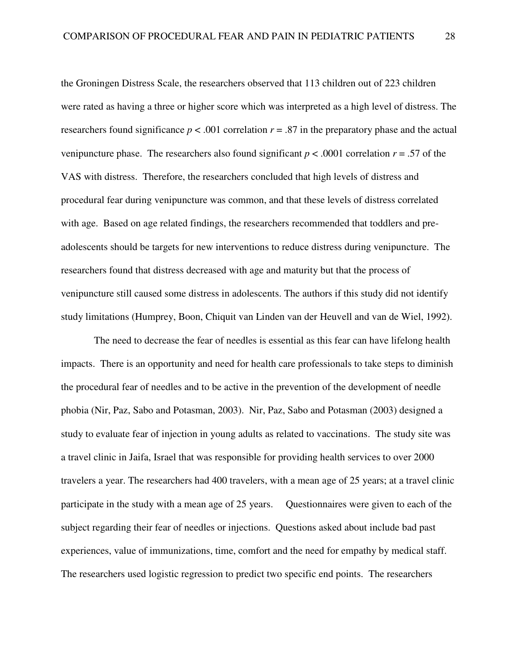the Groningen Distress Scale, the researchers observed that 113 children out of 223 children were rated as having a three or higher score which was interpreted as a high level of distress. The researchers found significance  $p < .001$  correlation  $r = .87$  in the preparatory phase and the actual venipuncture phase. The researchers also found significant  $p < .0001$  correlation  $r = .57$  of the VAS with distress. Therefore, the researchers concluded that high levels of distress and procedural fear during venipuncture was common, and that these levels of distress correlated with age. Based on age related findings, the researchers recommended that toddlers and preadolescents should be targets for new interventions to reduce distress during venipuncture. The researchers found that distress decreased with age and maturity but that the process of venipuncture still caused some distress in adolescents. The authors if this study did not identify study limitations (Humprey, Boon, Chiquit van Linden van der Heuvell and van de Wiel, 1992).

 The need to decrease the fear of needles is essential as this fear can have lifelong health impacts. There is an opportunity and need for health care professionals to take steps to diminish the procedural fear of needles and to be active in the prevention of the development of needle phobia (Nir, Paz, Sabo and Potasman, 2003). Nir, Paz, Sabo and Potasman (2003) designed a study to evaluate fear of injection in young adults as related to vaccinations. The study site was a travel clinic in Jaifa, Israel that was responsible for providing health services to over 2000 travelers a year. The researchers had 400 travelers, with a mean age of 25 years; at a travel clinic participate in the study with a mean age of 25 years. Questionnaires were given to each of the subject regarding their fear of needles or injections. Questions asked about include bad past experiences, value of immunizations, time, comfort and the need for empathy by medical staff. The researchers used logistic regression to predict two specific end points. The researchers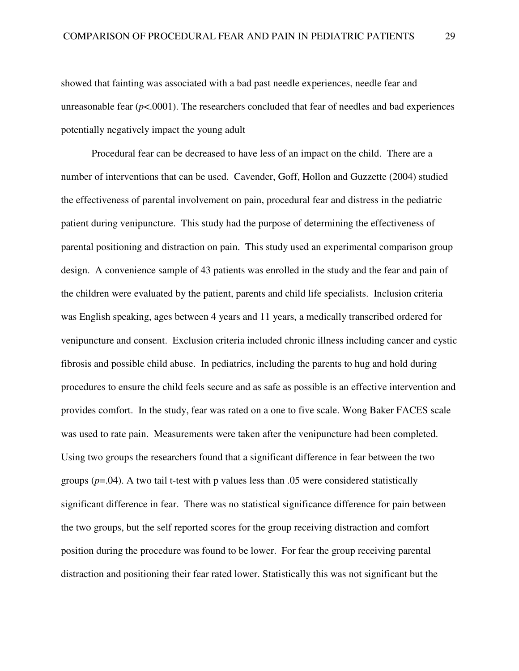showed that fainting was associated with a bad past needle experiences, needle fear and unreasonable fear  $(p<.0001)$ . The researchers concluded that fear of needles and bad experiences potentially negatively impact the young adult

Procedural fear can be decreased to have less of an impact on the child. There are a number of interventions that can be used. Cavender, Goff, Hollon and Guzzette (2004) studied the effectiveness of parental involvement on pain, procedural fear and distress in the pediatric patient during venipuncture. This study had the purpose of determining the effectiveness of parental positioning and distraction on pain. This study used an experimental comparison group design. A convenience sample of 43 patients was enrolled in the study and the fear and pain of the children were evaluated by the patient, parents and child life specialists. Inclusion criteria was English speaking, ages between 4 years and 11 years, a medically transcribed ordered for venipuncture and consent. Exclusion criteria included chronic illness including cancer and cystic fibrosis and possible child abuse. In pediatrics, including the parents to hug and hold during procedures to ensure the child feels secure and as safe as possible is an effective intervention and provides comfort. In the study, fear was rated on a one to five scale. Wong Baker FACES scale was used to rate pain. Measurements were taken after the venipuncture had been completed. Using two groups the researchers found that a significant difference in fear between the two groups  $(p=0.04)$ . A two tail t-test with p values less than  $0.05$  were considered statistically significant difference in fear. There was no statistical significance difference for pain between the two groups, but the self reported scores for the group receiving distraction and comfort position during the procedure was found to be lower. For fear the group receiving parental distraction and positioning their fear rated lower. Statistically this was not significant but the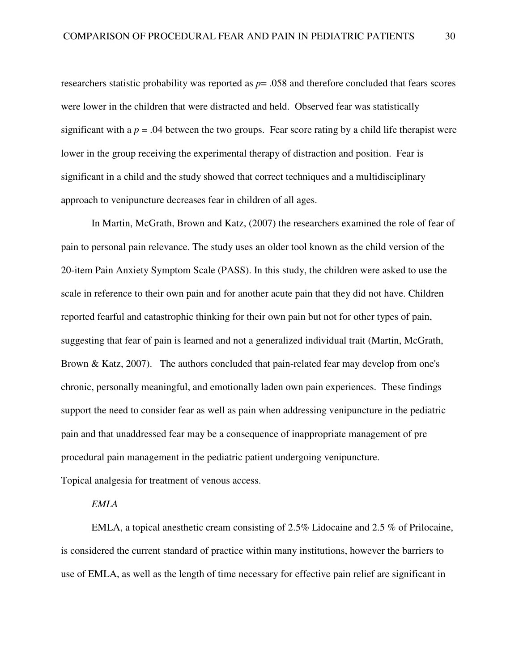researchers statistic probability was reported as *p*= .058 and therefore concluded that fears scores were lower in the children that were distracted and held. Observed fear was statistically significant with a  $p = 0.04$  between the two groups. Fear score rating by a child life therapist were lower in the group receiving the experimental therapy of distraction and position. Fear is significant in a child and the study showed that correct techniques and a multidisciplinary approach to venipuncture decreases fear in children of all ages.

In Martin, McGrath, Brown and Katz, (2007) the researchers examined the role of fear of pain to personal pain relevance. The study uses an older tool known as the child version of the 20-item Pain Anxiety Symptom Scale (PASS). In this study, the children were asked to use the scale in reference to their own pain and for another acute pain that they did not have. Children reported fearful and catastrophic thinking for their own pain but not for other types of pain, suggesting that fear of pain is learned and not a generalized individual trait (Martin, McGrath, Brown & Katz, 2007). The authors concluded that pain-related fear may develop from one's chronic, personally meaningful, and emotionally laden own pain experiences. These findings support the need to consider fear as well as pain when addressing venipuncture in the pediatric pain and that unaddressed fear may be a consequence of inappropriate management of pre procedural pain management in the pediatric patient undergoing venipuncture. Topical analgesia for treatment of venous access.

## *EMLA*

 EMLA, a topical anesthetic cream consisting of 2.5% Lidocaine and 2.5 % of Prilocaine, is considered the current standard of practice within many institutions, however the barriers to use of EMLA, as well as the length of time necessary for effective pain relief are significant in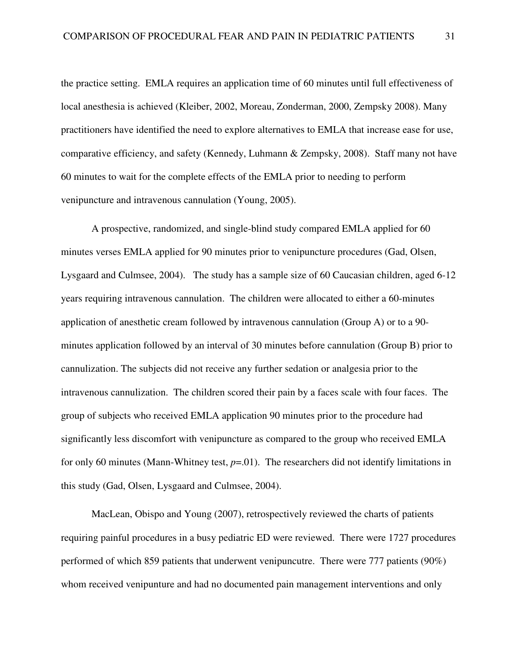the practice setting. EMLA requires an application time of 60 minutes until full effectiveness of local anesthesia is achieved (Kleiber, 2002, Moreau, Zonderman, 2000, Zempsky 2008). Many practitioners have identified the need to explore alternatives to EMLA that increase ease for use, comparative efficiency, and safety (Kennedy, Luhmann & Zempsky, 2008). Staff many not have 60 minutes to wait for the complete effects of the EMLA prior to needing to perform venipuncture and intravenous cannulation (Young, 2005).

A prospective, randomized, and single-blind study compared EMLA applied for 60 minutes verses EMLA applied for 90 minutes prior to venipuncture procedures (Gad, Olsen, Lysgaard and Culmsee, 2004). The study has a sample size of 60 Caucasian children, aged 6-12 years requiring intravenous cannulation. The children were allocated to either a 60-minutes application of anesthetic cream followed by intravenous cannulation (Group A) or to a 90 minutes application followed by an interval of 30 minutes before cannulation (Group B) prior to cannulization. The subjects did not receive any further sedation or analgesia prior to the intravenous cannulization. The children scored their pain by a faces scale with four faces. The group of subjects who received EMLA application 90 minutes prior to the procedure had significantly less discomfort with venipuncture as compared to the group who received EMLA for only 60 minutes (Mann-Whitney test,  $p=0.01$ ). The researchers did not identify limitations in this study (Gad, Olsen, Lysgaard and Culmsee, 2004).

 MacLean, Obispo and Young (2007), retrospectively reviewed the charts of patients requiring painful procedures in a busy pediatric ED were reviewed. There were 1727 procedures performed of which 859 patients that underwent venipuncutre. There were 777 patients (90%) whom received venipunture and had no documented pain management interventions and only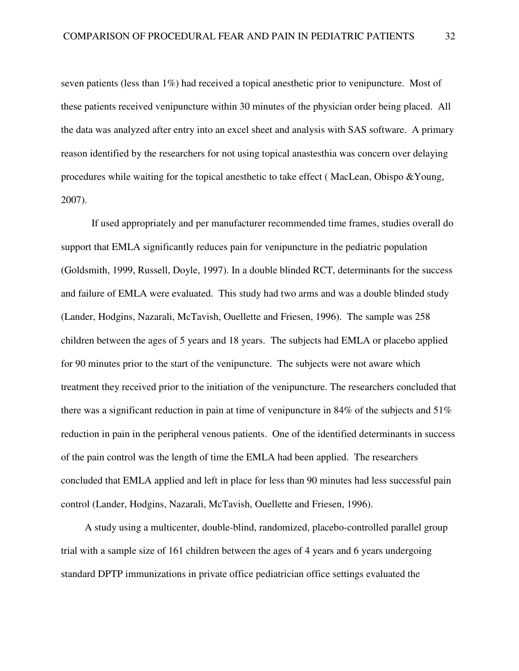seven patients (less than 1%) had received a topical anesthetic prior to venipuncture. Most of these patients received venipuncture within 30 minutes of the physician order being placed. All the data was analyzed after entry into an excel sheet and analysis with SAS software. A primary reason identified by the researchers for not using topical anastesthia was concern over delaying procedures while waiting for the topical anesthetic to take effect ( MacLean, Obispo &Young, 2007).

If used appropriately and per manufacturer recommended time frames, studies overall do support that EMLA significantly reduces pain for venipuncture in the pediatric population (Goldsmith, 1999, Russell, Doyle, 1997). In a double blinded RCT, determinants for the success and failure of EMLA were evaluated. This study had two arms and was a double blinded study (Lander, Hodgins, Nazarali, McTavish, Ouellette and Friesen, 1996). The sample was 258 children between the ages of 5 years and 18 years. The subjects had EMLA or placebo applied for 90 minutes prior to the start of the venipuncture. The subjects were not aware which treatment they received prior to the initiation of the venipuncture. The researchers concluded that there was a significant reduction in pain at time of venipuncture in 84% of the subjects and 51% reduction in pain in the peripheral venous patients. One of the identified determinants in success of the pain control was the length of time the EMLA had been applied. The researchers concluded that EMLA applied and left in place for less than 90 minutes had less successful pain control (Lander, Hodgins, Nazarali, McTavish, Ouellette and Friesen, 1996).

 A study using a multicenter, double-blind, randomized, placebo-controlled parallel group trial with a sample size of 161 children between the ages of 4 years and 6 years undergoing standard DPTP immunizations in private office pediatrician office settings evaluated the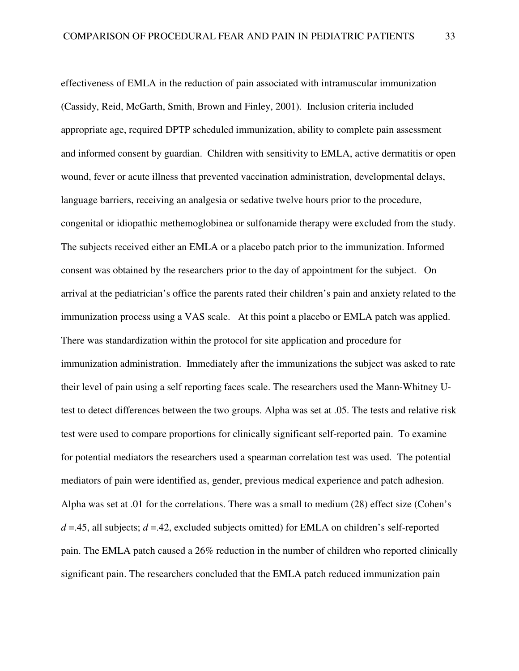effectiveness of EMLA in the reduction of pain associated with intramuscular immunization (Cassidy, Reid, McGarth, Smith, Brown and Finley, 2001). Inclusion criteria included appropriate age, required DPTP scheduled immunization, ability to complete pain assessment and informed consent by guardian. Children with sensitivity to EMLA, active dermatitis or open wound, fever or acute illness that prevented vaccination administration, developmental delays, language barriers, receiving an analgesia or sedative twelve hours prior to the procedure, congenital or idiopathic methemoglobinea or sulfonamide therapy were excluded from the study. The subjects received either an EMLA or a placebo patch prior to the immunization. Informed consent was obtained by the researchers prior to the day of appointment for the subject. On arrival at the pediatrician's office the parents rated their children's pain and anxiety related to the immunization process using a VAS scale. At this point a placebo or EMLA patch was applied. There was standardization within the protocol for site application and procedure for immunization administration. Immediately after the immunizations the subject was asked to rate their level of pain using a self reporting faces scale. The researchers used the Mann-Whitney Utest to detect differences between the two groups. Alpha was set at .05. The tests and relative risk test were used to compare proportions for clinically significant self-reported pain. To examine for potential mediators the researchers used a spearman correlation test was used. The potential mediators of pain were identified as, gender, previous medical experience and patch adhesion. Alpha was set at .01 for the correlations. There was a small to medium (28) effect size (Cohen's  $d = 0.45$ , all subjects;  $d = 0.42$ , excluded subjects omitted) for EMLA on children's self-reported pain. The EMLA patch caused a 26% reduction in the number of children who reported clinically significant pain. The researchers concluded that the EMLA patch reduced immunization pain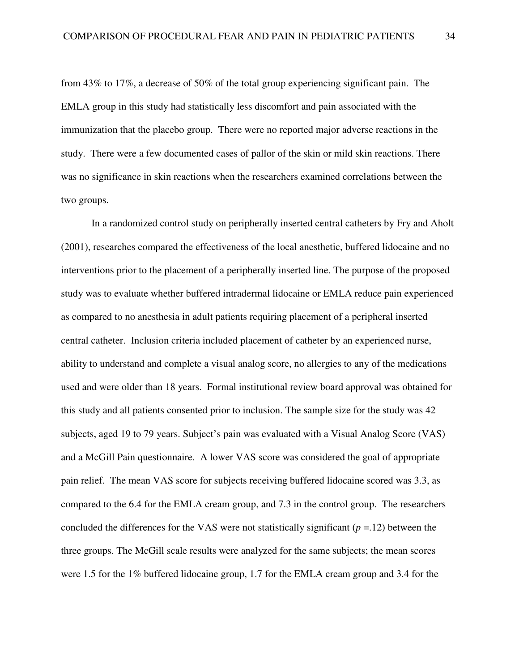from 43% to 17%, a decrease of 50% of the total group experiencing significant pain. The EMLA group in this study had statistically less discomfort and pain associated with the immunization that the placebo group. There were no reported major adverse reactions in the study. There were a few documented cases of pallor of the skin or mild skin reactions. There was no significance in skin reactions when the researchers examined correlations between the two groups.

In a randomized control study on peripherally inserted central catheters by Fry and Aholt (2001), researches compared the effectiveness of the local anesthetic, buffered lidocaine and no interventions prior to the placement of a peripherally inserted line. The purpose of the proposed study was to evaluate whether buffered intradermal lidocaine or EMLA reduce pain experienced as compared to no anesthesia in adult patients requiring placement of a peripheral inserted central catheter. Inclusion criteria included placement of catheter by an experienced nurse, ability to understand and complete a visual analog score, no allergies to any of the medications used and were older than 18 years. Formal institutional review board approval was obtained for this study and all patients consented prior to inclusion. The sample size for the study was 42 subjects, aged 19 to 79 years. Subject's pain was evaluated with a Visual Analog Score (VAS) and a McGill Pain questionnaire. A lower VAS score was considered the goal of appropriate pain relief. The mean VAS score for subjects receiving buffered lidocaine scored was 3.3, as compared to the 6.4 for the EMLA cream group, and 7.3 in the control group. The researchers concluded the differences for the VAS were not statistically significant  $(p = 12)$  between the three groups. The McGill scale results were analyzed for the same subjects; the mean scores were 1.5 for the 1% buffered lidocaine group, 1.7 for the EMLA cream group and 3.4 for the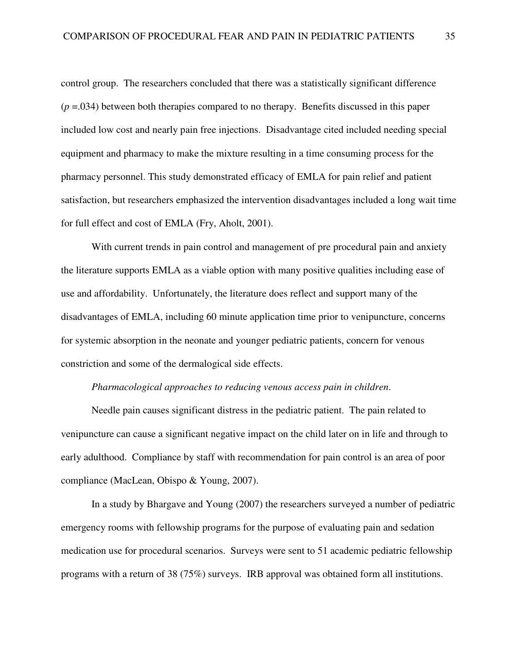control group. The researchers concluded that there was a statistically significant difference  $(p = .034)$  between both therapies compared to no therapy. Benefits discussed in this paper included low cost and nearly pain free injections. Disadvantage cited included needing special equipment and pharmacy to make the mixture resulting in a time consuming process for the pharmacy personnel. This study demonstrated efficacy of EMLA for pain relief and patient satisfaction, but researchers emphasized the intervention disadvantages included a long wait time for full effect and cost of EMLA (Fry, Aholt, 2001).

With current trends in pain control and management of pre procedural pain and anxiety the literature supports EMLA as a viable option with many positive qualities including ease of use and affordability. Unfortunately, the literature does reflect and support many of the disadvantages of EMLA, including 60 minute application time prior to venipuncture, concerns for systemic absorption in the neonate and younger pediatric patients, concern for venous constriction and some of the dermalogical side effects.

### *Pharmacological approaches to reducing venous access pain in children*.

Needle pain causes significant distress in the pediatric patient. The pain related to venipuncture can cause a significant negative impact on the child later on in life and through to early adulthood. Compliance by staff with recommendation for pain control is an area of poor compliance (MacLean, Obispo & Young, 2007).

In a study by Bhargave and Young (2007) the researchers surveyed a number of pediatric emergency rooms with fellowship programs for the purpose of evaluating pain and sedation medication use for procedural scenarios. Surveys were sent to 51 academic pediatric fellowship programs with a return of 38 (75%) surveys. IRB approval was obtained form all institutions.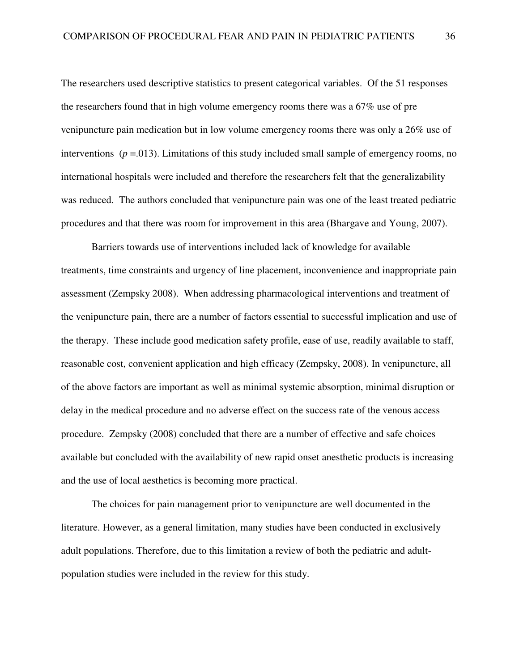The researchers used descriptive statistics to present categorical variables. Of the 51 responses the researchers found that in high volume emergency rooms there was a 67% use of pre venipuncture pain medication but in low volume emergency rooms there was only a 26% use of interventions  $(p = .013)$ . Limitations of this study included small sample of emergency rooms, no international hospitals were included and therefore the researchers felt that the generalizability was reduced. The authors concluded that venipuncture pain was one of the least treated pediatric procedures and that there was room for improvement in this area (Bhargave and Young, 2007).

Barriers towards use of interventions included lack of knowledge for available treatments, time constraints and urgency of line placement, inconvenience and inappropriate pain assessment (Zempsky 2008). When addressing pharmacological interventions and treatment of the venipuncture pain, there are a number of factors essential to successful implication and use of the therapy. These include good medication safety profile, ease of use, readily available to staff, reasonable cost, convenient application and high efficacy (Zempsky, 2008). In venipuncture, all of the above factors are important as well as minimal systemic absorption, minimal disruption or delay in the medical procedure and no adverse effect on the success rate of the venous access procedure. Zempsky (2008) concluded that there are a number of effective and safe choices available but concluded with the availability of new rapid onset anesthetic products is increasing and the use of local aesthetics is becoming more practical.

The choices for pain management prior to venipuncture are well documented in the literature. However, as a general limitation, many studies have been conducted in exclusively adult populations. Therefore, due to this limitation a review of both the pediatric and adultpopulation studies were included in the review for this study.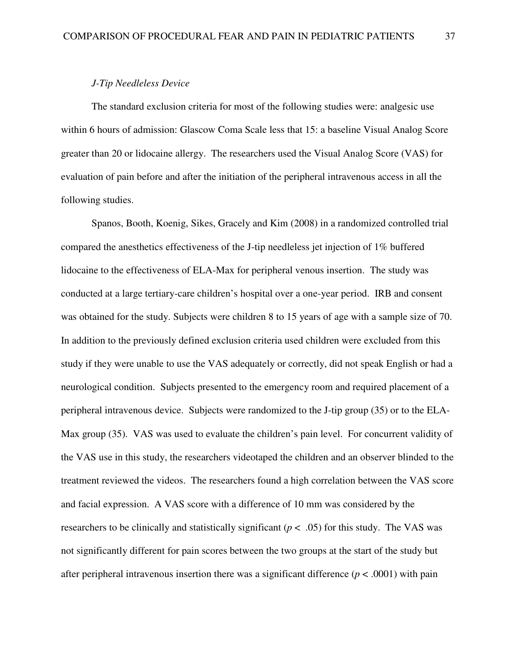#### *J-Tip Needleless Device*

The standard exclusion criteria for most of the following studies were: analgesic use within 6 hours of admission: Glascow Coma Scale less that 15: a baseline Visual Analog Score greater than 20 or lidocaine allergy. The researchers used the Visual Analog Score (VAS) for evaluation of pain before and after the initiation of the peripheral intravenous access in all the following studies.

Spanos, Booth, Koenig, Sikes, Gracely and Kim (2008) in a randomized controlled trial compared the anesthetics effectiveness of the J-tip needleless jet injection of 1% buffered lidocaine to the effectiveness of ELA-Max for peripheral venous insertion. The study was conducted at a large tertiary-care children's hospital over a one-year period. IRB and consent was obtained for the study. Subjects were children 8 to 15 years of age with a sample size of 70. In addition to the previously defined exclusion criteria used children were excluded from this study if they were unable to use the VAS adequately or correctly, did not speak English or had a neurological condition. Subjects presented to the emergency room and required placement of a peripheral intravenous device. Subjects were randomized to the J-tip group (35) or to the ELA-Max group (35). VAS was used to evaluate the children's pain level. For concurrent validity of the VAS use in this study, the researchers videotaped the children and an observer blinded to the treatment reviewed the videos. The researchers found a high correlation between the VAS score and facial expression. A VAS score with a difference of 10 mm was considered by the researchers to be clinically and statistically significant  $(p < .05)$  for this study. The VAS was not significantly different for pain scores between the two groups at the start of the study but after peripheral intravenous insertion there was a significant difference ( $p < .0001$ ) with pain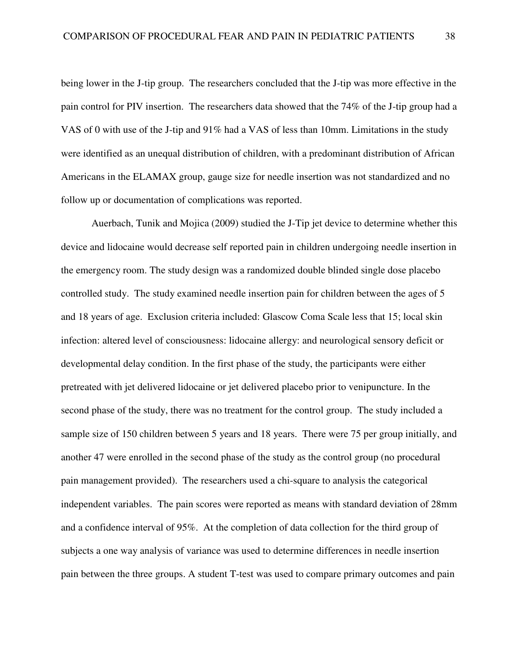being lower in the J-tip group. The researchers concluded that the J-tip was more effective in the pain control for PIV insertion. The researchers data showed that the 74% of the J-tip group had a VAS of 0 with use of the J-tip and 91% had a VAS of less than 10mm. Limitations in the study were identified as an unequal distribution of children, with a predominant distribution of African Americans in the ELAMAX group, gauge size for needle insertion was not standardized and no follow up or documentation of complications was reported.

Auerbach, Tunik and Mojica (2009) studied the J-Tip jet device to determine whether this device and lidocaine would decrease self reported pain in children undergoing needle insertion in the emergency room. The study design was a randomized double blinded single dose placebo controlled study. The study examined needle insertion pain for children between the ages of 5 and 18 years of age. Exclusion criteria included: Glascow Coma Scale less that 15; local skin infection: altered level of consciousness: lidocaine allergy: and neurological sensory deficit or developmental delay condition. In the first phase of the study, the participants were either pretreated with jet delivered lidocaine or jet delivered placebo prior to venipuncture. In the second phase of the study, there was no treatment for the control group. The study included a sample size of 150 children between 5 years and 18 years. There were 75 per group initially, and another 47 were enrolled in the second phase of the study as the control group (no procedural pain management provided). The researchers used a chi-square to analysis the categorical independent variables. The pain scores were reported as means with standard deviation of 28mm and a confidence interval of 95%. At the completion of data collection for the third group of subjects a one way analysis of variance was used to determine differences in needle insertion pain between the three groups. A student T-test was used to compare primary outcomes and pain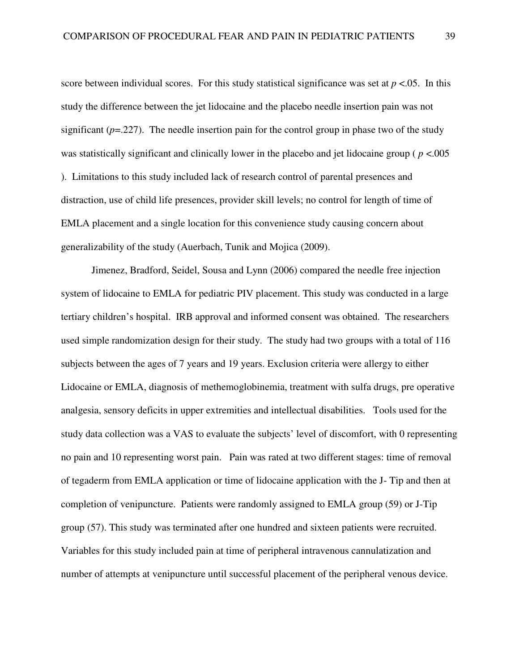score between individual scores. For this study statistical significance was set at  $p < 0.05$ . In this study the difference between the jet lidocaine and the placebo needle insertion pain was not significant  $(p=227)$ . The needle insertion pain for the control group in phase two of the study was statistically significant and clinically lower in the placebo and jet lidocaine group ( *p* <.005 ). Limitations to this study included lack of research control of parental presences and distraction, use of child life presences, provider skill levels; no control for length of time of EMLA placement and a single location for this convenience study causing concern about generalizability of the study (Auerbach, Tunik and Mojica (2009).

Jimenez, Bradford, Seidel, Sousa and Lynn (2006) compared the needle free injection system of lidocaine to EMLA for pediatric PIV placement. This study was conducted in a large tertiary children's hospital. IRB approval and informed consent was obtained. The researchers used simple randomization design for their study. The study had two groups with a total of 116 subjects between the ages of 7 years and 19 years. Exclusion criteria were allergy to either Lidocaine or EMLA, diagnosis of methemoglobinemia, treatment with sulfa drugs, pre operative analgesia, sensory deficits in upper extremities and intellectual disabilities. Tools used for the study data collection was a VAS to evaluate the subjects' level of discomfort, with 0 representing no pain and 10 representing worst pain. Pain was rated at two different stages: time of removal of tegaderm from EMLA application or time of lidocaine application with the J- Tip and then at completion of venipuncture. Patients were randomly assigned to EMLA group (59) or J-Tip group (57). This study was terminated after one hundred and sixteen patients were recruited. Variables for this study included pain at time of peripheral intravenous cannulatization and number of attempts at venipuncture until successful placement of the peripheral venous device.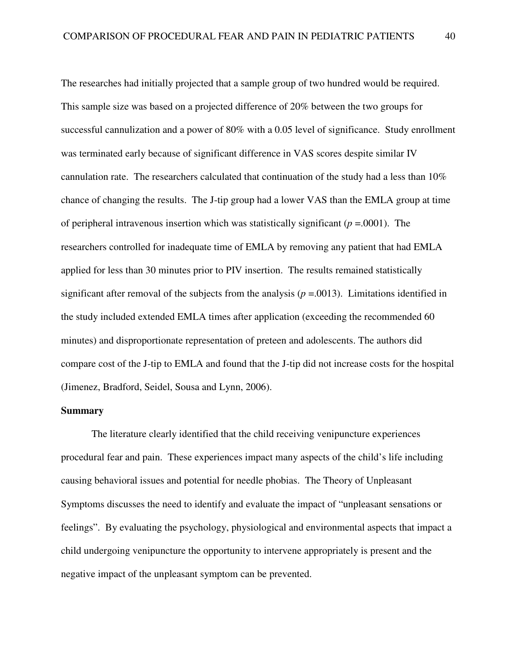The researches had initially projected that a sample group of two hundred would be required. This sample size was based on a projected difference of 20% between the two groups for successful cannulization and a power of 80% with a 0.05 level of significance. Study enrollment was terminated early because of significant difference in VAS scores despite similar IV cannulation rate. The researchers calculated that continuation of the study had a less than 10% chance of changing the results. The J-tip group had a lower VAS than the EMLA group at time of peripheral intravenous insertion which was statistically significant  $(p = .0001)$ . The researchers controlled for inadequate time of EMLA by removing any patient that had EMLA applied for less than 30 minutes prior to PIV insertion. The results remained statistically significant after removal of the subjects from the analysis  $(p = .0013)$ . Limitations identified in the study included extended EMLA times after application (exceeding the recommended 60 minutes) and disproportionate representation of preteen and adolescents. The authors did compare cost of the J-tip to EMLA and found that the J-tip did not increase costs for the hospital (Jimenez, Bradford, Seidel, Sousa and Lynn, 2006).

#### **Summary**

The literature clearly identified that the child receiving venipuncture experiences procedural fear and pain. These experiences impact many aspects of the child's life including causing behavioral issues and potential for needle phobias. The Theory of Unpleasant Symptoms discusses the need to identify and evaluate the impact of "unpleasant sensations or feelings". By evaluating the psychology, physiological and environmental aspects that impact a child undergoing venipuncture the opportunity to intervene appropriately is present and the negative impact of the unpleasant symptom can be prevented.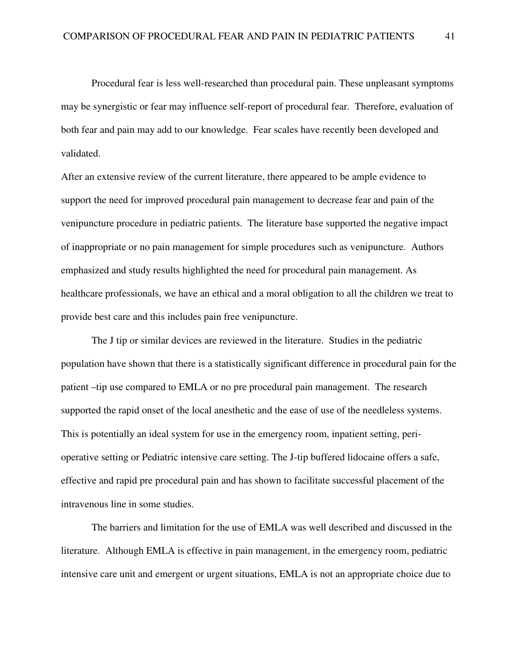Procedural fear is less well-researched than procedural pain. These unpleasant symptoms may be synergistic or fear may influence self-report of procedural fear. Therefore, evaluation of both fear and pain may add to our knowledge. Fear scales have recently been developed and validated.

After an extensive review of the current literature, there appeared to be ample evidence to support the need for improved procedural pain management to decrease fear and pain of the venipuncture procedure in pediatric patients. The literature base supported the negative impact of inappropriate or no pain management for simple procedures such as venipuncture. Authors emphasized and study results highlighted the need for procedural pain management. As healthcare professionals, we have an ethical and a moral obligation to all the children we treat to provide best care and this includes pain free venipuncture.

The J tip or similar devices are reviewed in the literature. Studies in the pediatric population have shown that there is a statistically significant difference in procedural pain for the patient –tip use compared to EMLA or no pre procedural pain management. The research supported the rapid onset of the local anesthetic and the ease of use of the needleless systems. This is potentially an ideal system for use in the emergency room, inpatient setting, perioperative setting or Pediatric intensive care setting. The J-tip buffered lidocaine offers a safe, effective and rapid pre procedural pain and has shown to facilitate successful placement of the intravenous line in some studies.

The barriers and limitation for the use of EMLA was well described and discussed in the literature. Although EMLA is effective in pain management, in the emergency room, pediatric intensive care unit and emergent or urgent situations, EMLA is not an appropriate choice due to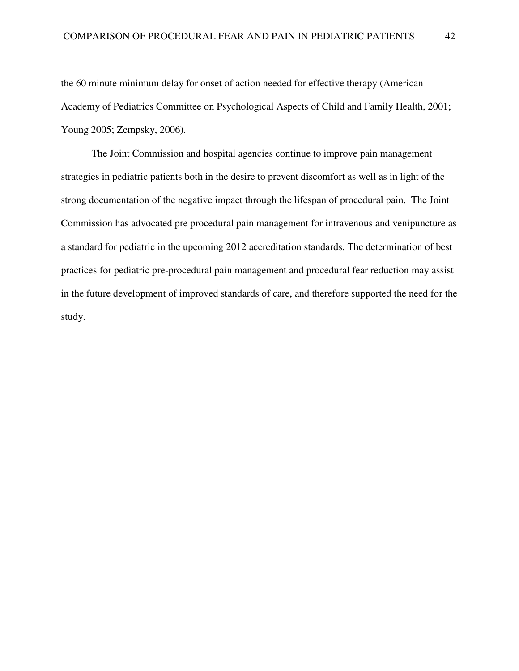the 60 minute minimum delay for onset of action needed for effective therapy (American Academy of Pediatrics Committee on Psychological Aspects of Child and Family Health, 2001; Young 2005; Zempsky, 2006).

The Joint Commission and hospital agencies continue to improve pain management strategies in pediatric patients both in the desire to prevent discomfort as well as in light of the strong documentation of the negative impact through the lifespan of procedural pain. The Joint Commission has advocated pre procedural pain management for intravenous and venipuncture as a standard for pediatric in the upcoming 2012 accreditation standards. The determination of best practices for pediatric pre-procedural pain management and procedural fear reduction may assist in the future development of improved standards of care, and therefore supported the need for the study.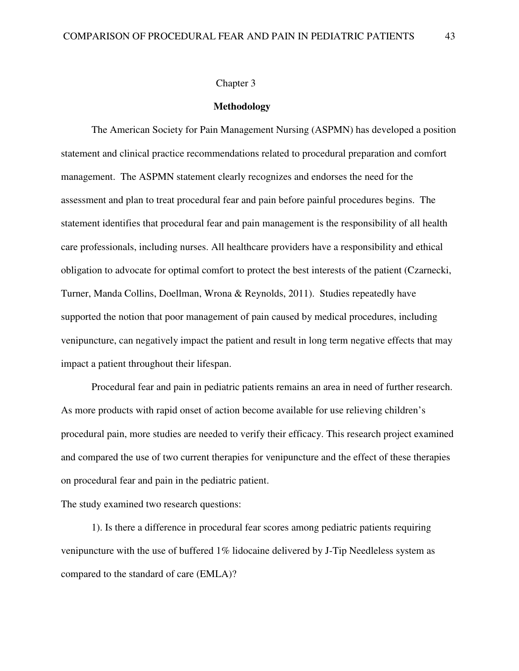#### Chapter 3

#### **Methodology**

The American Society for Pain Management Nursing (ASPMN) has developed a position statement and clinical practice recommendations related to procedural preparation and comfort management. The ASPMN statement clearly recognizes and endorses the need for the assessment and plan to treat procedural fear and pain before painful procedures begins. The statement identifies that procedural fear and pain management is the responsibility of all health care professionals, including nurses. All healthcare providers have a responsibility and ethical obligation to advocate for optimal comfort to protect the best interests of the patient (Czarnecki, Turner, Manda Collins, Doellman, Wrona & Reynolds, 2011). Studies repeatedly have supported the notion that poor management of pain caused by medical procedures, including venipuncture, can negatively impact the patient and result in long term negative effects that may impact a patient throughout their lifespan.

Procedural fear and pain in pediatric patients remains an area in need of further research. As more products with rapid onset of action become available for use relieving children's procedural pain, more studies are needed to verify their efficacy. This research project examined and compared the use of two current therapies for venipuncture and the effect of these therapies on procedural fear and pain in the pediatric patient.

The study examined two research questions:

1). Is there a difference in procedural fear scores among pediatric patients requiring venipuncture with the use of buffered 1% lidocaine delivered by J-Tip Needleless system as compared to the standard of care (EMLA)?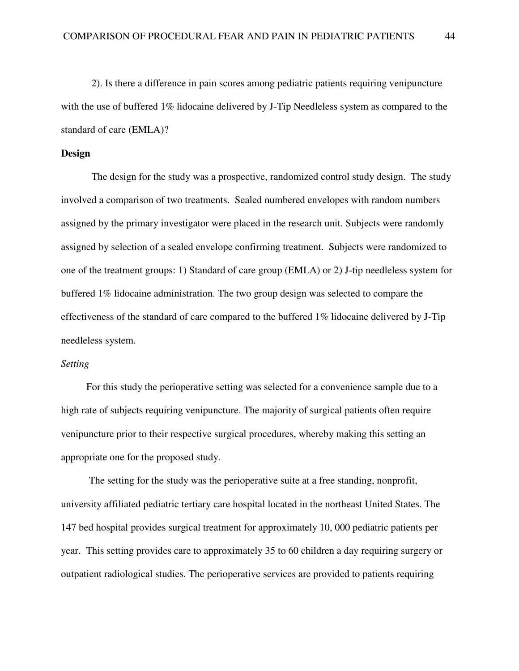2). Is there a difference in pain scores among pediatric patients requiring venipuncture with the use of buffered 1% lidocaine delivered by J-Tip Needleless system as compared to the standard of care (EMLA)?

## **Design**

The design for the study was a prospective, randomized control study design. The study involved a comparison of two treatments. Sealed numbered envelopes with random numbers assigned by the primary investigator were placed in the research unit. Subjects were randomly assigned by selection of a sealed envelope confirming treatment. Subjects were randomized to one of the treatment groups: 1) Standard of care group (EMLA) or 2) J-tip needleless system for buffered 1% lidocaine administration. The two group design was selected to compare the effectiveness of the standard of care compared to the buffered 1% lidocaine delivered by J-Tip needleless system.

# *Setting*

 For this study the perioperative setting was selected for a convenience sample due to a high rate of subjects requiring venipuncture. The majority of surgical patients often require venipuncture prior to their respective surgical procedures, whereby making this setting an appropriate one for the proposed study.

 The setting for the study was the perioperative suite at a free standing, nonprofit, university affiliated pediatric tertiary care hospital located in the northeast United States. The 147 bed hospital provides surgical treatment for approximately 10, 000 pediatric patients per year. This setting provides care to approximately 35 to 60 children a day requiring surgery or outpatient radiological studies. The perioperative services are provided to patients requiring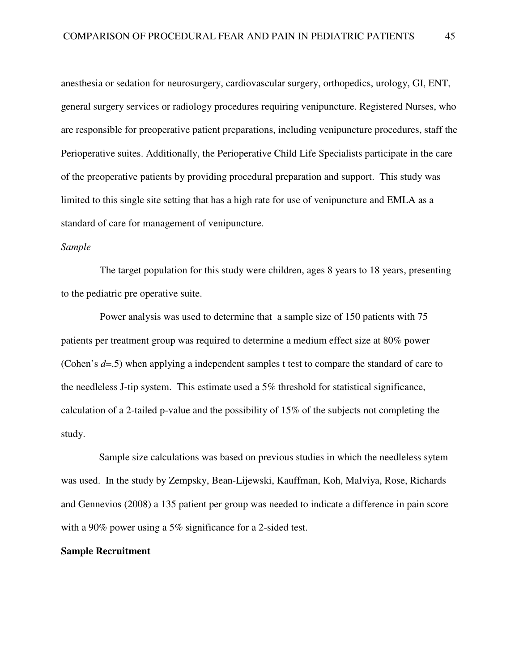anesthesia or sedation for neurosurgery, cardiovascular surgery, orthopedics, urology, GI, ENT, general surgery services or radiology procedures requiring venipuncture. Registered Nurses, who are responsible for preoperative patient preparations, including venipuncture procedures, staff the Perioperative suites. Additionally, the Perioperative Child Life Specialists participate in the care of the preoperative patients by providing procedural preparation and support. This study was limited to this single site setting that has a high rate for use of venipuncture and EMLA as a standard of care for management of venipuncture.

# *Sample*

The target population for this study were children, ages 8 years to 18 years, presenting to the pediatric pre operative suite.

 Power analysis was used to determine that a sample size of 150 patients with 75 patients per treatment group was required to determine a medium effect size at 80% power (Cohen's *d*=.5) when applying a independent samples t test to compare the standard of care to the needleless J-tip system. This estimate used a 5% threshold for statistical significance, calculation of a 2-tailed p-value and the possibility of 15% of the subjects not completing the study.

 Sample size calculations was based on previous studies in which the needleless sytem was used. In the study by Zempsky, Bean-Lijewski, Kauffman, Koh, Malviya, Rose, Richards and Gennevios (2008) a 135 patient per group was needed to indicate a difference in pain score with a 90% power using a 5% significance for a 2-sided test.

## **Sample Recruitment**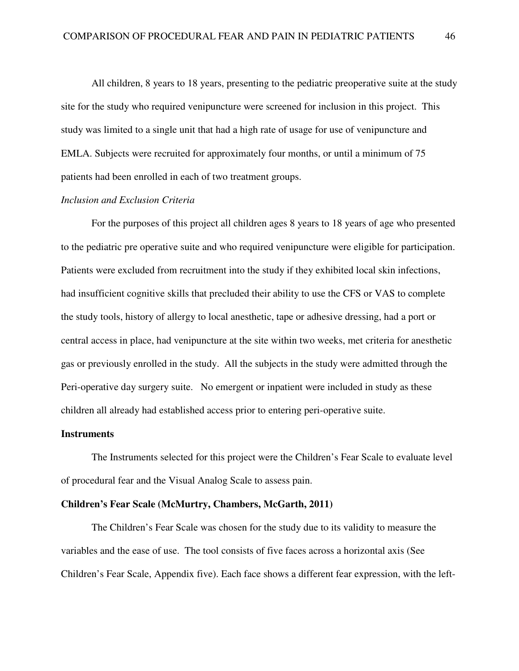All children, 8 years to 18 years, presenting to the pediatric preoperative suite at the study site for the study who required venipuncture were screened for inclusion in this project. This study was limited to a single unit that had a high rate of usage for use of venipuncture and EMLA. Subjects were recruited for approximately four months, or until a minimum of 75 patients had been enrolled in each of two treatment groups.

# *Inclusion and Exclusion Criteria*

For the purposes of this project all children ages 8 years to 18 years of age who presented to the pediatric pre operative suite and who required venipuncture were eligible for participation. Patients were excluded from recruitment into the study if they exhibited local skin infections, had insufficient cognitive skills that precluded their ability to use the CFS or VAS to complete the study tools, history of allergy to local anesthetic, tape or adhesive dressing, had a port or central access in place, had venipuncture at the site within two weeks, met criteria for anesthetic gas or previously enrolled in the study. All the subjects in the study were admitted through the Peri-operative day surgery suite. No emergent or inpatient were included in study as these children all already had established access prior to entering peri-operative suite.

#### **Instruments**

The Instruments selected for this project were the Children's Fear Scale to evaluate level of procedural fear and the Visual Analog Scale to assess pain.

## **Children's Fear Scale (McMurtry, Chambers, McGarth, 2011)**

The Children's Fear Scale was chosen for the study due to its validity to measure the variables and the ease of use. The tool consists of five faces across a horizontal axis (See Children's Fear Scale, Appendix five). Each face shows a different fear expression, with the left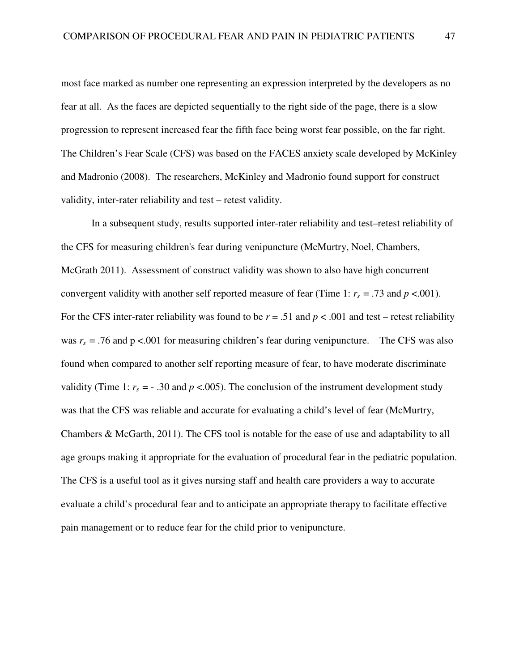most face marked as number one representing an expression interpreted by the developers as no fear at all. As the faces are depicted sequentially to the right side of the page, there is a slow progression to represent increased fear the fifth face being worst fear possible, on the far right. The Children's Fear Scale (CFS) was based on the FACES anxiety scale developed by McKinley and Madronio (2008). The researchers, McKinley and Madronio found support for construct validity, inter-rater reliability and test – retest validity.

In a subsequent study, results supported inter-rater reliability and test–retest reliability of the CFS for measuring children's fear during venipuncture (McMurtry, Noel, Chambers, McGrath 2011). Assessment of construct validity was shown to also have high concurrent convergent validity with another self reported measure of fear (Time 1:  $r_s = .73$  and  $p < .001$ ). For the CFS inter-rater reliability was found to be  $r = .51$  and  $p < .001$  and test – retest reliability was  $r_s$  = .76 and p <.001 for measuring children's fear during venipuncture. The CFS was also found when compared to another self reporting measure of fear, to have moderate discriminate validity (Time 1:  $r_s = -0.30$  and  $p < 0.005$ ). The conclusion of the instrument development study was that the CFS was reliable and accurate for evaluating a child's level of fear (McMurtry, Chambers & McGarth, 2011). The CFS tool is notable for the ease of use and adaptability to all age groups making it appropriate for the evaluation of procedural fear in the pediatric population. The CFS is a useful tool as it gives nursing staff and health care providers a way to accurate evaluate a child's procedural fear and to anticipate an appropriate therapy to facilitate effective pain management or to reduce fear for the child prior to venipuncture.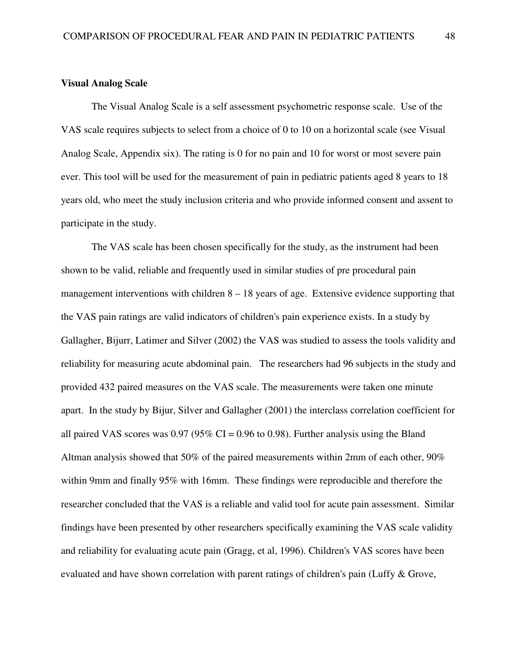# **Visual Analog Scale**

The Visual Analog Scale is a self assessment psychometric response scale. Use of the VAS scale requires subjects to select from a choice of 0 to 10 on a horizontal scale (see Visual Analog Scale, Appendix six). The rating is 0 for no pain and 10 for worst or most severe pain ever. This tool will be used for the measurement of pain in pediatric patients aged 8 years to 18 years old, who meet the study inclusion criteria and who provide informed consent and assent to participate in the study.

The VAS scale has been chosen specifically for the study, as the instrument had been shown to be valid, reliable and frequently used in similar studies of pre procedural pain management interventions with children 8 – 18 years of age. Extensive evidence supporting that the VAS pain ratings are valid indicators of children's pain experience exists. In a study by Gallagher, Bijurr, Latimer and Silver (2002) the VAS was studied to assess the tools validity and reliability for measuring acute abdominal pain. The researchers had 96 subjects in the study and provided 432 paired measures on the VAS scale. The measurements were taken one minute apart. In the study by Bijur, Silver and Gallagher (2001) the interclass correlation coefficient for all paired VAS scores was  $0.97 (95\% \text{ CI} = 0.96 \text{ to } 0.98)$ . Further analysis using the Bland Altman analysis showed that 50% of the paired measurements within 2mm of each other, 90% within 9mm and finally 95% with 16mm. These findings were reproducible and therefore the researcher concluded that the VAS is a reliable and valid tool for acute pain assessment. Similar findings have been presented by other researchers specifically examining the VAS scale validity and reliability for evaluating acute pain (Gragg, et al, 1996). Children's VAS scores have been evaluated and have shown correlation with parent ratings of children's pain (Luffy & Grove,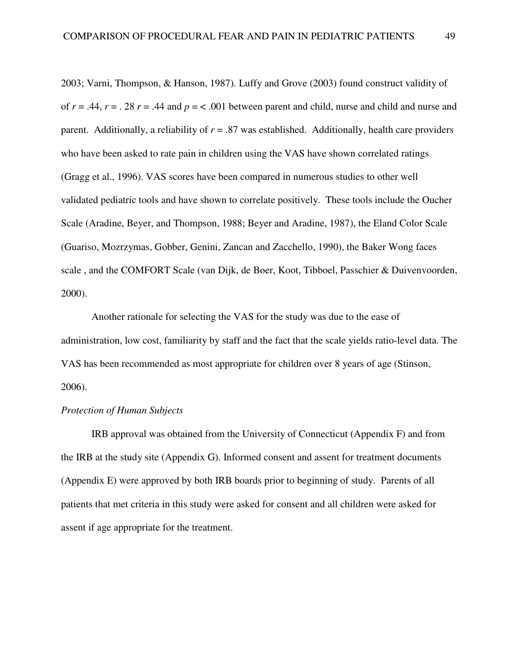2003; Varni, Thompson, & Hanson, 1987). Luffy and Grove (2003) found construct validity of of  $r = .44$ ,  $r = .28$   $r = .44$  and  $p = < .001$  between parent and child, nurse and child and nurse and parent. Additionally, a reliability of  $r = .87$  was established. Additionally, health care providers who have been asked to rate pain in children using the VAS have shown correlated ratings (Gragg et al., 1996). VAS scores have been compared in numerous studies to other well validated pediatric tools and have shown to correlate positively. These tools include the Oucher Scale (Aradine, Beyer, and Thompson, 1988; Beyer and Aradine, 1987), the Eland Color Scale (Guariso, Mozrzymas, Gobber, Genini, Zancan and Zacchello, 1990), the Baker Wong faces scale , and the COMFORT Scale (van Dijk, de Boer, Koot, Tibboel, Passchier & Duivenvoorden, 2000).

Another rationale for selecting the VAS for the study was due to the ease of administration, low cost, familiarity by staff and the fact that the scale yields ratio-level data. The VAS has been recommended as most appropriate for children over 8 years of age (Stinson, 2006).

# *Protection of Human Subjects*

IRB approval was obtained from the University of Connecticut (Appendix F) and from the IRB at the study site (Appendix G). Informed consent and assent for treatment documents (Appendix E) were approved by both IRB boards prior to beginning of study. Parents of all patients that met criteria in this study were asked for consent and all children were asked for assent if age appropriate for the treatment.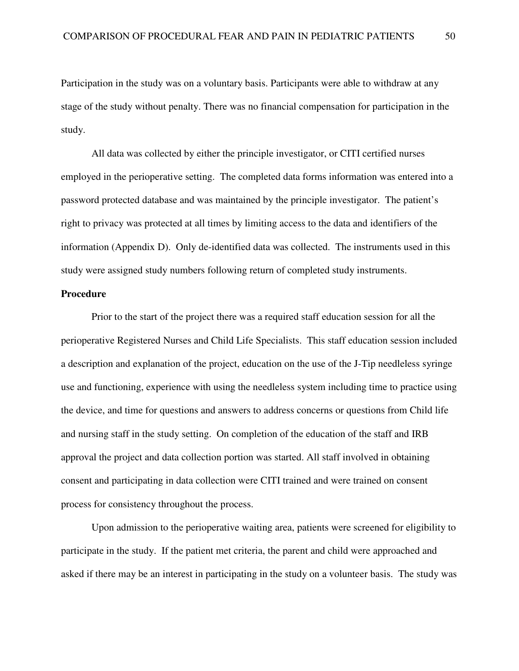Participation in the study was on a voluntary basis. Participants were able to withdraw at any stage of the study without penalty. There was no financial compensation for participation in the study.

All data was collected by either the principle investigator, or CITI certified nurses employed in the perioperative setting. The completed data forms information was entered into a password protected database and was maintained by the principle investigator. The patient's right to privacy was protected at all times by limiting access to the data and identifiers of the information (Appendix D). Only de-identified data was collected. The instruments used in this study were assigned study numbers following return of completed study instruments.

## **Procedure**

Prior to the start of the project there was a required staff education session for all the perioperative Registered Nurses and Child Life Specialists. This staff education session included a description and explanation of the project, education on the use of the J-Tip needleless syringe use and functioning, experience with using the needleless system including time to practice using the device, and time for questions and answers to address concerns or questions from Child life and nursing staff in the study setting. On completion of the education of the staff and IRB approval the project and data collection portion was started. All staff involved in obtaining consent and participating in data collection were CITI trained and were trained on consent process for consistency throughout the process.

Upon admission to the perioperative waiting area, patients were screened for eligibility to participate in the study. If the patient met criteria, the parent and child were approached and asked if there may be an interest in participating in the study on a volunteer basis. The study was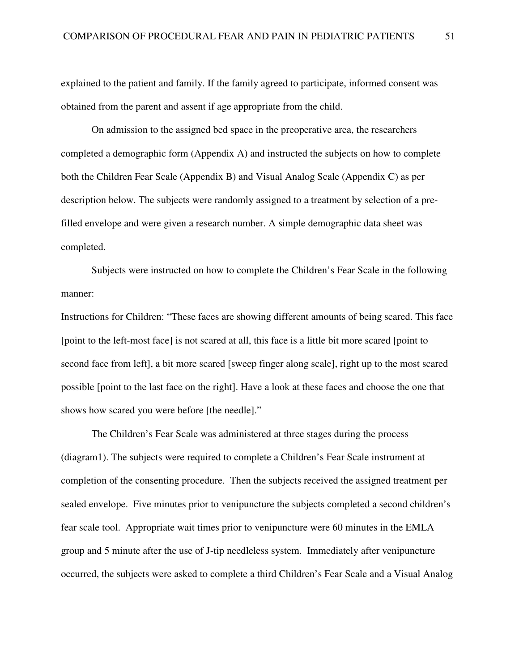explained to the patient and family. If the family agreed to participate, informed consent was obtained from the parent and assent if age appropriate from the child.

On admission to the assigned bed space in the preoperative area, the researchers completed a demographic form (Appendix A) and instructed the subjects on how to complete both the Children Fear Scale (Appendix B) and Visual Analog Scale (Appendix C) as per description below. The subjects were randomly assigned to a treatment by selection of a prefilled envelope and were given a research number. A simple demographic data sheet was completed.

Subjects were instructed on how to complete the Children's Fear Scale in the following manner:

Instructions for Children: "These faces are showing different amounts of being scared. This face [point to the left-most face] is not scared at all, this face is a little bit more scared [point to second face from left], a bit more scared [sweep finger along scale], right up to the most scared possible [point to the last face on the right]. Have a look at these faces and choose the one that shows how scared you were before [the needle]."

The Children's Fear Scale was administered at three stages during the process (diagram1). The subjects were required to complete a Children's Fear Scale instrument at completion of the consenting procedure. Then the subjects received the assigned treatment per sealed envelope. Five minutes prior to venipuncture the subjects completed a second children's fear scale tool. Appropriate wait times prior to venipuncture were 60 minutes in the EMLA group and 5 minute after the use of J-tip needleless system. Immediately after venipuncture occurred, the subjects were asked to complete a third Children's Fear Scale and a Visual Analog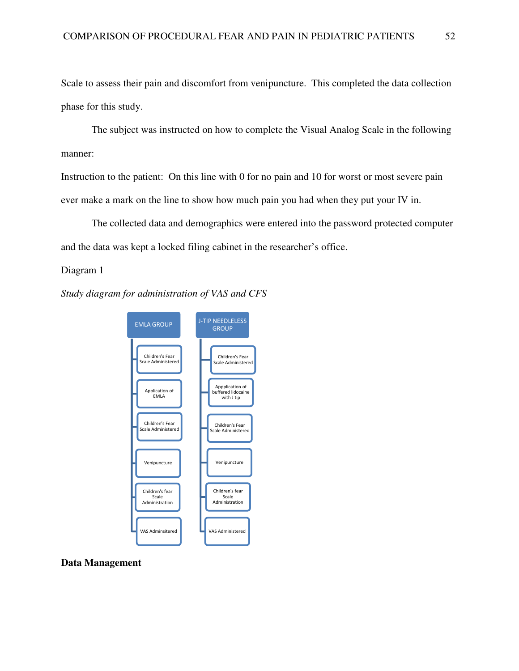Scale to assess their pain and discomfort from venipuncture. This completed the data collection phase for this study. If also assess their pain and discomfort from venipuncture. This completed the data collection<br>or this study.<br>The subject was instructed on how to complete the Visual Analog Scale in the following

manner: The subject was instructed on how to complete the Visual Analog Scale in the followin<br>
manner:<br>
Instruction to the patient: On this line with 0 for no pain and 10 for worst or most severe pain

ever make a mark on the line to show how much pain you had when they put your IV in.

The collected data and demographics were entered into the password protected computer data was kept a locked filing cabinet in the researcher's office. and the data was kept a locked filing cabinet in the researcher's office.

## Diagram 1

*Study diagram for administration of VAS and CFS*



#### **Data Management**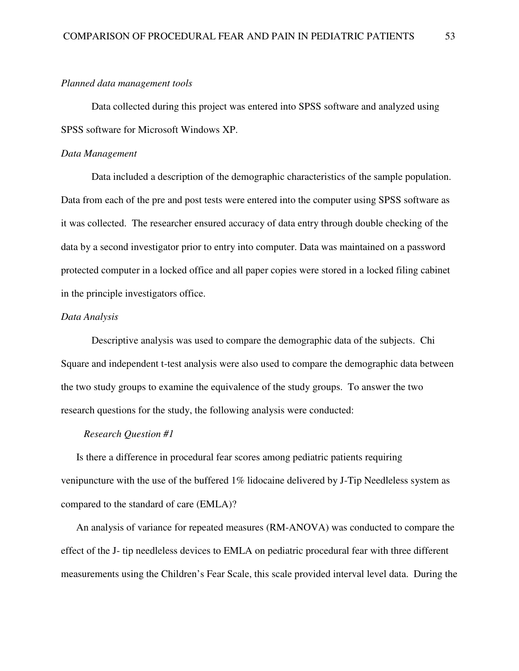#### *Planned data management tools*

Data collected during this project was entered into SPSS software and analyzed using SPSS software for Microsoft Windows XP.

## *Data Management*

Data included a description of the demographic characteristics of the sample population. Data from each of the pre and post tests were entered into the computer using SPSS software as it was collected. The researcher ensured accuracy of data entry through double checking of the data by a second investigator prior to entry into computer. Data was maintained on a password protected computer in a locked office and all paper copies were stored in a locked filing cabinet in the principle investigators office.

## *Data Analysis*

Descriptive analysis was used to compare the demographic data of the subjects. Chi Square and independent t-test analysis were also used to compare the demographic data between the two study groups to examine the equivalence of the study groups. To answer the two research questions for the study, the following analysis were conducted:

## *Research Question #1*

 Is there a difference in procedural fear scores among pediatric patients requiring venipuncture with the use of the buffered 1% lidocaine delivered by J-Tip Needleless system as compared to the standard of care (EMLA)?

An analysis of variance for repeated measures (RM-ANOVA) was conducted to compare the effect of the J- tip needleless devices to EMLA on pediatric procedural fear with three different measurements using the Children's Fear Scale, this scale provided interval level data. During the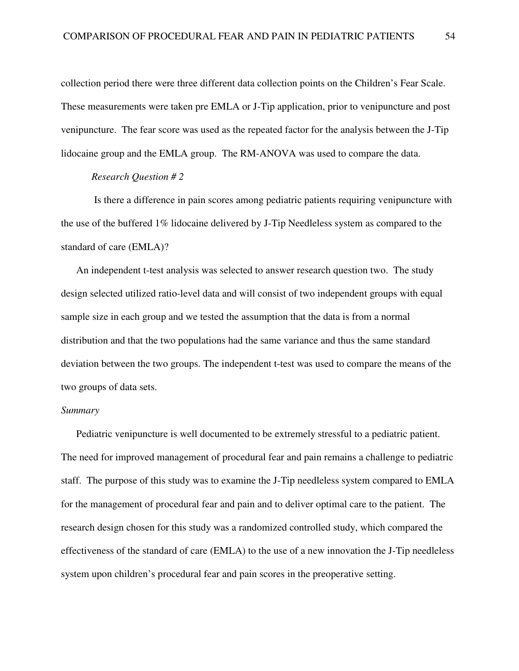collection period there were three different data collection points on the Children's Fear Scale. These measurements were taken pre EMLA or J-Tip application, prior to venipuncture and post venipuncture. The fear score was used as the repeated factor for the analysis between the J-Tip lidocaine group and the EMLA group. The RM-ANOVA was used to compare the data.

#### *Research Question # 2*

 Is there a difference in pain scores among pediatric patients requiring venipuncture with the use of the buffered 1% lidocaine delivered by J-Tip Needleless system as compared to the standard of care (EMLA)?

An independent t-test analysis was selected to answer research question two. The study design selected utilized ratio-level data and will consist of two independent groups with equal sample size in each group and we tested the assumption that the data is from a normal distribution and that the two populations had the same variance and thus the same standard deviation between the two groups. The independent t-test was used to compare the means of the two groups of data sets.

## *Summary*

Pediatric venipuncture is well documented to be extremely stressful to a pediatric patient. The need for improved management of procedural fear and pain remains a challenge to pediatric staff. The purpose of this study was to examine the J-Tip needleless system compared to EMLA for the management of procedural fear and pain and to deliver optimal care to the patient. The research design chosen for this study was a randomized controlled study, which compared the effectiveness of the standard of care (EMLA) to the use of a new innovation the J-Tip needleless system upon children's procedural fear and pain scores in the preoperative setting.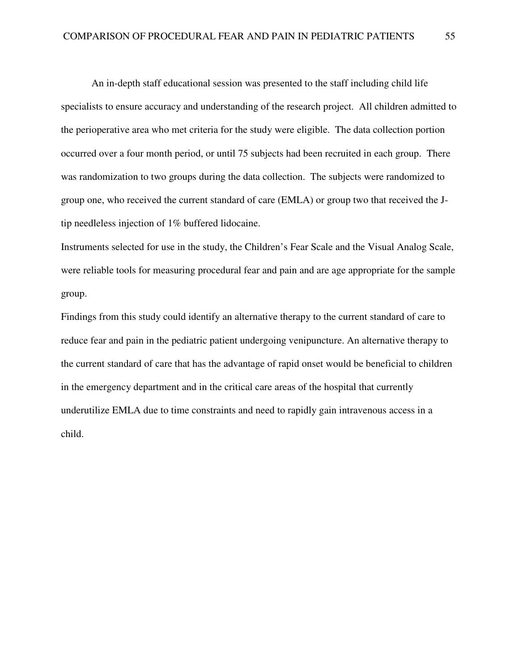An in-depth staff educational session was presented to the staff including child life specialists to ensure accuracy and understanding of the research project. All children admitted to the perioperative area who met criteria for the study were eligible. The data collection portion occurred over a four month period, or until 75 subjects had been recruited in each group. There was randomization to two groups during the data collection. The subjects were randomized to group one, who received the current standard of care (EMLA) or group two that received the Jtip needleless injection of 1% buffered lidocaine.

Instruments selected for use in the study, the Children's Fear Scale and the Visual Analog Scale, were reliable tools for measuring procedural fear and pain and are age appropriate for the sample group.

Findings from this study could identify an alternative therapy to the current standard of care to reduce fear and pain in the pediatric patient undergoing venipuncture. An alternative therapy to the current standard of care that has the advantage of rapid onset would be beneficial to children in the emergency department and in the critical care areas of the hospital that currently underutilize EMLA due to time constraints and need to rapidly gain intravenous access in a child.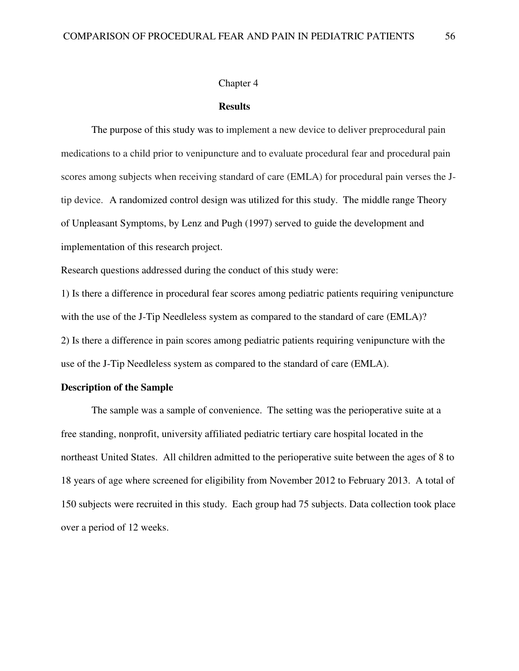#### Chapter 4

#### **Results**

 The purpose of this study was to implement a new device to deliver preprocedural pain medications to a child prior to venipuncture and to evaluate procedural fear and procedural pain scores among subjects when receiving standard of care (EMLA) for procedural pain verses the Jtip device. A randomized control design was utilized for this study. The middle range Theory of Unpleasant Symptoms, by Lenz and Pugh (1997) served to guide the development and implementation of this research project.

Research questions addressed during the conduct of this study were:

1) Is there a difference in procedural fear scores among pediatric patients requiring venipuncture with the use of the J-Tip Needleless system as compared to the standard of care (EMLA)? 2) Is there a difference in pain scores among pediatric patients requiring venipuncture with the use of the J-Tip Needleless system as compared to the standard of care (EMLA).

# **Description of the Sample**

The sample was a sample of convenience. The setting was the perioperative suite at a free standing, nonprofit, university affiliated pediatric tertiary care hospital located in the northeast United States. All children admitted to the perioperative suite between the ages of 8 to 18 years of age where screened for eligibility from November 2012 to February 2013. A total of 150 subjects were recruited in this study. Each group had 75 subjects. Data collection took place over a period of 12 weeks.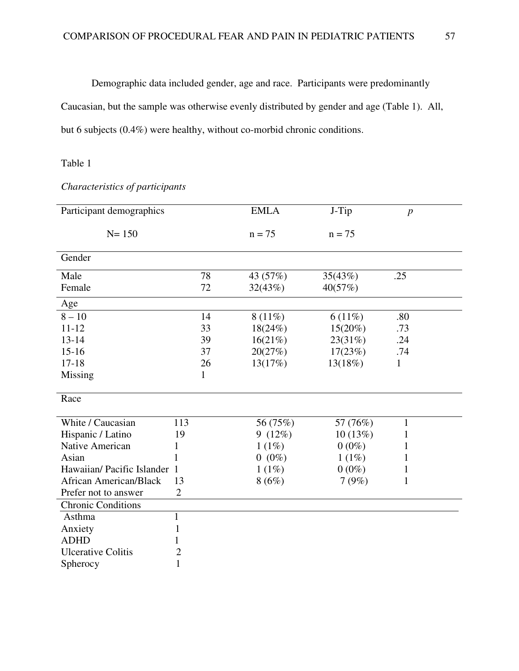Demographic data included gender, age and race. Participants were predominantly Caucasian, but the sample was otherwise evenly distributed by gender and age (Table 1). All, but 6 subjects (0.4%) were healthy, without co-morbid chronic conditions.

# Table 1

| Participant demographics      |                |    | <b>EMLA</b> | J-Tip      | $\boldsymbol{p}$ |
|-------------------------------|----------------|----|-------------|------------|------------------|
| $N = 150$                     |                |    | $n = 75$    | $n = 75$   |                  |
| Gender                        |                |    |             |            |                  |
| Male                          |                | 78 | 43 (57%)    | 35(43%)    | .25              |
| Female                        |                | 72 | 32(43%)     | 40(57%)    |                  |
| Age                           |                |    |             |            |                  |
| $8 - 10$                      |                | 14 | $8(11\%)$   | $6(11\%)$  | .80              |
| $11 - 12$                     |                | 33 | 18(24%)     | $15(20\%)$ | .73              |
| $13 - 14$                     |                | 39 | 16(21%)     | 23(31%)    | .24              |
| $15 - 16$                     |                | 37 | 20(27%)     | 17(23%)    | .74              |
| $17 - 18$                     |                | 26 | 13(17%)     | 13(18%)    | $\mathbf{1}$     |
| Missing                       |                | 1  |             |            |                  |
| Race                          |                |    |             |            |                  |
| White / Caucasian             | 113            |    | 56 (75%)    | 57 (76%)   | $\mathbf{1}$     |
| Hispanic / Latino             | 19             |    | 9(12%)      | 10(13%)    | 1                |
| Native American               | 1              |    | 1(1%)       | $0(0\%)$   | 1                |
| Asian                         | 1              |    | $0(0\%)$    | 1(1%)      | 1                |
| Hawaiian/ Pacific Islander 1  |                |    | 1(1%)       | $0(0\%)$   | 1                |
| <b>African American/Black</b> | 13             |    | 8(6%)       | 7(9%)      | 1                |
| Prefer not to answer          | $\overline{2}$ |    |             |            |                  |
| <b>Chronic Conditions</b>     |                |    |             |            |                  |
| Asthma                        | $\mathbf{1}$   |    |             |            |                  |
| Anxiety                       | $\mathbf{1}$   |    |             |            |                  |
| <b>ADHD</b>                   | 1              |    |             |            |                  |
| <b>Ulcerative Colitis</b>     | $\mathbf{2}$   |    |             |            |                  |
| Spherocy                      | 1              |    |             |            |                  |

*Characteristics of participants*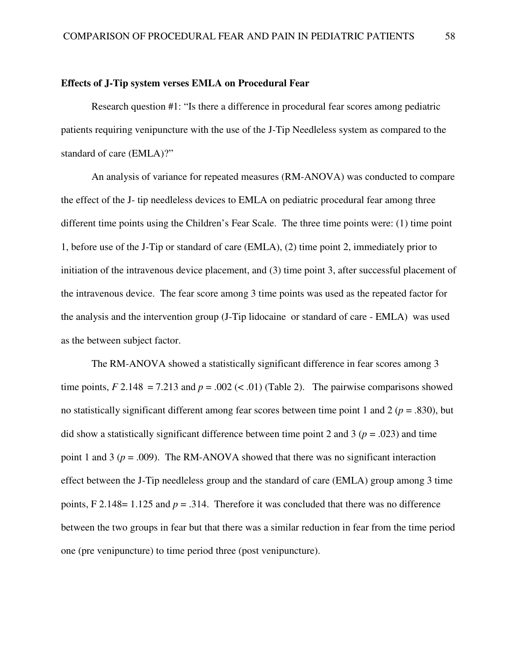#### **Effects of J-Tip system verses EMLA on Procedural Fear**

 Research question #1: "Is there a difference in procedural fear scores among pediatric patients requiring venipuncture with the use of the J-Tip Needleless system as compared to the standard of care (EMLA)?"

An analysis of variance for repeated measures (RM-ANOVA) was conducted to compare the effect of the J- tip needleless devices to EMLA on pediatric procedural fear among three different time points using the Children's Fear Scale. The three time points were: (1) time point 1, before use of the J-Tip or standard of care (EMLA), (2) time point 2, immediately prior to initiation of the intravenous device placement, and (3) time point 3, after successful placement of the intravenous device. The fear score among 3 time points was used as the repeated factor for the analysis and the intervention group (J-Tip lidocaine or standard of care - EMLA) was used as the between subject factor.

The RM-ANOVA showed a statistically significant difference in fear scores among 3 time points,  $F 2.148 = 7.213$  and  $p = .002$  (< .01) (Table 2). The pairwise comparisons showed no statistically significant different among fear scores between time point 1 and 2 (*p* = .830), but did show a statistically significant difference between time point 2 and 3 ( $p = .023$ ) and time point 1 and 3 ( $p = .009$ ). The RM-ANOVA showed that there was no significant interaction effect between the J-Tip needleless group and the standard of care (EMLA) group among 3 time points, F 2.148 = 1.125 and  $p = .314$ . Therefore it was concluded that there was no difference between the two groups in fear but that there was a similar reduction in fear from the time period one (pre venipuncture) to time period three (post venipuncture).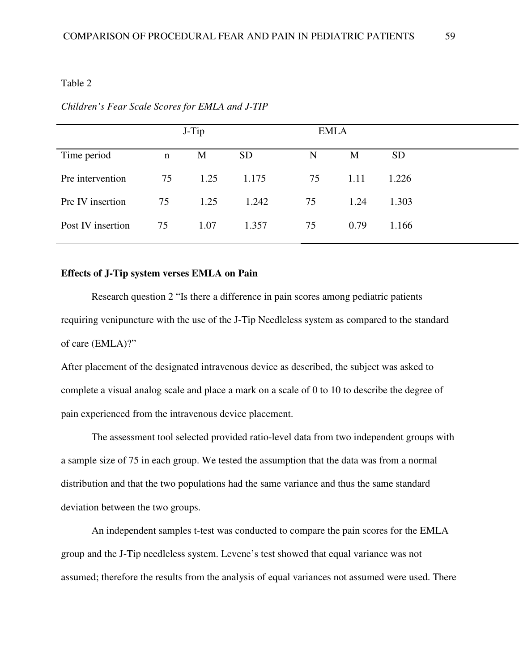#### Table 2

|                   |    | J-Tip |           | <b>EMLA</b> |      |           |
|-------------------|----|-------|-----------|-------------|------|-----------|
| Time period       | n  | M     | <b>SD</b> | N           | M    | <b>SD</b> |
| Pre intervention  | 75 | 1.25  | 1.175     | 75          | 1.11 | 1.226     |
| Pre IV insertion  | 75 | 1.25  | 1.242     | 75          | 1.24 | 1.303     |
| Post IV insertion | 75 | 1.07  | 1.357     | 75          | 0.79 | 1.166     |
|                   |    |       |           |             |      |           |

#### *Children's Fear Scale Scores for EMLA and J-TIP*

## **Effects of J-Tip system verses EMLA on Pain**

Research question 2 "Is there a difference in pain scores among pediatric patients requiring venipuncture with the use of the J-Tip Needleless system as compared to the standard of care (EMLA)?"

After placement of the designated intravenous device as described, the subject was asked to complete a visual analog scale and place a mark on a scale of 0 to 10 to describe the degree of pain experienced from the intravenous device placement.

The assessment tool selected provided ratio-level data from two independent groups with a sample size of 75 in each group. We tested the assumption that the data was from a normal distribution and that the two populations had the same variance and thus the same standard deviation between the two groups.

An independent samples t-test was conducted to compare the pain scores for the EMLA group and the J-Tip needleless system. Levene's test showed that equal variance was not assumed; therefore the results from the analysis of equal variances not assumed were used. There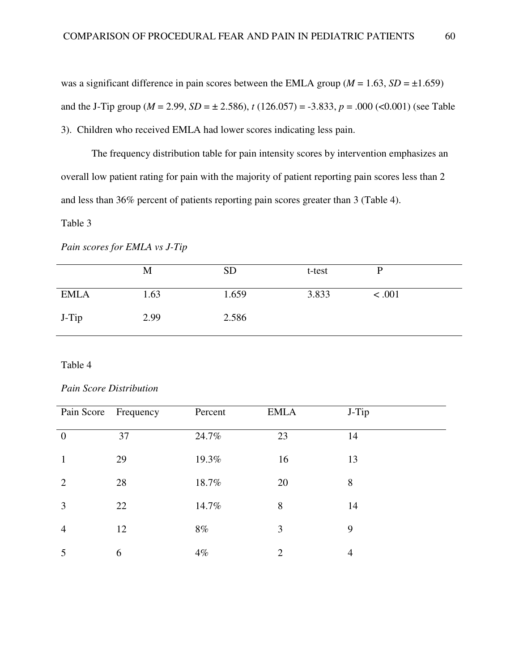was a significant difference in pain scores between the EMLA group ( $M = 1.63$ ,  $SD = \pm 1.659$ ) and the J-Tip group ( $M = 2.99$ ,  $SD = \pm 2.586$ ),  $t(126.057) = -3.833$ ,  $p = .000$  (<0.001) (see Table 3). Children who received EMLA had lower scores indicating less pain.

The frequency distribution table for pain intensity scores by intervention emphasizes an overall low patient rating for pain with the majority of patient reporting pain scores less than 2 and less than 36% percent of patients reporting pain scores greater than 3 (Table 4).

## Table 3

#### *Pain scores for EMLA vs J-Tip*

|             | M    | <b>SD</b> | t-test |        |
|-------------|------|-----------|--------|--------|
| <b>EMLA</b> | 1.63 | 1.659     | 3.833  | < .001 |
| J-Tip       | 2.99 | 2.586     |        |        |

# Table 4

# *Pain Score Distribution*

| Pain Score Frequency |    | Percent | <b>EMLA</b>    | J-Tip |
|----------------------|----|---------|----------------|-------|
| $\theta$             | 37 | 24.7%   | 23             | 14    |
| 1                    | 29 | 19.3%   | 16             | 13    |
| $\overline{2}$       | 28 | 18.7%   | 20             | 8     |
| 3                    | 22 | 14.7%   | 8              | 14    |
| $\overline{4}$       | 12 | 8%      | $\overline{3}$ | 9     |
|                      | 6  | $4\%$   | $\overline{2}$ | 4     |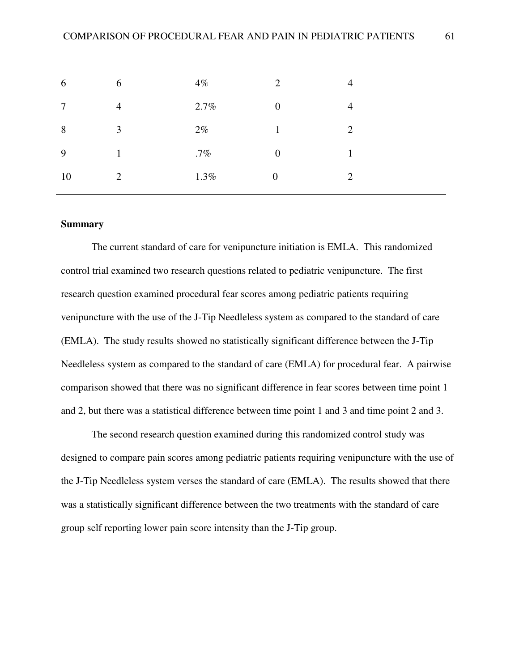| 6      | 6              | $4\%$  | $\gamma$         | 4              |
|--------|----------------|--------|------------------|----------------|
| $\tau$ | $\overline{4}$ | 2.7%   | $\theta$         | 4              |
| 8      | 3              | $2\%$  |                  | $\overline{2}$ |
| 9      |                | $.7\%$ | $\overline{0}$   |                |
| 10     | $\overline{2}$ | 1.3%   | $\boldsymbol{0}$ | $\gamma$       |
|        |                |        |                  |                |

## **Summary**

The current standard of care for venipuncture initiation is EMLA. This randomized control trial examined two research questions related to pediatric venipuncture. The first research question examined procedural fear scores among pediatric patients requiring venipuncture with the use of the J-Tip Needleless system as compared to the standard of care (EMLA). The study results showed no statistically significant difference between the J-Tip Needleless system as compared to the standard of care (EMLA) for procedural fear. A pairwise comparison showed that there was no significant difference in fear scores between time point 1 and 2, but there was a statistical difference between time point 1 and 3 and time point 2 and 3.

The second research question examined during this randomized control study was designed to compare pain scores among pediatric patients requiring venipuncture with the use of the J-Tip Needleless system verses the standard of care (EMLA). The results showed that there was a statistically significant difference between the two treatments with the standard of care group self reporting lower pain score intensity than the J-Tip group.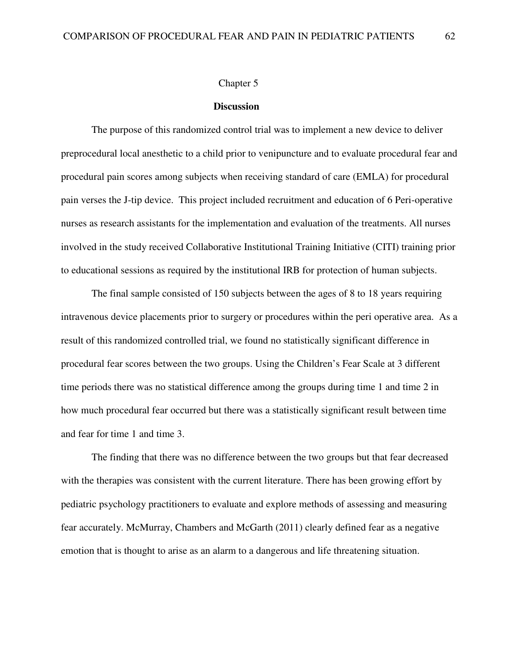#### Chapter 5

#### **Discussion**

 The purpose of this randomized control trial was to implement a new device to deliver preprocedural local anesthetic to a child prior to venipuncture and to evaluate procedural fear and procedural pain scores among subjects when receiving standard of care (EMLA) for procedural pain verses the J-tip device. This project included recruitment and education of 6 Peri-operative nurses as research assistants for the implementation and evaluation of the treatments. All nurses involved in the study received Collaborative Institutional Training Initiative (CITI) training prior to educational sessions as required by the institutional IRB for protection of human subjects.

The final sample consisted of 150 subjects between the ages of 8 to 18 years requiring intravenous device placements prior to surgery or procedures within the peri operative area. As a result of this randomized controlled trial, we found no statistically significant difference in procedural fear scores between the two groups. Using the Children's Fear Scale at 3 different time periods there was no statistical difference among the groups during time 1 and time 2 in how much procedural fear occurred but there was a statistically significant result between time and fear for time 1 and time 3.

The finding that there was no difference between the two groups but that fear decreased with the therapies was consistent with the current literature. There has been growing effort by pediatric psychology practitioners to evaluate and explore methods of assessing and measuring fear accurately. McMurray, Chambers and McGarth (2011) clearly defined fear as a negative emotion that is thought to arise as an alarm to a dangerous and life threatening situation.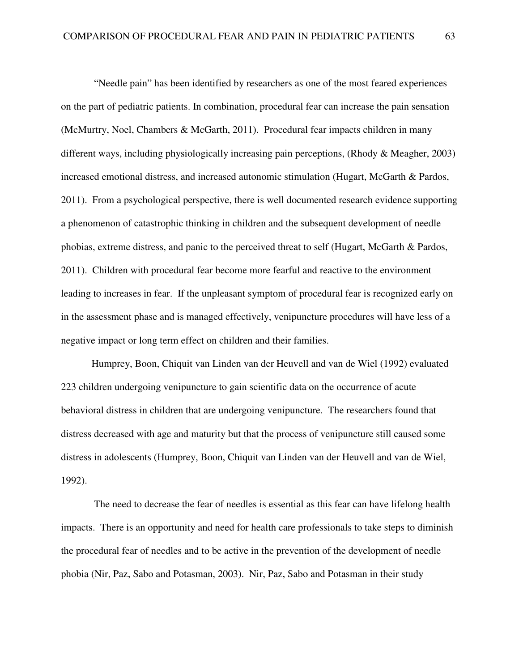"Needle pain" has been identified by researchers as one of the most feared experiences on the part of pediatric patients. In combination, procedural fear can increase the pain sensation (McMurtry, Noel, Chambers & McGarth, 2011). Procedural fear impacts children in many different ways, including physiologically increasing pain perceptions, (Rhody & Meagher, 2003) increased emotional distress, and increased autonomic stimulation (Hugart, McGarth & Pardos, 2011). From a psychological perspective, there is well documented research evidence supporting a phenomenon of catastrophic thinking in children and the subsequent development of needle phobias, extreme distress, and panic to the perceived threat to self (Hugart, McGarth & Pardos, 2011). Children with procedural fear become more fearful and reactive to the environment leading to increases in fear. If the unpleasant symptom of procedural fear is recognized early on in the assessment phase and is managed effectively, venipuncture procedures will have less of a negative impact or long term effect on children and their families.

Humprey, Boon, Chiquit van Linden van der Heuvell and van de Wiel (1992) evaluated 223 children undergoing venipuncture to gain scientific data on the occurrence of acute behavioral distress in children that are undergoing venipuncture. The researchers found that distress decreased with age and maturity but that the process of venipuncture still caused some distress in adolescents (Humprey, Boon, Chiquit van Linden van der Heuvell and van de Wiel, 1992).

 The need to decrease the fear of needles is essential as this fear can have lifelong health impacts. There is an opportunity and need for health care professionals to take steps to diminish the procedural fear of needles and to be active in the prevention of the development of needle phobia (Nir, Paz, Sabo and Potasman, 2003). Nir, Paz, Sabo and Potasman in their study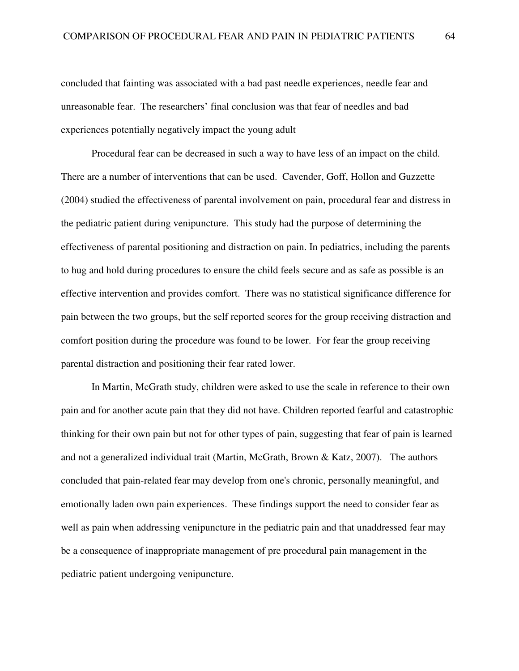concluded that fainting was associated with a bad past needle experiences, needle fear and unreasonable fear. The researchers' final conclusion was that fear of needles and bad experiences potentially negatively impact the young adult

Procedural fear can be decreased in such a way to have less of an impact on the child. There are a number of interventions that can be used. Cavender, Goff, Hollon and Guzzette (2004) studied the effectiveness of parental involvement on pain, procedural fear and distress in the pediatric patient during venipuncture. This study had the purpose of determining the effectiveness of parental positioning and distraction on pain. In pediatrics, including the parents to hug and hold during procedures to ensure the child feels secure and as safe as possible is an effective intervention and provides comfort. There was no statistical significance difference for pain between the two groups, but the self reported scores for the group receiving distraction and comfort position during the procedure was found to be lower. For fear the group receiving parental distraction and positioning their fear rated lower.

In Martin, McGrath study, children were asked to use the scale in reference to their own pain and for another acute pain that they did not have. Children reported fearful and catastrophic thinking for their own pain but not for other types of pain, suggesting that fear of pain is learned and not a generalized individual trait (Martin, McGrath, Brown & Katz, 2007). The authors concluded that pain-related fear may develop from one's chronic, personally meaningful, and emotionally laden own pain experiences. These findings support the need to consider fear as well as pain when addressing venipuncture in the pediatric pain and that unaddressed fear may be a consequence of inappropriate management of pre procedural pain management in the pediatric patient undergoing venipuncture.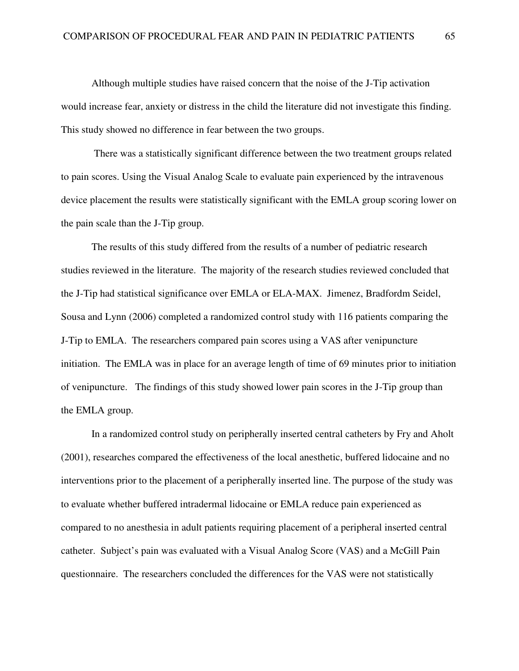Although multiple studies have raised concern that the noise of the J-Tip activation would increase fear, anxiety or distress in the child the literature did not investigate this finding. This study showed no difference in fear between the two groups.

 There was a statistically significant difference between the two treatment groups related to pain scores. Using the Visual Analog Scale to evaluate pain experienced by the intravenous device placement the results were statistically significant with the EMLA group scoring lower on the pain scale than the J-Tip group.

The results of this study differed from the results of a number of pediatric research studies reviewed in the literature. The majority of the research studies reviewed concluded that the J-Tip had statistical significance over EMLA or ELA-MAX. Jimenez, Bradfordm Seidel, Sousa and Lynn (2006) completed a randomized control study with 116 patients comparing the J-Tip to EMLA. The researchers compared pain scores using a VAS after venipuncture initiation. The EMLA was in place for an average length of time of 69 minutes prior to initiation of venipuncture. The findings of this study showed lower pain scores in the J-Tip group than the EMLA group.

In a randomized control study on peripherally inserted central catheters by Fry and Aholt (2001), researches compared the effectiveness of the local anesthetic, buffered lidocaine and no interventions prior to the placement of a peripherally inserted line. The purpose of the study was to evaluate whether buffered intradermal lidocaine or EMLA reduce pain experienced as compared to no anesthesia in adult patients requiring placement of a peripheral inserted central catheter. Subject's pain was evaluated with a Visual Analog Score (VAS) and a McGill Pain questionnaire. The researchers concluded the differences for the VAS were not statistically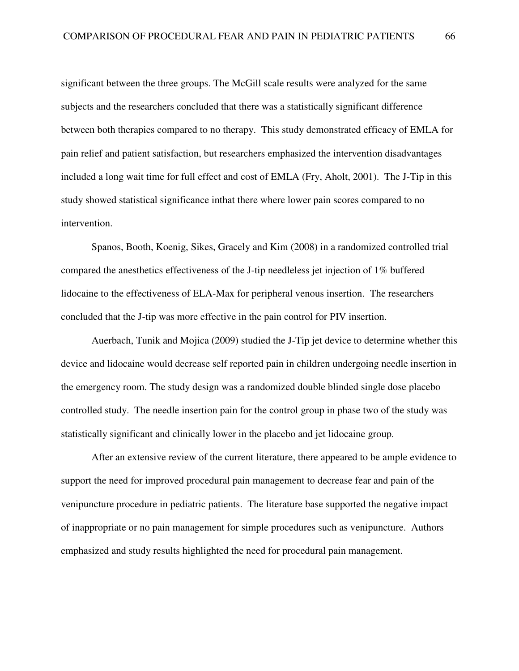significant between the three groups. The McGill scale results were analyzed for the same subjects and the researchers concluded that there was a statistically significant difference between both therapies compared to no therapy. This study demonstrated efficacy of EMLA for pain relief and patient satisfaction, but researchers emphasized the intervention disadvantages included a long wait time for full effect and cost of EMLA (Fry, Aholt, 2001). The J-Tip in this study showed statistical significance inthat there where lower pain scores compared to no intervention.

Spanos, Booth, Koenig, Sikes, Gracely and Kim (2008) in a randomized controlled trial compared the anesthetics effectiveness of the J-tip needleless jet injection of 1% buffered lidocaine to the effectiveness of ELA-Max for peripheral venous insertion. The researchers concluded that the J-tip was more effective in the pain control for PIV insertion.

Auerbach, Tunik and Mojica (2009) studied the J-Tip jet device to determine whether this device and lidocaine would decrease self reported pain in children undergoing needle insertion in the emergency room. The study design was a randomized double blinded single dose placebo controlled study. The needle insertion pain for the control group in phase two of the study was statistically significant and clinically lower in the placebo and jet lidocaine group.

After an extensive review of the current literature, there appeared to be ample evidence to support the need for improved procedural pain management to decrease fear and pain of the venipuncture procedure in pediatric patients. The literature base supported the negative impact of inappropriate or no pain management for simple procedures such as venipuncture. Authors emphasized and study results highlighted the need for procedural pain management.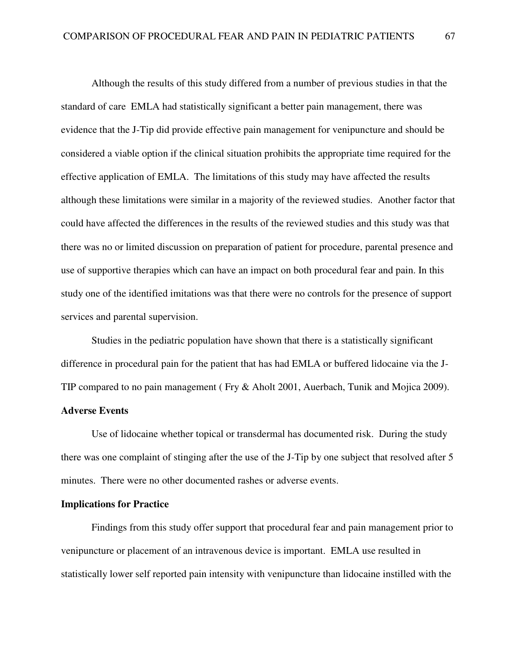Although the results of this study differed from a number of previous studies in that the standard of care EMLA had statistically significant a better pain management, there was evidence that the J-Tip did provide effective pain management for venipuncture and should be considered a viable option if the clinical situation prohibits the appropriate time required for the effective application of EMLA. The limitations of this study may have affected the results although these limitations were similar in a majority of the reviewed studies. Another factor that could have affected the differences in the results of the reviewed studies and this study was that there was no or limited discussion on preparation of patient for procedure, parental presence and use of supportive therapies which can have an impact on both procedural fear and pain. In this study one of the identified imitations was that there were no controls for the presence of support services and parental supervision.

 Studies in the pediatric population have shown that there is a statistically significant difference in procedural pain for the patient that has had EMLA or buffered lidocaine via the J-TIP compared to no pain management ( Fry & Aholt 2001, Auerbach, Tunik and Mojica 2009).

## **Adverse Events**

Use of lidocaine whether topical or transdermal has documented risk. During the study there was one complaint of stinging after the use of the J-Tip by one subject that resolved after 5 minutes. There were no other documented rashes or adverse events.

## **Implications for Practice**

Findings from this study offer support that procedural fear and pain management prior to venipuncture or placement of an intravenous device is important. EMLA use resulted in statistically lower self reported pain intensity with venipuncture than lidocaine instilled with the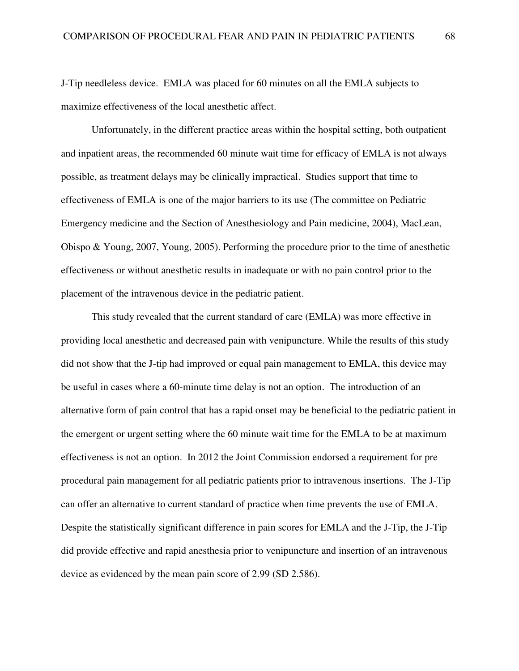J-Tip needleless device. EMLA was placed for 60 minutes on all the EMLA subjects to maximize effectiveness of the local anesthetic affect.

Unfortunately, in the different practice areas within the hospital setting, both outpatient and inpatient areas, the recommended 60 minute wait time for efficacy of EMLA is not always possible, as treatment delays may be clinically impractical. Studies support that time to effectiveness of EMLA is one of the major barriers to its use (The committee on Pediatric Emergency medicine and the Section of Anesthesiology and Pain medicine, 2004), MacLean, Obispo & Young, 2007, Young, 2005). Performing the procedure prior to the time of anesthetic effectiveness or without anesthetic results in inadequate or with no pain control prior to the placement of the intravenous device in the pediatric patient.

This study revealed that the current standard of care (EMLA) was more effective in providing local anesthetic and decreased pain with venipuncture. While the results of this study did not show that the J-tip had improved or equal pain management to EMLA, this device may be useful in cases where a 60-minute time delay is not an option. The introduction of an alternative form of pain control that has a rapid onset may be beneficial to the pediatric patient in the emergent or urgent setting where the 60 minute wait time for the EMLA to be at maximum effectiveness is not an option. In 2012 the Joint Commission endorsed a requirement for pre procedural pain management for all pediatric patients prior to intravenous insertions. The J-Tip can offer an alternative to current standard of practice when time prevents the use of EMLA. Despite the statistically significant difference in pain scores for EMLA and the J-Tip, the J-Tip did provide effective and rapid anesthesia prior to venipuncture and insertion of an intravenous device as evidenced by the mean pain score of 2.99 (SD 2.586).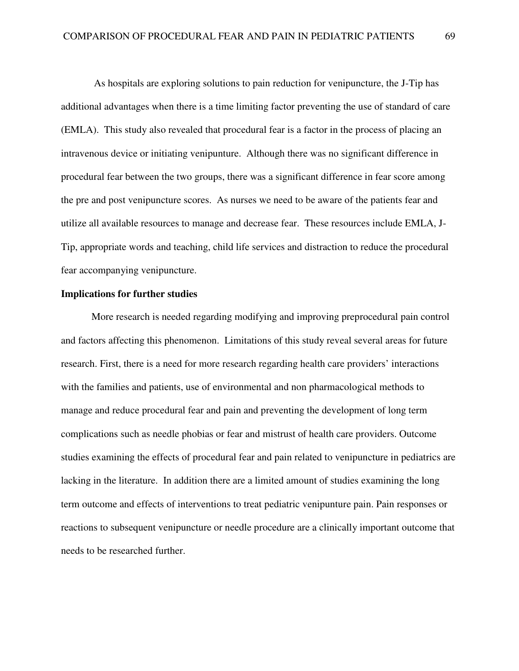As hospitals are exploring solutions to pain reduction for venipuncture, the J-Tip has additional advantages when there is a time limiting factor preventing the use of standard of care (EMLA). This study also revealed that procedural fear is a factor in the process of placing an intravenous device or initiating venipunture. Although there was no significant difference in procedural fear between the two groups, there was a significant difference in fear score among the pre and post venipuncture scores. As nurses we need to be aware of the patients fear and utilize all available resources to manage and decrease fear. These resources include EMLA, J-Tip, appropriate words and teaching, child life services and distraction to reduce the procedural fear accompanying venipuncture.

## **Implications for further studies**

More research is needed regarding modifying and improving preprocedural pain control and factors affecting this phenomenon. Limitations of this study reveal several areas for future research. First, there is a need for more research regarding health care providers' interactions with the families and patients, use of environmental and non pharmacological methods to manage and reduce procedural fear and pain and preventing the development of long term complications such as needle phobias or fear and mistrust of health care providers. Outcome studies examining the effects of procedural fear and pain related to venipuncture in pediatrics are lacking in the literature. In addition there are a limited amount of studies examining the long term outcome and effects of interventions to treat pediatric venipunture pain. Pain responses or reactions to subsequent venipuncture or needle procedure are a clinically important outcome that needs to be researched further.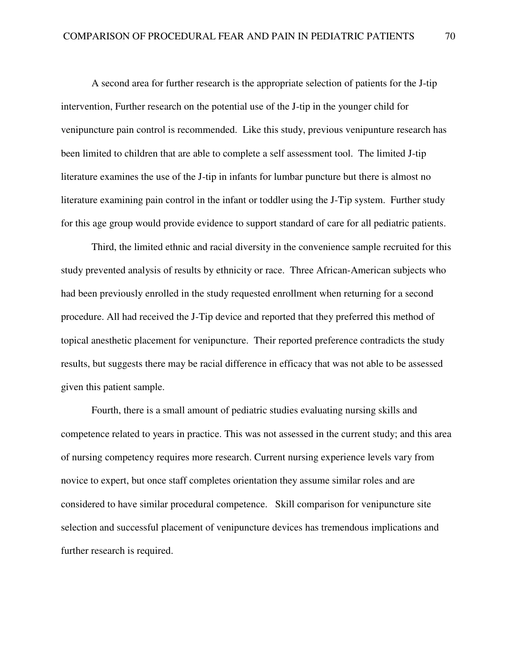A second area for further research is the appropriate selection of patients for the J-tip intervention, Further research on the potential use of the J-tip in the younger child for venipuncture pain control is recommended. Like this study, previous venipunture research has been limited to children that are able to complete a self assessment tool. The limited J-tip literature examines the use of the J-tip in infants for lumbar puncture but there is almost no literature examining pain control in the infant or toddler using the J-Tip system. Further study for this age group would provide evidence to support standard of care for all pediatric patients.

Third, the limited ethnic and racial diversity in the convenience sample recruited for this study prevented analysis of results by ethnicity or race. Three African-American subjects who had been previously enrolled in the study requested enrollment when returning for a second procedure. All had received the J-Tip device and reported that they preferred this method of topical anesthetic placement for venipuncture. Their reported preference contradicts the study results, but suggests there may be racial difference in efficacy that was not able to be assessed given this patient sample.

Fourth, there is a small amount of pediatric studies evaluating nursing skills and competence related to years in practice. This was not assessed in the current study; and this area of nursing competency requires more research. Current nursing experience levels vary from novice to expert, but once staff completes orientation they assume similar roles and are considered to have similar procedural competence. Skill comparison for venipuncture site selection and successful placement of venipuncture devices has tremendous implications and further research is required.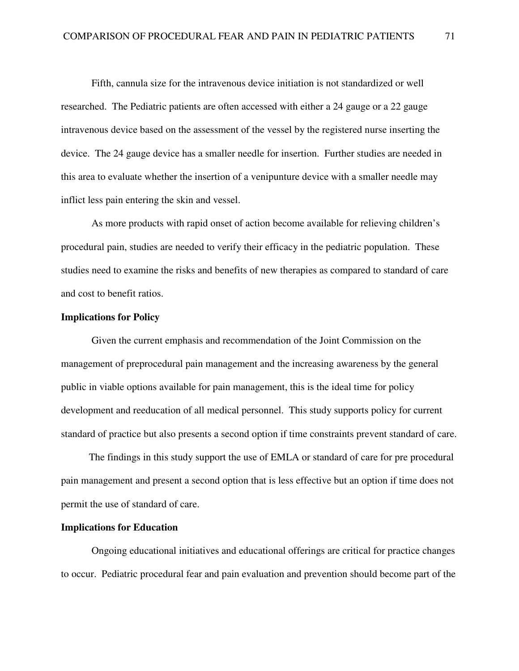Fifth, cannula size for the intravenous device initiation is not standardized or well researched. The Pediatric patients are often accessed with either a 24 gauge or a 22 gauge intravenous device based on the assessment of the vessel by the registered nurse inserting the device. The 24 gauge device has a smaller needle for insertion. Further studies are needed in this area to evaluate whether the insertion of a venipunture device with a smaller needle may inflict less pain entering the skin and vessel.

As more products with rapid onset of action become available for relieving children's procedural pain, studies are needed to verify their efficacy in the pediatric population. These studies need to examine the risks and benefits of new therapies as compared to standard of care and cost to benefit ratios.

## **Implications for Policy**

Given the current emphasis and recommendation of the Joint Commission on the management of preprocedural pain management and the increasing awareness by the general public in viable options available for pain management, this is the ideal time for policy development and reeducation of all medical personnel. This study supports policy for current standard of practice but also presents a second option if time constraints prevent standard of care.

 The findings in this study support the use of EMLA or standard of care for pre procedural pain management and present a second option that is less effective but an option if time does not permit the use of standard of care.

## **Implications for Education**

 Ongoing educational initiatives and educational offerings are critical for practice changes to occur. Pediatric procedural fear and pain evaluation and prevention should become part of the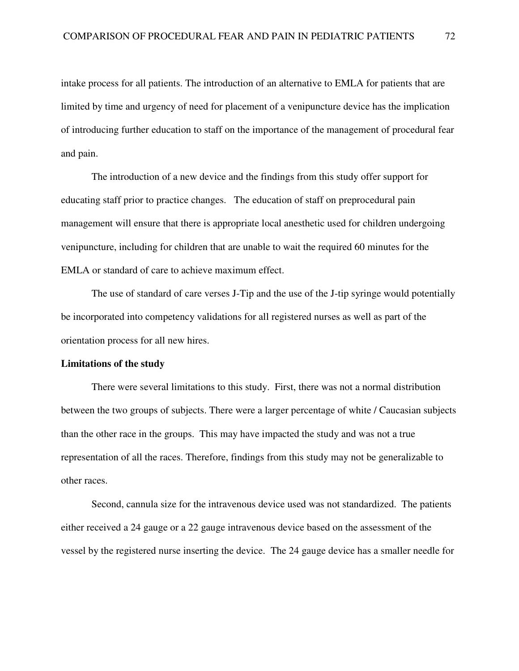intake process for all patients. The introduction of an alternative to EMLA for patients that are limited by time and urgency of need for placement of a venipuncture device has the implication of introducing further education to staff on the importance of the management of procedural fear and pain.

 The introduction of a new device and the findings from this study offer support for educating staff prior to practice changes. The education of staff on preprocedural pain management will ensure that there is appropriate local anesthetic used for children undergoing venipuncture, including for children that are unable to wait the required 60 minutes for the EMLA or standard of care to achieve maximum effect.

 The use of standard of care verses J-Tip and the use of the J-tip syringe would potentially be incorporated into competency validations for all registered nurses as well as part of the orientation process for all new hires.

## **Limitations of the study**

There were several limitations to this study. First, there was not a normal distribution between the two groups of subjects. There were a larger percentage of white / Caucasian subjects than the other race in the groups. This may have impacted the study and was not a true representation of all the races. Therefore, findings from this study may not be generalizable to other races.

Second, cannula size for the intravenous device used was not standardized. The patients either received a 24 gauge or a 22 gauge intravenous device based on the assessment of the vessel by the registered nurse inserting the device. The 24 gauge device has a smaller needle for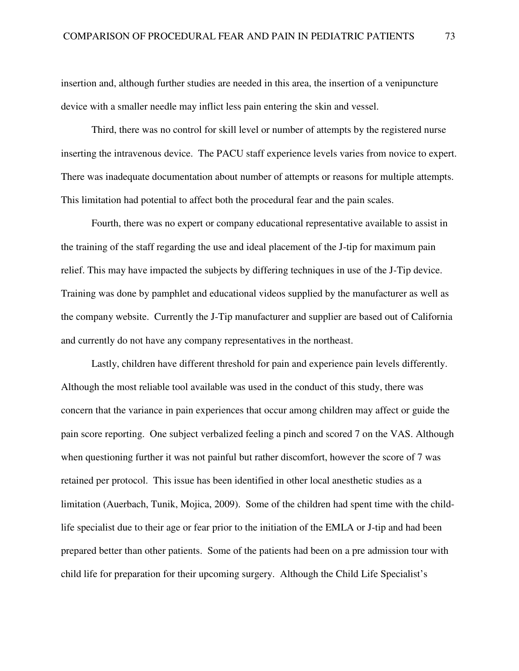insertion and, although further studies are needed in this area, the insertion of a venipuncture device with a smaller needle may inflict less pain entering the skin and vessel.

Third, there was no control for skill level or number of attempts by the registered nurse inserting the intravenous device. The PACU staff experience levels varies from novice to expert. There was inadequate documentation about number of attempts or reasons for multiple attempts. This limitation had potential to affect both the procedural fear and the pain scales.

Fourth, there was no expert or company educational representative available to assist in the training of the staff regarding the use and ideal placement of the J-tip for maximum pain relief. This may have impacted the subjects by differing techniques in use of the J-Tip device. Training was done by pamphlet and educational videos supplied by the manufacturer as well as the company website. Currently the J-Tip manufacturer and supplier are based out of California and currently do not have any company representatives in the northeast.

Lastly, children have different threshold for pain and experience pain levels differently. Although the most reliable tool available was used in the conduct of this study, there was concern that the variance in pain experiences that occur among children may affect or guide the pain score reporting. One subject verbalized feeling a pinch and scored 7 on the VAS. Although when questioning further it was not painful but rather discomfort, however the score of 7 was retained per protocol. This issue has been identified in other local anesthetic studies as a limitation (Auerbach, Tunik, Mojica, 2009). Some of the children had spent time with the childlife specialist due to their age or fear prior to the initiation of the EMLA or J-tip and had been prepared better than other patients. Some of the patients had been on a pre admission tour with child life for preparation for their upcoming surgery. Although the Child Life Specialist's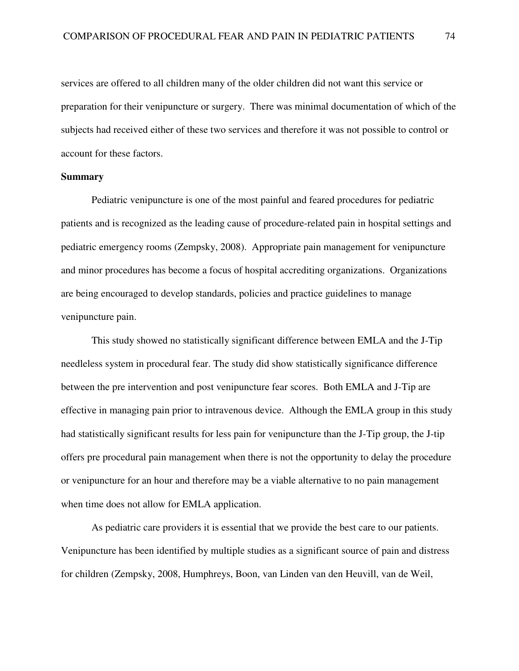services are offered to all children many of the older children did not want this service or preparation for their venipuncture or surgery. There was minimal documentation of which of the subjects had received either of these two services and therefore it was not possible to control or account for these factors.

#### **Summary**

Pediatric venipuncture is one of the most painful and feared procedures for pediatric patients and is recognized as the leading cause of procedure-related pain in hospital settings and pediatric emergency rooms (Zempsky, 2008). Appropriate pain management for venipuncture and minor procedures has become a focus of hospital accrediting organizations. Organizations are being encouraged to develop standards, policies and practice guidelines to manage venipuncture pain.

This study showed no statistically significant difference between EMLA and the J-Tip needleless system in procedural fear. The study did show statistically significance difference between the pre intervention and post venipuncture fear scores. Both EMLA and J-Tip are effective in managing pain prior to intravenous device. Although the EMLA group in this study had statistically significant results for less pain for venipuncture than the J-Tip group, the J-tip offers pre procedural pain management when there is not the opportunity to delay the procedure or venipuncture for an hour and therefore may be a viable alternative to no pain management when time does not allow for EMLA application.

As pediatric care providers it is essential that we provide the best care to our patients. Venipuncture has been identified by multiple studies as a significant source of pain and distress for children (Zempsky, 2008, Humphreys, Boon, van Linden van den Heuvill, van de Weil,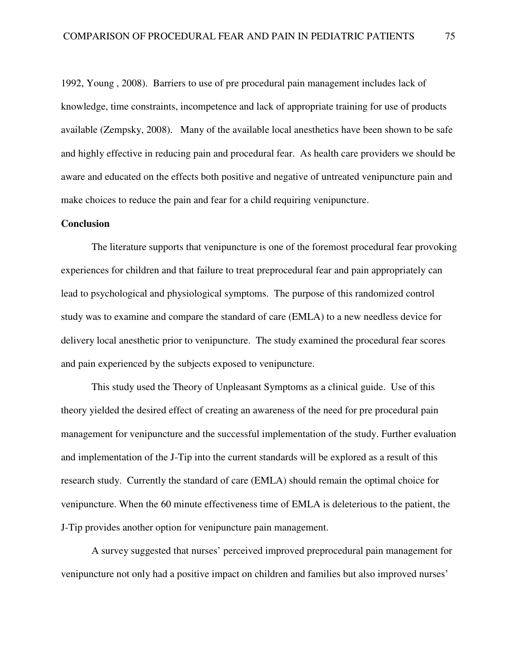1992, Young , 2008). Barriers to use of pre procedural pain management includes lack of knowledge, time constraints, incompetence and lack of appropriate training for use of products available (Zempsky, 2008). Many of the available local anesthetics have been shown to be safe and highly effective in reducing pain and procedural fear. As health care providers we should be aware and educated on the effects both positive and negative of untreated venipuncture pain and make choices to reduce the pain and fear for a child requiring venipuncture.

## **Conclusion**

 The literature supports that venipuncture is one of the foremost procedural fear provoking experiences for children and that failure to treat preprocedural fear and pain appropriately can lead to psychological and physiological symptoms. The purpose of this randomized control study was to examine and compare the standard of care (EMLA) to a new needless device for delivery local anesthetic prior to venipuncture. The study examined the procedural fear scores and pain experienced by the subjects exposed to venipuncture.

This study used the Theory of Unpleasant Symptoms as a clinical guide. Use of this theory yielded the desired effect of creating an awareness of the need for pre procedural pain management for venipuncture and the successful implementation of the study. Further evaluation and implementation of the J-Tip into the current standards will be explored as a result of this research study. Currently the standard of care (EMLA) should remain the optimal choice for venipuncture. When the 60 minute effectiveness time of EMLA is deleterious to the patient, the J-Tip provides another option for venipuncture pain management.

A survey suggested that nurses' perceived improved preprocedural pain management for venipuncture not only had a positive impact on children and families but also improved nurses'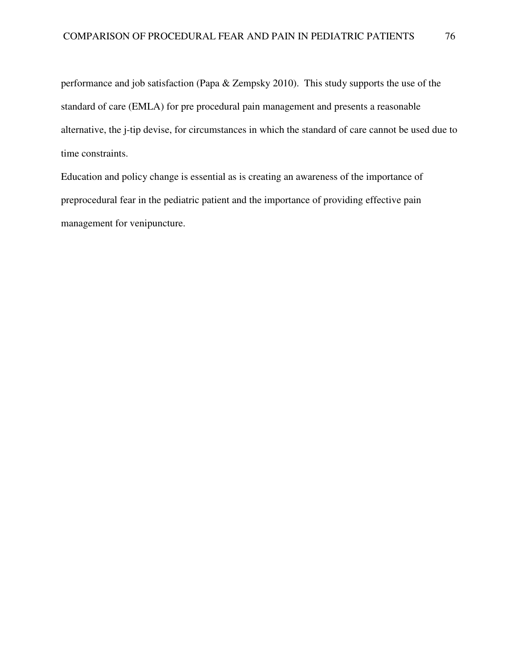performance and job satisfaction (Papa & Zempsky 2010). This study supports the use of the standard of care (EMLA) for pre procedural pain management and presents a reasonable alternative, the j-tip devise, for circumstances in which the standard of care cannot be used due to time constraints.

Education and policy change is essential as is creating an awareness of the importance of preprocedural fear in the pediatric patient and the importance of providing effective pain management for venipuncture.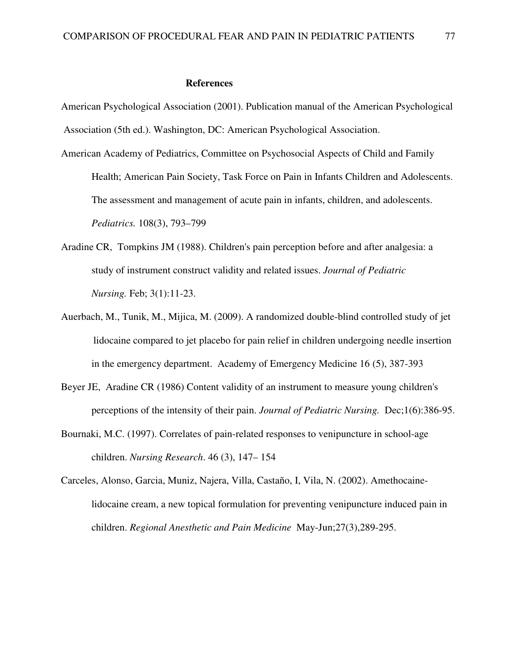#### **References**

American Psychological Association (2001). Publication manual of the American Psychological Association (5th ed.). Washington, DC: American Psychological Association.

- American Academy of Pediatrics, Committee on Psychosocial Aspects of Child and Family Health; American Pain Society, Task Force on Pain in Infants Children and Adolescents. The assessment and management of acute pain in infants, children, and adolescents. *Pediatrics.* 108(3), 793–799
- Aradine CR, Tompkins JM (1988). Children's pain perception before and after analgesia: a study of instrument construct validity and related issues. *Journal of Pediatric Nursing.* Feb; 3(1):11-23.
- Auerbach, M., Tunik, M., Mijica, M. (2009). A randomized double-blind controlled study of jet lidocaine compared to jet placebo for pain relief in children undergoing needle insertion in the emergency department. Academy of Emergency Medicine 16 (5), 387-393
- Beyer JE, Aradine CR (1986) Content validity of an instrument to measure young children's perceptions of the intensity of their pain. *Journal of Pediatric Nursing.* Dec;1(6):386-95.
- Bournaki, M.C. (1997). Correlates of pain-related responses to venipuncture in school-age children. *Nursing Research*. 46 (3), 147– 154
- Carceles, Alonso, Garcia, Muniz, Najera, Villa, Castaño, I, Vila, N. (2002). Amethocainelidocaine cream, a new topical formulation for preventing venipuncture induced pain in children. *Regional Anesthetic and Pain Medicine* May-Jun;27(3),289-295.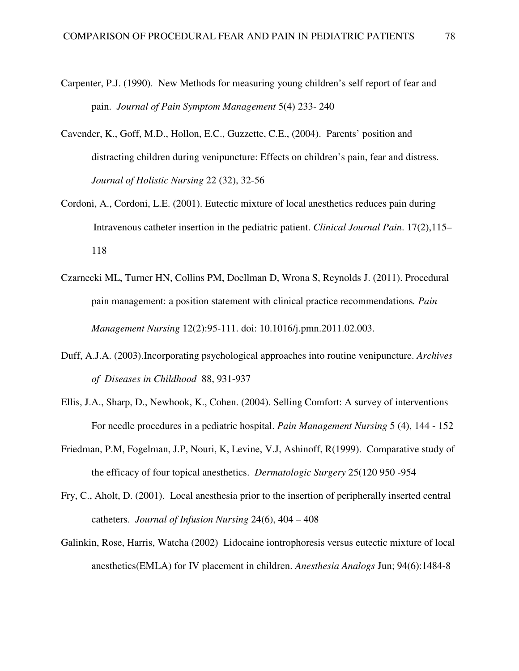- Carpenter, P.J. (1990). New Methods for measuring young children's self report of fear and pain. *Journal of Pain Symptom Management* 5(4) 233- 240
- Cavender, K., Goff, M.D., Hollon, E.C., Guzzette, C.E., (2004). Parents' position and distracting children during venipuncture: Effects on children's pain, fear and distress. *Journal of Holistic Nursing* 22 (32), 32-56
- Cordoni, A., Cordoni, L.E. (2001). Eutectic mixture of local anesthetics reduces pain during Intravenous catheter insertion in the pediatric patient. *Clinical Journal Pain*. 17(2),115– 118
- Czarnecki ML, Turner HN, Collins PM, Doellman D, Wrona S, Reynolds J. (2011). Procedural pain management: a position statement with clinical practice recommendations*. Pain Management Nursing* 12(2):95-111. doi: 10.1016/j.pmn.2011.02.003.
- Duff, A.J.A. (2003).Incorporating psychological approaches into routine venipuncture. *Archives of Diseases in Childhood* 88, 931-937
- Ellis, J.A., Sharp, D., Newhook, K., Cohen. (2004). Selling Comfort: A survey of interventions For needle procedures in a pediatric hospital. *Pain Management Nursing* 5 (4), 144 - 152
- Friedman, P.M, Fogelman, J.P, Nouri, K, Levine, V.J, Ashinoff, R(1999). Comparative study of the efficacy of four topical anesthetics. *Dermatologic Surgery* 25(120 950 -954
- Fry, C., Aholt, D. (2001). Local anesthesia prior to the insertion of peripherally inserted central catheters. *Journal of Infusion Nursing* 24(6), 404 – 408
- Galinkin, Rose, Harris, Watcha (2002) Lidocaine iontrophoresis versus eutectic mixture of local anesthetics(EMLA) for IV placement in children. *Anesthesia Analogs* Jun; 94(6):1484-8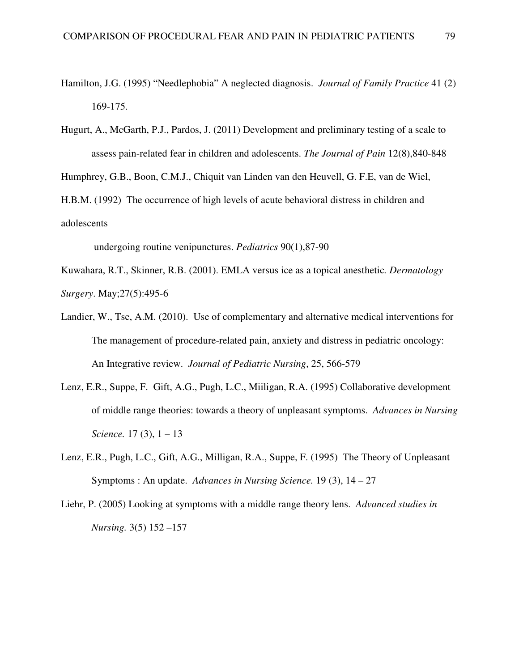- Hamilton, J.G. (1995) "Needlephobia" A neglected diagnosis. *Journal of Family Practice* 41 (2) 169-175.
- Hugurt, A., McGarth, P.J., Pardos, J. (2011) Development and preliminary testing of a scale to assess pain-related fear in children and adolescents. *The Journal of Pain* 12(8),840-848

Humphrey, G.B., Boon, C.M.J., Chiquit van Linden van den Heuvell, G. F.E, van de Wiel,

H.B.M. (1992) The occurrence of high levels of acute behavioral distress in children and adolescents

undergoing routine venipunctures. *Pediatrics* 90(1),87-90

Kuwahara, R.T., Skinner, R.B. (2001). EMLA versus ice as a topical anesthetic*. Dermatology Surgery*. May;27(5):495-6

- Landier, W., Tse, A.M. (2010). Use of complementary and alternative medical interventions for The management of procedure-related pain, anxiety and distress in pediatric oncology: An Integrative review. *Journal of Pediatric Nursing*, 25, 566-579
- Lenz, E.R., Suppe, F. Gift, A.G., Pugh, L.C., Miiligan, R.A. (1995) Collaborative development of middle range theories: towards a theory of unpleasant symptoms. *Advances in Nursing Science.* 17 (3),  $1 - 13$
- Lenz, E.R., Pugh, L.C., Gift, A.G., Milligan, R.A., Suppe, F. (1995) The Theory of Unpleasant Symptoms : An update. *Advances in Nursing Science.* 19 (3), 14 – 27
- Liehr, P. (2005) Looking at symptoms with a middle range theory lens. *Advanced studies in Nursing.* 3(5) 152 –157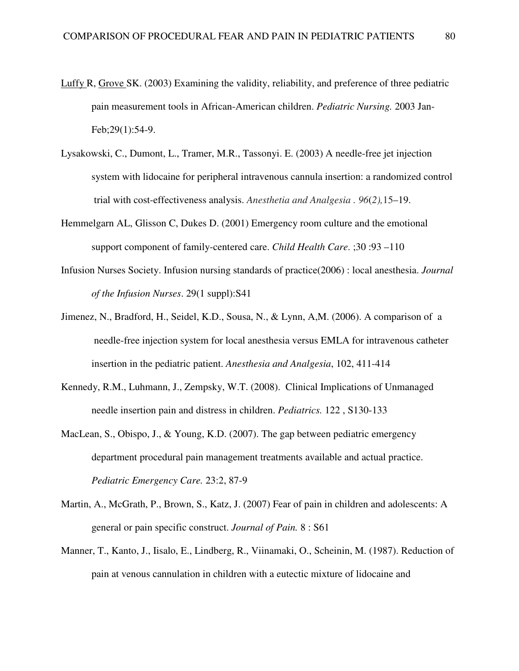- Luffy R, Grove SK. (2003) Examining the validity, reliability, and preference of three pediatric pain measurement tools in African-American children. *Pediatric Nursing.* 2003 Jan-Feb;29(1):54-9.
- Lysakowski, C., Dumont, L., Tramer, M.R., Tassonyi. E. (2003) A needle-free jet injection system with lidocaine for peripheral intravenous cannula insertion: a randomized control trial with cost-effectiveness analysis. *Anesthetia and Analgesia . 96*(*2),*15–19.
- Hemmelgarn AL, Glisson C, Dukes D. (2001) Emergency room culture and the emotional support component of family-centered care. *Child Health Care*. ;30 :93 –110
- Infusion Nurses Society. Infusion nursing standards of practice(2006) : local anesthesia. *Journal of the Infusion Nurses*. 29(1 suppl):S41
- Jimenez, N., Bradford, H., Seidel, K.D., Sousa, N., & Lynn, A,M. (2006). A comparison of a needle-free injection system for local anesthesia versus EMLA for intravenous catheter insertion in the pediatric patient. *Anesthesia and Analgesia*, 102, 411-414
- Kennedy, R.M., Luhmann, J., Zempsky, W.T. (2008). Clinical Implications of Unmanaged needle insertion pain and distress in children. *Pediatrics.* 122 , S130-133
- MacLean, S., Obispo, J., & Young, K.D. (2007). The gap between pediatric emergency department procedural pain management treatments available and actual practice. *Pediatric Emergency Care.* 23:2, 87-9
- Martin, A., McGrath, P., Brown, S., Katz, J. (2007) Fear of pain in children and adolescents: A general or pain specific construct. *Journal of Pain.* 8 : S61
- Manner, T., Kanto, J., Iisalo, E., Lindberg, R., Viinamaki, O., Scheinin, M. (1987). Reduction of pain at venous cannulation in children with a eutectic mixture of lidocaine and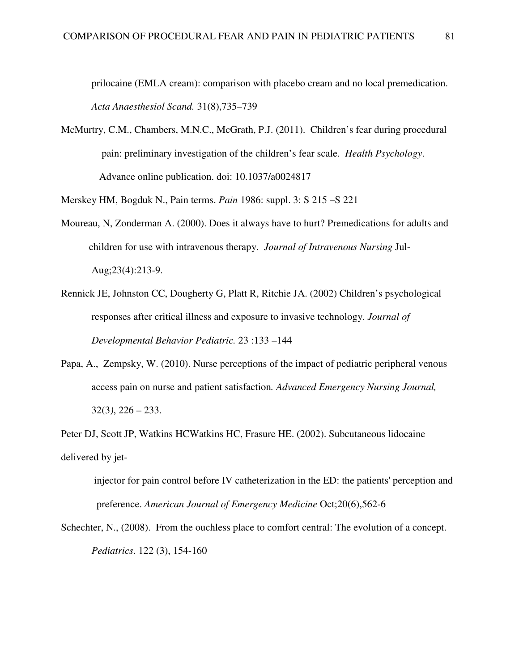prilocaine (EMLA cream): comparison with placebo cream and no local premedication. *Acta Anaesthesiol Scand.* 31(8),735–739

McMurtry, C.M., Chambers, M.N.C., McGrath, P.J. (2011). Children's fear during procedural pain: preliminary investigation of the children's fear scale. *Health Psychology*. Advance online publication. doi: 10.1037/a0024817

Merskey HM, Bogduk N., Pain terms. *Pain* 1986: suppl. 3: S 215 –S 221

- Moureau, N, Zonderman A. (2000). Does it always have to hurt? Premedications for adults and children for use with intravenous therapy. *Journal of Intravenous Nursing* Jul-Aug;23(4):213-9.
- Rennick JE, Johnston CC, Dougherty G, Platt R, Ritchie JA. (2002) Children's psychological responses after critical illness and exposure to invasive technology. *Journal of Developmental Behavior Pediatric.* 23 :133 –144
- Papa, A., Zempsky, W. (2010). Nurse perceptions of the impact of pediatric peripheral venous access pain on nurse and patient satisfaction*. Advanced Emergency Nursing Journal,*  32(3*)*, 226 – 233.

Peter DJ, Scott JP, Watkins HCWatkins HC, Frasure HE. (2002). Subcutaneous lidocaine delivered by jet-

 injector for pain control before IV catheterization in the ED: the patients' perception and preference. *American Journal of Emergency Medicine* Oct;20(6),562-6

Schechter, N., (2008). From the ouchless place to comfort central: The evolution of a concept. *Pediatrics*. 122 (3), 154-160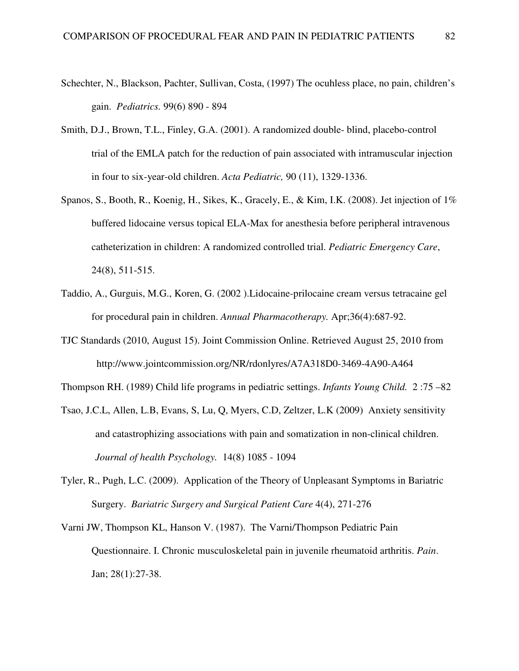- Schechter, N., Blackson, Pachter, Sullivan, Costa, (1997) The ocuhless place, no pain, children's gain. *Pediatrics.* 99(6) 890 - 894
- Smith, D.J., Brown, T.L., Finley, G.A. (2001). A randomized double- blind, placebo-control trial of the EMLA patch for the reduction of pain associated with intramuscular injection in four to six-year-old children. *Acta Pediatric,* 90 (11), 1329-1336.
- Spanos, S., Booth, R., Koenig, H., Sikes, K., Gracely, E., & Kim, I.K. (2008). Jet injection of 1% buffered lidocaine versus topical ELA-Max for anesthesia before peripheral intravenous catheterization in children: A randomized controlled trial. *Pediatric Emergency Care*, 24(8), 511-515.
- Taddio, A., Gurguis, M.G., Koren, G. (2002 ).Lidocaine-prilocaine cream versus tetracaine gel for procedural pain in children. *Annual Pharmacotherapy.* Apr;36(4):687-92.
- TJC Standards (2010, August 15). Joint Commission Online. Retrieved August 25, 2010 from http://www.jointcommission.org/NR/rdonlyres/A7A318D0-3469-4A90-A464

Thompson RH. (1989) Child life programs in pediatric settings. *Infants Young Child.* 2 :75 –82

- Tsao, J.C.L, Allen, L.B, Evans, S, Lu, Q, Myers, C.D, Zeltzer, L.K (2009) Anxiety sensitivity and catastrophizing associations with pain and somatization in non-clinical children. *Journal of health Psychology.* 14(8) 1085 - 1094
- Tyler, R., Pugh, L.C. (2009). Application of the Theory of Unpleasant Symptoms in Bariatric Surgery. *Bariatric Surgery and Surgical Patient Care* 4(4), 271-276
- Varni JW, Thompson KL, Hanson V. (1987). The Varni/Thompson Pediatric Pain Questionnaire. I. Chronic musculoskeletal pain in juvenile rheumatoid arthritis. *Pain*. Jan; 28(1):27-38.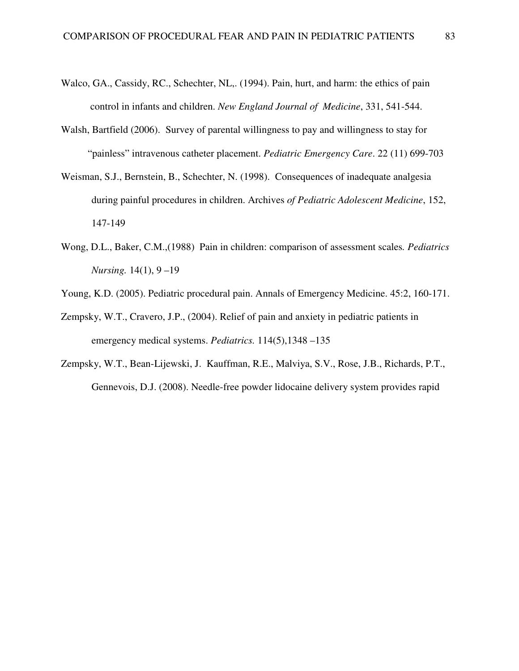- Walco, GA., Cassidy, RC., Schechter, NL,. (1994). Pain, hurt, and harm: the ethics of pain control in infants and children. *New England Journal of Medicine*, 331, 541-544.
- Walsh, Bartfield (2006). Survey of parental willingness to pay and willingness to stay for "painless" intravenous catheter placement. *Pediatric Emergency Care*. 22 (11) 699-703
- Weisman, S.J., Bernstein, B., Schechter, N. (1998). Consequences of inadequate analgesia during painful procedures in children. Archives *of Pediatric Adolescent Medicine*, 152, 147-149
- Wong, D.L., Baker, C.M.,(1988) Pain in children: comparison of assessment scales*. Pediatrics Nursing.* 14(1), 9 –19
- Young, K.D. (2005). Pediatric procedural pain. Annals of Emergency Medicine. 45:2, 160-171.
- Zempsky, W.T., Cravero, J.P., (2004). Relief of pain and anxiety in pediatric patients in emergency medical systems. *Pediatrics.* 114(5),1348 –135
- Zempsky, W.T., Bean-Lijewski, J. Kauffman, R.E., Malviya, S.V., Rose, J.B., Richards, P.T., Gennevois, D.J. (2008). Needle-free powder lidocaine delivery system provides rapid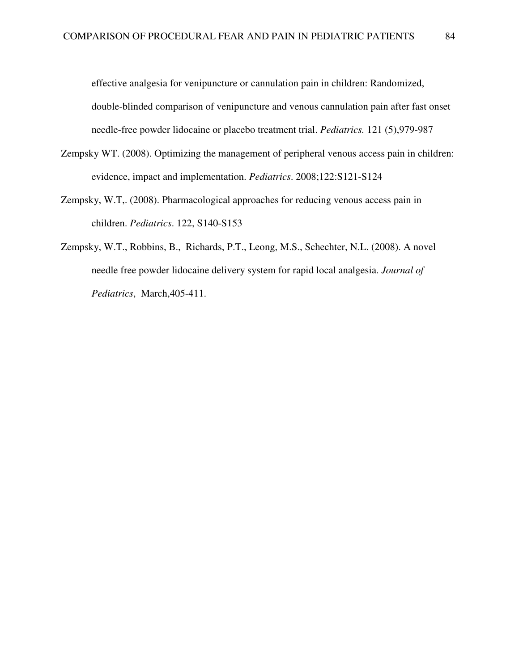effective analgesia for venipuncture or cannulation pain in children: Randomized, double-blinded comparison of venipuncture and venous cannulation pain after fast onset needle-free powder lidocaine or placebo treatment trial. *Pediatrics.* 121 (5),979-987

- Zempsky WT. (2008). Optimizing the management of peripheral venous access pain in children: evidence, impact and implementation. *Pediatrics*. 2008;122:S121-S124
- Zempsky, W.T,. (2008). Pharmacological approaches for reducing venous access pain in children. *Pediatrics*. 122, S140-S153
- Zempsky, W.T., Robbins, B., Richards, P.T., Leong, M.S., Schechter, N.L. (2008). A novel needle free powder lidocaine delivery system for rapid local analgesia. *Journal of Pediatrics*, March,405-411.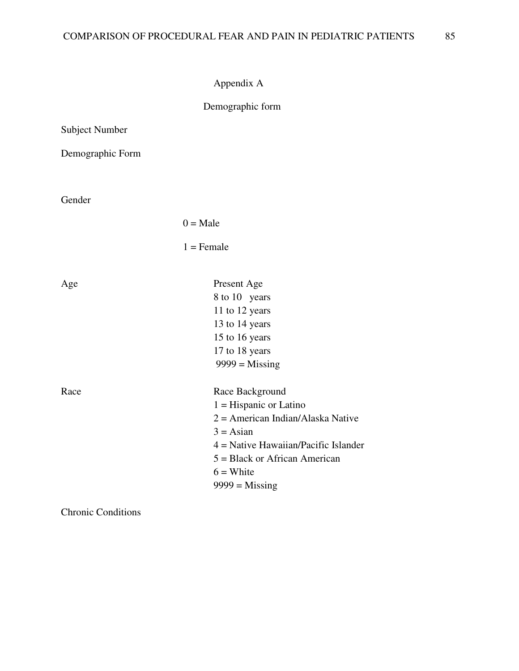```
Appendix A
```
# Demographic form

| <b>Subject Number</b> |                                                                                                                                                                                                                          |
|-----------------------|--------------------------------------------------------------------------------------------------------------------------------------------------------------------------------------------------------------------------|
| Demographic Form      |                                                                                                                                                                                                                          |
| Gender                |                                                                                                                                                                                                                          |
|                       | $0 = Male$                                                                                                                                                                                                               |
|                       | $1 =$ Female                                                                                                                                                                                                             |
| Age                   | Present Age<br>8 to 10 years<br>11 to 12 years<br>13 to 14 years<br>15 to 16 years<br>17 to 18 years<br>$9999 =$ Missing                                                                                                 |
| Race                  | Race Background<br>$1 =$ Hispanic or Latino<br>$2 =$ American Indian/Alaska Native<br>$3 = \text{Asian}$<br>$4$ = Native Hawaiian/Pacific Islander<br>$5 = Black$ or African American<br>$6 =$ White<br>$9999 =$ Missing |

Chronic Conditions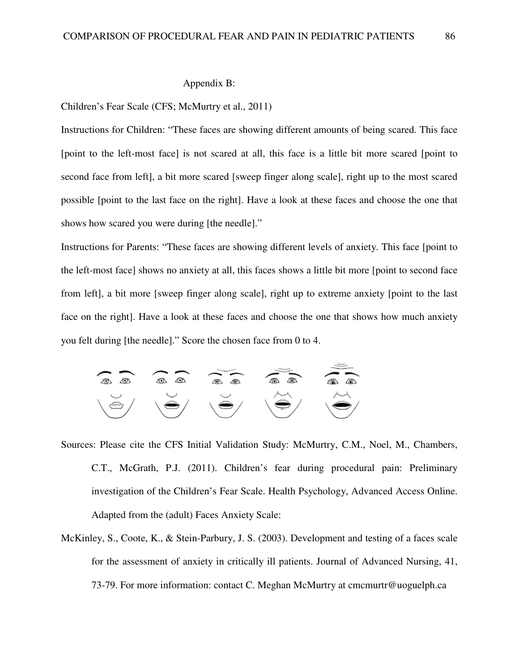#### Appendix B:

#### Children's Fear Scale (CFS; McMurtry et al., 2011)

Instructions for Children: "These faces are showing different amounts of being scared. This face [point to the left-most face] is not scared at all, this face is a little bit more scared [point to second face from left], a bit more scared [sweep finger along scale], right up to the most scared possible [point to the last face on the right]. Have a look at these faces and choose the one that shows how scared you were during [the needle]."

Instructions for Parents: "These faces are showing different levels of anxiety. This face [point to the left-most face] shows no anxiety at all, this faces shows a little bit more [point to second face from left], a bit more [sweep finger along scale], right up to extreme anxiety [point to the last face on the right]. Have a look at these faces and choose the one that shows how much anxiety you felt during [the needle]." Score the chosen face from 0 to 4.



- Sources: Please cite the CFS Initial Validation Study: McMurtry, C.M., Noel, M., Chambers, C.T., McGrath, P.J. (2011). Children's fear during procedural pain: Preliminary investigation of the Children's Fear Scale. Health Psychology, Advanced Access Online. Adapted from the (adult) Faces Anxiety Scale:
- McKinley, S., Coote, K., & Stein-Parbury, J. S. (2003). Development and testing of a faces scale for the assessment of anxiety in critically ill patients. Journal of Advanced Nursing, 41, 73-79. For more information: contact C. Meghan McMurtry at cmcmurtr@uoguelph.ca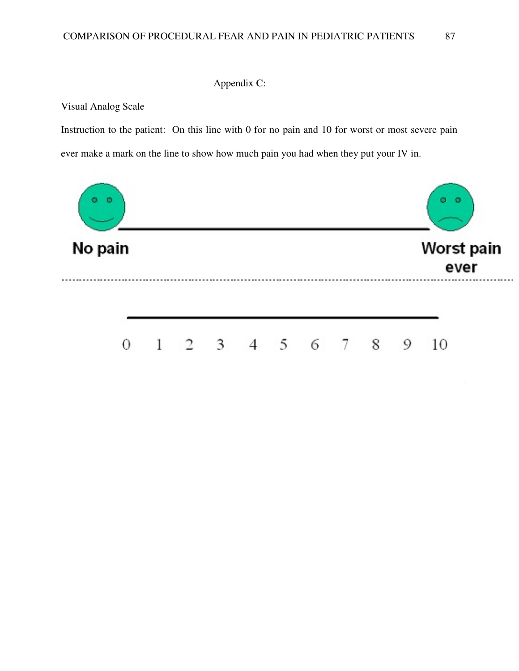## Appendix C:

Visual Analog Scale

Instruction to the patient: On this line with 0 for no pain and 10 for worst or most severe pain ever make a mark on the line to show how much pain you had when they put your IV in.

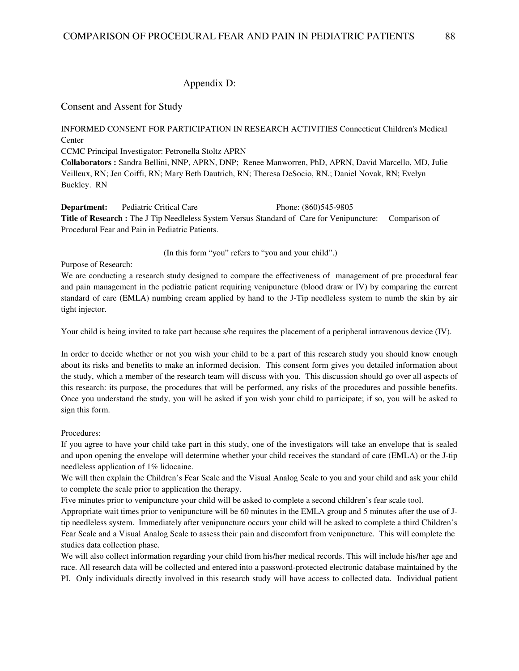### Appendix D:

Consent and Assent for Study

INFORMED CONSENT FOR PARTICIPATION IN RESEARCH ACTIVITIES Connecticut Children's Medical Center

CCMC Principal Investigator: Petronella Stoltz APRN

**Collaborators :** Sandra Bellini, NNP, APRN, DNP; Renee Manworren, PhD, APRN, David Marcello, MD, Julie Veilleux, RN; Jen Coiffi, RN; Mary Beth Dautrich, RN; Theresa DeSocio, RN.; Daniel Novak, RN; Evelyn Buckley. RN

**Department:** Pediatric Critical Care Phone: (860)545-9805 **Title of Research :** The J Tip Needleless System Versus Standard of Care for Venipuncture: Comparison of Procedural Fear and Pain in Pediatric Patients.

(In this form "you" refers to "you and your child".)

Purpose of Research:

We are conducting a research study designed to compare the effectiveness of management of pre procedural fear and pain management in the pediatric patient requiring venipuncture (blood draw or IV) by comparing the current standard of care (EMLA) numbing cream applied by hand to the J-Tip needleless system to numb the skin by air tight injector.

Your child is being invited to take part because s/he requires the placement of a peripheral intravenous device (IV).

In order to decide whether or not you wish your child to be a part of this research study you should know enough about its risks and benefits to make an informed decision. This consent form gives you detailed information about the study, which a member of the research team will discuss with you. This discussion should go over all aspects of this research: its purpose, the procedures that will be performed, any risks of the procedures and possible benefits. Once you understand the study, you will be asked if you wish your child to participate; if so, you will be asked to sign this form.

#### Procedures:

If you agree to have your child take part in this study, one of the investigators will take an envelope that is sealed and upon opening the envelope will determine whether your child receives the standard of care (EMLA) or the J-tip needleless application of 1% lidocaine.

We will then explain the Children's Fear Scale and the Visual Analog Scale to you and your child and ask your child to complete the scale prior to application the therapy.

Five minutes prior to venipuncture your child will be asked to complete a second children's fear scale tool.

Appropriate wait times prior to venipuncture will be 60 minutes in the EMLA group and 5 minutes after the use of Jtip needleless system. Immediately after venipuncture occurs your child will be asked to complete a third Children's Fear Scale and a Visual Analog Scale to assess their pain and discomfort from venipuncture. This will complete the studies data collection phase.

We will also collect information regarding your child from his/her medical records. This will include his/her age and race. All research data will be collected and entered into a password-protected electronic database maintained by the PI. Only individuals directly involved in this research study will have access to collected data. Individual patient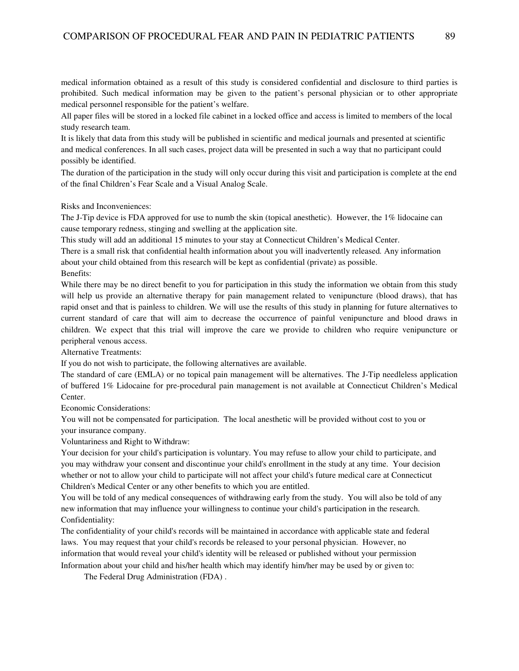medical information obtained as a result of this study is considered confidential and disclosure to third parties is prohibited. Such medical information may be given to the patient's personal physician or to other appropriate medical personnel responsible for the patient's welfare.

All paper files will be stored in a locked file cabinet in a locked office and access is limited to members of the local study research team.

It is likely that data from this study will be published in scientific and medical journals and presented at scientific and medical conferences. In all such cases, project data will be presented in such a way that no participant could possibly be identified.

The duration of the participation in the study will only occur during this visit and participation is complete at the end of the final Children's Fear Scale and a Visual Analog Scale.

Risks and Inconveniences:

The J-Tip device is FDA approved for use to numb the skin (topical anesthetic). However, the 1% lidocaine can cause temporary redness, stinging and swelling at the application site.

This study will add an additional 15 minutes to your stay at Connecticut Children's Medical Center.

There is a small risk that confidential health information about you will inadvertently released*.* Any information about your child obtained from this research will be kept as confidential (private) as possible. Benefits:

While there may be no direct benefit to you for participation in this study the information we obtain from this study will help us provide an alternative therapy for pain management related to venipuncture (blood draws), that has rapid onset and that is painless to children. We will use the results of this study in planning for future alternatives to current standard of care that will aim to decrease the occurrence of painful venipuncture and blood draws in children. We expect that this trial will improve the care we provide to children who require venipuncture or peripheral venous access.

Alternative Treatments:

If you do not wish to participate, the following alternatives are available.

The standard of care (EMLA) or no topical pain management will be alternatives. The J-Tip needleless application of buffered 1% Lidocaine for pre-procedural pain management is not available at Connecticut Children's Medical Center.

Economic Considerations:

You will not be compensated for participation. The local anesthetic will be provided without cost to you or your insurance company.

Voluntariness and Right to Withdraw:

Your decision for your child's participation is voluntary. You may refuse to allow your child to participate, and you may withdraw your consent and discontinue your child's enrollment in the study at any time. Your decision whether or not to allow your child to participate will not affect your child's future medical care at Connecticut Children's Medical Center or any other benefits to which you are entitled.

You will be told of any medical consequences of withdrawing early from the study. You will also be told of any new information that may influence your willingness to continue your child's participation in the research. Confidentiality:

The confidentiality of your child's records will be maintained in accordance with applicable state and federal laws. You may request that your child's records be released to your personal physician. However, no information that would reveal your child's identity will be released or published without your permission Information about your child and his/her health which may identify him/her may be used by or given to:

The Federal Drug Administration (FDA) .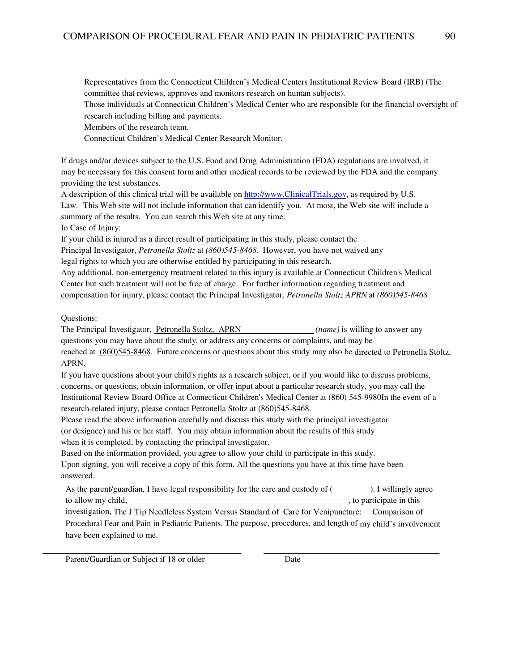Representatives from the Connecticut Children's Medical Centers Institutional Review Board (IRB) (The committee that reviews, approves and monitors research on human subjects).

Those individuals at Connecticut Children's Medical Center who are responsible for the financial oversight of research including billing and payments.

Members of the research team.

Connecticut Children's Medical Center Research Monitor.

If drugs and/or devices subject to the U.S. Food and Drug Administration (FDA) regulations are involved, it may be necessary for this consent form and other medical records to be reviewed by the FDA and the company providing the test substances.

A description of this clinical trial will be available on http://www.ClinicalTrials.gov, as required by U.S. Law. This Web site will not include information that can identify you. At most, the Web site will include a summary of the results. You can search this Web site at any time.

In Case of Injury:

If your child is injured as a direct result of participating in this study, please contact the Principal Investigator, *Petronella Stoltz* at *(860)545-8468.* However, you have not waived any legal rights to which you are otherwise entitled by participating in this research.

Any additional, non-emergency treatment related to this injury is available at Connecticut Children's Medical Center but such treatment will not be free of charge. For further information regarding treatment and compensation for injury, please contact the Principal Investigator, *Petronella Stoltz APRN* at *(860)545-8468*

#### Questions:

The Principal Investigator, Petronella Stoltz, APRN *(name)* is willing to answer any questions you may have about the study, or address any concerns or complaints, and may be reached at (860)545-8468*.* Future concerns or questions about this study may also be directed to Petronella Stoltz, APRN.

If you have questions about your child's rights as a research subject, or if you would like to discuss problems, concerns, or questions, obtain information, or offer input about a particular research study, you may call the Institutional Review Board Office at Connecticut Children's Medical Center at (860) 545-9980In the event of a research-related injury, please contact Petronella Stoltz at (860)545-8468.

Please read the above information carefully and discuss this study with the principal investigator (or designee) and his or her staff. You may obtain information about the results of this study when it is completed, by contacting the principal investigator.

Based on the information provided, you agree to allow your child to participate in this study. Upon signing, you will receive a copy of this form. All the questions you have at this time have been answered.

As the parent/guardian, I have legal responsibility for the care and custody of  $($ ). I willingly agree to allow my child,  $\qquad \qquad$  to participate in this

investigation, The J Tip Needleless System Versus Standard of Care for Venipuncture: Comparison of Procedural Fear and Pain in Pediatric Patients. The purpose, procedures, and length of my child's involvement have been explained to me.

Parent/Guardian or Subject if 18 or older Date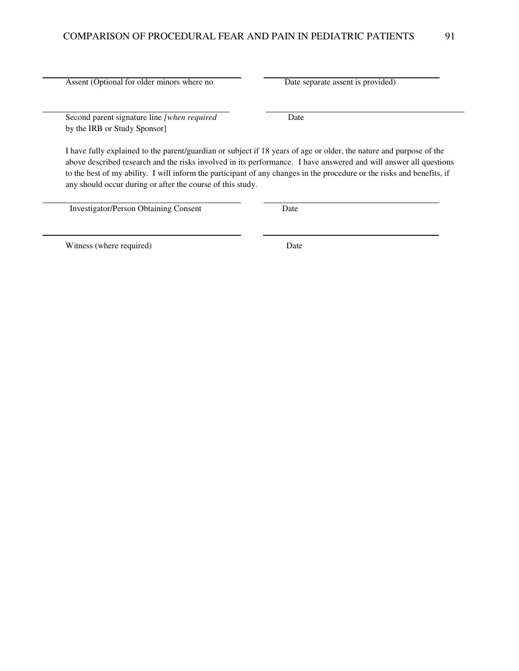Assent (Optional for older minors where no Date separate assent is provided)

Second parent signature line *[when required* Date by the IRB or Study Sponsor]

I have fully explained to the parent/guardian or subject if 18 years of age or older, the nature and purpose of the above described research and the risks involved in its performance. I have answered and will answer all questions to the best of my ability. I will inform the participant of any changes in the procedure or the risks and benefits, if any should occur during or after the course of this study.

Investigator/Person Obtaining Consent Date

Witness (where required) Date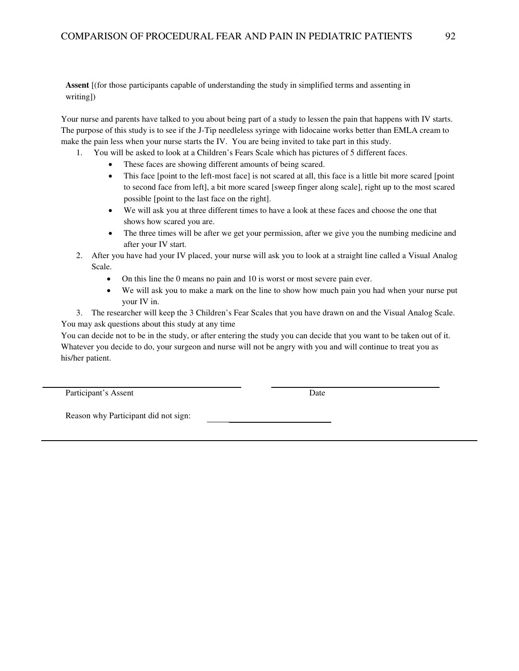**Assent** [(for those participants capable of understanding the study in simplified terms and assenting in writing])

Your nurse and parents have talked to you about being part of a study to lessen the pain that happens with IV starts. The purpose of this study is to see if the J-Tip needleless syringe with lidocaine works better than EMLA cream to make the pain less when your nurse starts the IV. You are being invited to take part in this study.

- 1. You will be asked to look at a Children's Fears Scale which has pictures of 5 different faces.
	- These faces are showing different amounts of being scared.
	- This face [point to the left-most face] is not scared at all, this face is a little bit more scared [point to second face from left], a bit more scared [sweep finger along scale], right up to the most scared possible [point to the last face on the right].
	- We will ask you at three different times to have a look at these faces and choose the one that shows how scared you are.
	- The three times will be after we get your permission, after we give you the numbing medicine and after your IV start.
- 2. After you have had your IV placed, your nurse will ask you to look at a straight line called a Visual Analog Scale.
	- On this line the 0 means no pain and 10 is worst or most severe pain ever.
	- We will ask you to make a mark on the line to show how much pain you had when your nurse put your IV in.

3. The researcher will keep the 3 Children's Fear Scales that you have drawn on and the Visual Analog Scale. You may ask questions about this study at any time

You can decide not to be in the study, or after entering the study you can decide that you want to be taken out of it. Whatever you decide to do, your surgeon and nurse will not be angry with you and will continue to treat you as his/her patient.

Participant's Assent Date

Reason why Participant did not sign: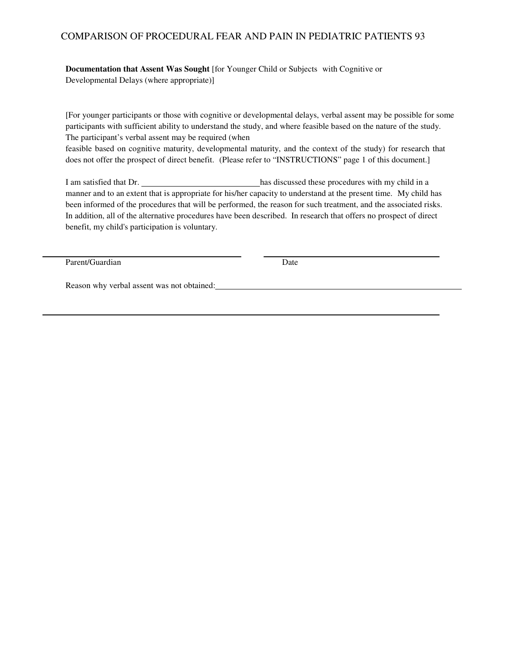## COMPARISON OF PROCEDURAL FEAR AND PAIN IN PEDIATRIC PATIENTS 93

**Documentation that Assent Was Sought** [for Younger Child or Subjects with Cognitive or Developmental Delays (where appropriate)]

[For younger participants or those with cognitive or developmental delays, verbal assent may be possible for some participants with sufficient ability to understand the study, and where feasible based on the nature of the study. The participant's verbal assent may be required (when

feasible based on cognitive maturity, developmental maturity, and the context of the study) for research that does not offer the prospect of direct benefit. (Please refer to "INSTRUCTIONS" page 1 of this document.]

I am satisfied that Dr. has discussed these procedures with my child in a manner and to an extent that is appropriate for his/her capacity to understand at the present time. My child has been informed of the procedures that will be performed, the reason for such treatment, and the associated risks. In addition, all of the alternative procedures have been described. In research that offers no prospect of direct benefit, my child's participation is voluntary.

Parent/Guardian Date

Reason why verbal assent was not obtained: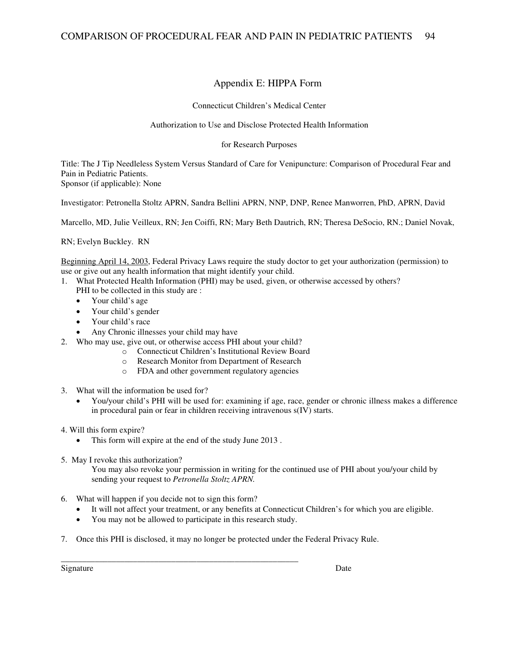## Appendix E: HIPPA Form

Connecticut Children's Medical Center

Authorization to Use and Disclose Protected Health Information

for Research Purposes

Title: The J Tip Needleless System Versus Standard of Care for Venipuncture: Comparison of Procedural Fear and Pain in Pediatric Patients. Sponsor (if applicable): None

Investigator: Petronella Stoltz APRN, Sandra Bellini APRN, NNP, DNP, Renee Manworren, PhD, APRN, David

Marcello, MD, Julie Veilleux, RN; Jen Coiffi, RN; Mary Beth Dautrich, RN; Theresa DeSocio, RN.; Daniel Novak,

RN; Evelyn Buckley. RN

Beginning April 14, 2003, Federal Privacy Laws require the study doctor to get your authorization (permission) to use or give out any health information that might identify your child.

- 1. What Protected Health Information (PHI) may be used, given, or otherwise accessed by others?
	- PHI to be collected in this study are :
	- Your child's age
	- Your child's gender
	- Your child's race
	- Any Chronic illnesses your child may have
- 2. Who may use, give out, or otherwise access PHI about your child?
	- o Connecticut Children's Institutional Review Board
	- o Research Monitor from Department of Research
	- o FDA and other government regulatory agencies
- 3. What will the information be used for?
	- You/your child's PHI will be used for: examining if age, race, gender or chronic illness makes a difference in procedural pain or fear in children receiving intravenous s(IV) starts.
- 4. Will this form expire?
	- This form will expire at the end of the study June 2013.
- 5. May I revoke this authorization?

You may also revoke your permission in writing for the continued use of PHI about you/your child by sending your request to *Petronella Stoltz APRN.* 

- 6. What will happen if you decide not to sign this form?
	- It will not affect your treatment, or any benefits at Connecticut Children's for which you are eligible.
	- You may not be allowed to participate in this research study.

\_\_\_\_\_\_\_\_\_\_\_\_\_\_\_\_\_\_\_\_\_\_\_\_\_\_\_\_\_\_\_\_\_\_\_\_\_\_\_\_\_\_\_\_\_\_\_\_\_\_\_\_\_\_\_\_

7. Once this PHI is disclosed, it may no longer be protected under the Federal Privacy Rule.

Signature Date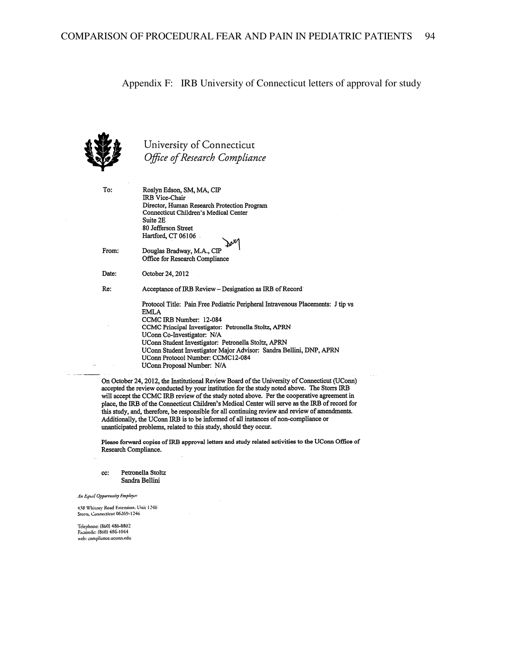#### Appendix F: IRB University of Connecticut letters of approval for study



University of Connecticut Office of Research Compliance

To:

From:

Date:

Re:

Roslyn Edson, SM, MA, CIP IRB Vice-Chair Director, Human Research Protection Program Connecticut Children's Medical Center Suite 2E 80 Jefferson Street Hartford, CT 06106 Douglas Bradway, M.A., CIP Office for Research Compliance October 24, 2012 Acceptance of IRB Review - Designation as IRB of Record Protocol Title: Pain Free Pediatric Peripheral Intravenous Placements: J tip vs **EMLA** CCMC IRB Number: 12-084 CCMC Principal Investigator: Petronella Stoltz, APRN UConn Co-Investigator: N/A UConn Student Investigator: Petronella Stoltz, APRN UConn Student Investigator Major Advisor: Sandra Bellini, DNP, APRN UConn Protocol Number: CCMC12-084

On October 24, 2012, the Institutional Review Board of the University of Connecticut (UConn) accepted the review conducted by your institution for the study noted above. The Storrs IRB will accept the CCMC IRB review of the study noted above. Per the cooperative agreement in place, the IRB of the Connecticut Children's Medical Center will serve as the IRB of record for this study, and, therefore, be responsible for all continuing review and review of amendments. Additionally, the UConn IRB is to be informed of all instances of non-compliance or unanticipated problems, related to this study, should they occur.

UConn Proposal Number: N/A

Please forward copies of IRB approval letters and study related activities to the UConn Office of Research Compliance.

Petronella Stoltz cc: Sandra Bellini

An Equal Opportunity Employer

438 Whitney Road Extension, Unit 1246 Storts, Connecticut 06269-1246

Telephone: (860) 486-8802<br>Facsimile: (860) 486-1044 web: compliance.uconn.edu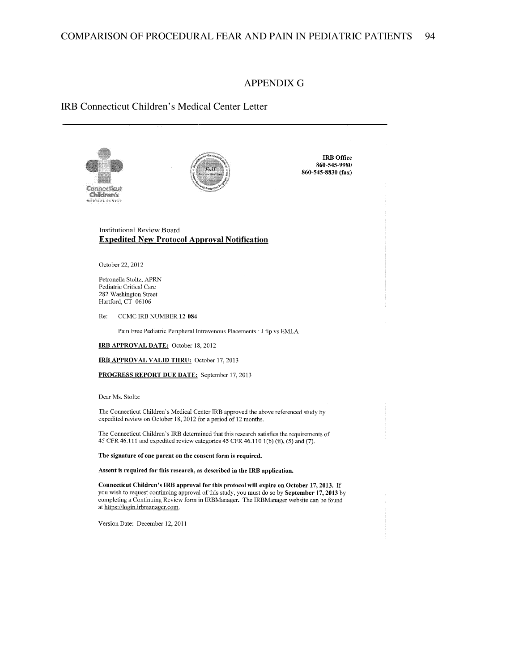#### APPENDIX G

## IRB Connecticut Children's Medical Center Letter





**IRB** Office 860-545-9980 860-545-8830 (fax)

#### **Institutional Review Board Expedited New Protocol Approval Notification**

October 22, 2012

Petronella Stoltz, APRN Pediatric Critical Care 282 Washington Street Hartford, CT 06106

CCMC IRB NUMBER 12-084 Re:

Pain Free Pediatric Peripheral Intravenous Placements : J tip vs EMLA

IRB APPROVAL DATE: October 18, 2012

IRB APPROVAL VALID THRU: October 17, 2013

PROGRESS REPORT DUE DATE: September 17, 2013

Dear Ms. Stoltz:

The Connecticut Children's Medical Center IRB approved the above referenced study by expedited review on October 18, 2012 for a period of 12 months.

The Connecticut Children's IRB determined that this research satisfies the requirements of 45 CFR 46.111 and expedited review categories 45 CFR 46.110 1(b) (ii), (5) and (7).

The signature of one parent on the consent form is required.

Assent is required for this research, as described in the IRB application.

Connecticut Children's IRB approval for this protocol will expire on October 17, 2013. If you wish to request continuing approval of this study, you must do so by September 17, 2013 by completing a Continuing Review form in IRBManager. The IRBManager website can be found at https://login.irbmanager.com.

Version Date: December 12, 2011